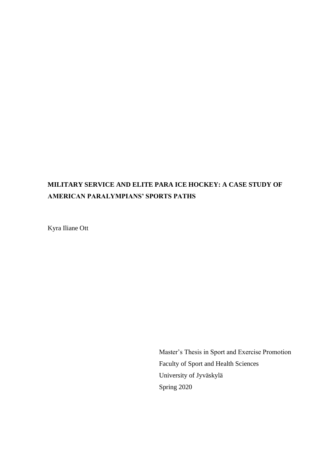# **MILITARY SERVICE AND ELITE PARA ICE HOCKEY: A CASE STUDY OF AMERICAN PARALYMPIANS' SPORTS PATHS**

Kyra Iliane Ott

Master's Thesis in Sport and Exercise Promotion Faculty of Sport and Health Sciences University of Jyväskylä Spring 2020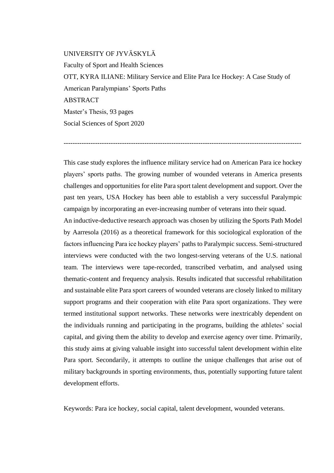## UNIVERSITY OF JYVÄSKYLÄ

Faculty of Sport and Health Sciences OTT, KYRA ILIANE: Military Service and Elite Para Ice Hockey: A Case Study of American Paralympians' Sports Paths ABSTRACT Master's Thesis, 93 pages Social Sciences of Sport 2020

This case study explores the influence military service had on American Para ice hockey players' sports paths. The growing number of wounded veterans in America presents challenges and opportunities for elite Para sport talent development and support. Over the past ten years, USA Hockey has been able to establish a very successful Paralympic campaign by incorporating an ever-increasing number of veterans into their squad.

----------------------------------------------------------------------------------------------------------

An inductive-deductive research approach was chosen by utilizing the Sports Path Model by Aarresola (2016) as a theoretical framework for this sociological exploration of the factors influencing Para ice hockey players' paths to Paralympic success. Semi-structured interviews were conducted with the two longest-serving veterans of the U.S. national team. The interviews were tape-recorded, transcribed verbatim, and analysed using thematic-content and frequency analysis. Results indicated that successful rehabilitation and sustainable elite Para sport careers of wounded veterans are closely linked to military support programs and their cooperation with elite Para sport organizations. They were termed institutional support networks. These networks were inextricably dependent on the individuals running and participating in the programs, building the athletes' social capital, and giving them the ability to develop and exercise agency over time. Primarily, this study aims at giving valuable insight into successful talent development within elite Para sport. Secondarily, it attempts to outline the unique challenges that arise out of military backgrounds in sporting environments, thus, potentially supporting future talent development efforts.

Keywords: Para ice hockey, social capital, talent development, wounded veterans.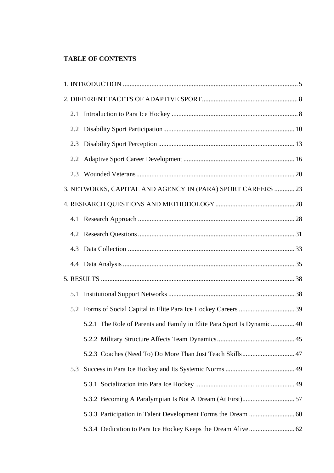## **TABLE OF CONTENTS**

|     |                                                                        |  | 2.1 |  |
|-----|------------------------------------------------------------------------|--|-----|--|
|     |                                                                        |  |     |  |
| 2.3 |                                                                        |  |     |  |
| 2.2 |                                                                        |  |     |  |
| 2.3 |                                                                        |  |     |  |
|     | 3. NETWORKS, CAPITAL AND AGENCY IN (PARA) SPORT CAREERS  23            |  |     |  |
|     |                                                                        |  |     |  |
|     |                                                                        |  |     |  |
|     |                                                                        |  |     |  |
| 4.3 |                                                                        |  |     |  |
|     |                                                                        |  |     |  |
|     |                                                                        |  |     |  |
| 5.1 |                                                                        |  |     |  |
| 5.2 |                                                                        |  |     |  |
|     | 5.2.1 The Role of Parents and Family in Elite Para Sport Is Dynamic 40 |  |     |  |
|     |                                                                        |  |     |  |
|     |                                                                        |  |     |  |
| 5.3 |                                                                        |  |     |  |
|     |                                                                        |  |     |  |
|     |                                                                        |  |     |  |
|     |                                                                        |  |     |  |
|     |                                                                        |  |     |  |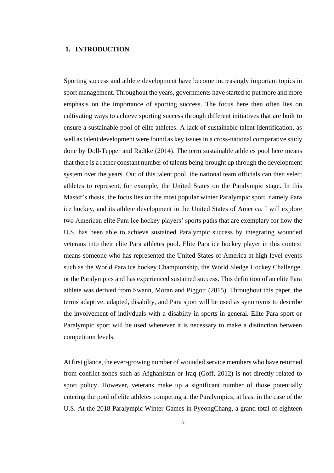## <span id="page-4-0"></span>**1. INTRODUCTION**

Sporting success and athlete development have become increasingly important topics in sport management. Throughout the years, governments have started to put more and more emphasis on the importance of sporting success. The focus here then often lies on cultivating ways to achieve sporting success through different initiatives that are built to ensure a sustainable pool of elite athletes. A lack of sustainable talent identification, as well as talent development were found as key issues in a cross-national comparative study done by Doll-Tepper and Radtke (2014). The term sustainable athletes pool here means that there is a rather constant number of talents being brought up through the development system over the years. Out of this talent pool, the national team officials can then select athletes to represent, for example, the United States on the Paralympic stage. In this Master's thesis, the focus lies on the most popular winter Paralympic sport, namely Para ice hockey, and its athlete development in the United States of America. I will explore two American elite Para Ice hockey players' sports paths that are exemplary for how the U.S. has been able to achieve sustained Paralympic success by integrating wounded veterans into their elite Para athletes pool. Elite Para ice hockey player in this context means someone who has represented the United States of America at high level events such as the World Para ice hockey Championship, the World Sledge Hockey Challenge, or the Paralympics and has experienced sustained success. This definition of an elite Para athlete was derived from Swann, Moran and Piggott (2015). Throughout this paper, the terms adaptive, adapted, disabilty, and Para sport will be used as synomyms to describe the involvement of indivduals with a disabilty in sports in general. Elite Para sport or Paralympic sport will be used whenever it is necessary to make a distinction between competition levels.

At first glance, the ever-growing number of wounded service members who have returned from conflict zones such as Afghanistan or Iraq (Goff, 2012) is not directly related to sport policy. However, veterans make up a significant number of those potentially entering the pool of elite athletes competing at the Paralympics, at least in the case of the U.S. At the 2018 Paralympic Winter Games in PyeongChang, a grand total of eighteen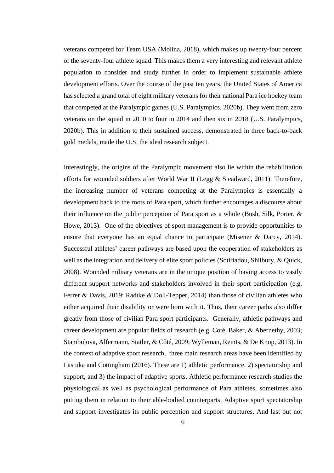veterans competed for Team USA (Molina, 2018), which makes up twenty-four percent of the seventy-four athlete squad. This makes them a very interesting and relevant athlete population to consider and study further in order to implement sustainable athlete development efforts. Over the course of the past ten years, the United States of America has selected a grand total of eight military veterans for their national Para ice hockey team that competed at the Paralympic games (U.S. Paralympics, 2020b). They went from zero veterans on the squad in 2010 to four in 2014 and then six in 2018 (U.S. Paralympics, 2020b). This in addition to their sustained success, demonstrated in three back-to-back gold medals, made the U.S. the ideal research subject.

Interestingly, the origins of the Paralympic movement also lie within the rehabilitation efforts for wounded soldiers after World War II (Legg & Steadward, 2011). Therefore, the increasing number of veterans competing at the Paralympics is essentially a development back to the roots of Para sport, which further encourages a discourse about their influence on the public perception of Para sport as a whole (Bush, Silk, Porter, & Howe, 2013). One of the objectives of sport management is to provide opportunities to ensure that everyone has an equal chance to participate (Misener & Darcy, 2014). Successful athletes' career pathways are based upon the cooperation of stakeholders as well as the integration and delivery of elite sport policies (Sotiriadou, Shilbury, & Quick, 2008). Wounded military veterans are in the unique position of having access to vastly different support networks and stakeholders involved in their sport participation (e.g. Ferrer & Davis, 2019; Radtke & Doll-Tepper, 2014) than those of civilian athletes who either acquired their disability or were born with it. Thus, their career paths also differ greatly from those of civilian Para sport participants. Generally, athletic pathways and career development are popular fields of research (e.g. Coté, Baker, & Abernethy, 2003; Stambulova, Alfermann, Statler, & Côté, 2009; Wylleman, Reints, & De Knop, 2013). In the context of adaptive sport research, three main research areas have been identified by Lastuka and Cottingham (2016). These are 1) athletic performance, 2) spectatorship and support, and 3) the impact of adaptive sports. Athletic performance research studies the physiological as well as psychological performance of Para athletes, sometimes also putting them in relation to their able-bodied counterparts. Adaptive sport spectatorship and support investigates its public perception and support structures. And last but not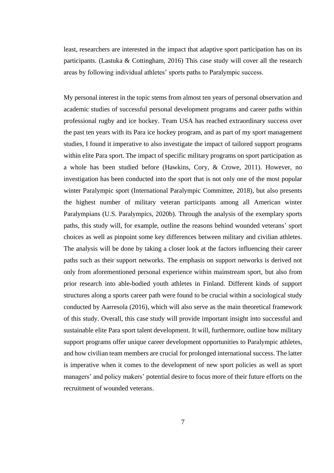least, researchers are interested in the impact that adaptive sport participation has on its participants. (Lastuka & Cottingham, 2016) This case study will cover all the research areas by following individual athletes' sports paths to Paralympic success.

My personal interest in the topic stems from almost ten years of personal observation and academic studies of successful personal development programs and career paths within professional rugby and ice hockey. Team USA has reached extraordinary success over the past ten years with its Para ice hockey program, and as part of my sport management studies, I found it imperative to also investigate the impact of tailored support programs within elite Para sport. The impact of specific military programs on sport participation as a whole has been studied before (Hawkins, Cory, & Crowe, 2011). However, no investigation has been conducted into the sport that is not only one of the most popular winter Paralympic sport (International Paralympic Committee, 2018), but also presents the highest number of military veteran participants among all American winter Paralympians (U.S. Paralympics, 2020b). Through the analysis of the exemplary sports paths, this study will, for example, outline the reasons behind wounded veterans' sport choices as well as pinpoint some key differences between military and civilian athletes. The analysis will be done by taking a closer look at the factors influencing their career paths such as their support networks. The emphasis on support networks is derived not only from aforementioned personal experience within mainstream sport, but also from prior research into able-bodied youth athletes in Finland. Different kinds of support structures along a sports career path were found to be crucial within a sociological study conducted by Aarresola (2016), which will also serve as the main theoretical framework of this study. Overall, this case study will provide important insight into successful and sustainable elite Para sport talent development. It will, furthermore, outline how military support programs offer unique career development opportunities to Paralympic athletes, and how civilian team members are crucial for prolonged international success. The latter is imperative when it comes to the development of new sport policies as well as sport managers' and policy makers' potential desire to focus more of their future efforts on the recruitment of wounded veterans.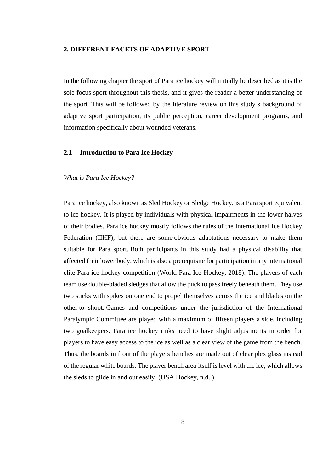#### <span id="page-7-0"></span>**2. DIFFERENT FACETS OF ADAPTIVE SPORT**

In the following chapter the sport of Para ice hockey will initially be described as it is the sole focus sport throughout this thesis, and it gives the reader a better understanding of the sport. This will be followed by the literature review on this study's background of adaptive sport participation, its public perception, career development programs, and information specifically about wounded veterans.

## <span id="page-7-1"></span>**2.1 Introduction to Para Ice Hockey**

#### *What is Para Ice Hockey?*

Para ice hockey, also known as Sled Hockey or Sledge Hockey, is a Para sport equivalent to ice hockey. It is played by individuals with physical impairments in the lower halves of their bodies. Para ice hockey mostly follows the rules of the International Ice Hockey Federation (IIHF), but there are some obvious adaptations necessary to make them suitable for Para sport. Both participants in this study had a physical disability that affected their lower body, which is also a prerequisite for participation in any international elite Para ice hockey competition (World Para Ice Hockey, 2018). The players of each team use double-bladed sledges that allow the puck to pass freely beneath them. They use two sticks with spikes on one end to propel themselves across the ice and blades on the other to shoot. Games and competitions under the jurisdiction of the International Paralympic Committee are played with a maximum of fifteen players a side, including two goalkeepers. Para ice hockey rinks need to have slight adjustments in order for players to have easy access to the ice as well as a clear view of the game from the bench. Thus, the boards in front of the players benches are made out of clear plexiglass instead of the regular white boards. The player bench area itself is level with the ice, which allows the sleds to glide in and out easily. (USA Hockey, n.d. )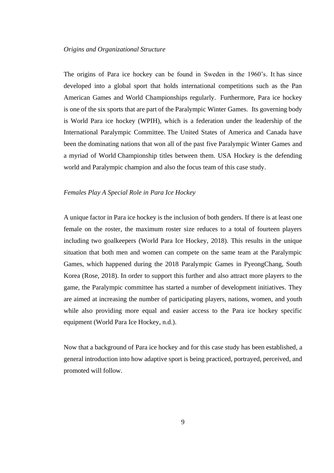The origins of Para ice hockey can be found in Sweden in the 1960's. It has since developed into a global sport that holds international competitions such as the Pan American Games and World Championships regularly. Furthermore, Para ice hockey is one of the six sports that are part of the Paralympic Winter Games. Its governing body is World Para ice hockey (WPIH), which is a federation under the leadership of the International Paralympic Committee. The United States of America and Canada have been the dominating nations that won all of the past five Paralympic Winter Games and a myriad of World Championship titles between them. USA Hockey is the defending world and Paralympic champion and also the focus team of this case study.

#### *Females Play A Special Role in Para Ice Hockey*

A unique factor in Para ice hockey is the inclusion of both genders. If there is at least one female on the roster, the maximum roster size reduces to a total of fourteen players including two goalkeepers (World Para Ice Hockey, 2018). This results in the unique situation that both men and women can compete on the same team at the Paralympic Games, which happened during the 2018 Paralympic Games in PyeongChang, South Korea (Rose, 2018). In order to support this further and also attract more players to the game, the Paralympic committee has started a number of development initiatives. They are aimed at increasing the number of participating players, nations, women, and youth while also providing more equal and easier access to the Para ice hockey specific equipment (World Para Ice Hockey, n.d.).

Now that a background of Para ice hockey and for this case study has been established, a general introduction into how adaptive sport is being practiced, portrayed, perceived, and promoted will follow.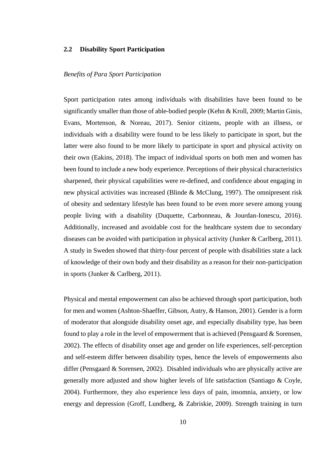## <span id="page-9-0"></span>**2.2 Disability Sport Participation**

## *Benefits of Para Sport Participation*

Sport participation rates among individuals with disabilities have been found to be significantly smaller than those of able-bodied people (Kehn & Kroll, 2009; Martin Ginis, Evans, Mortenson, & Noreau, 2017). Senior citizens, people with an illness, or individuals with a disability were found to be less likely to participate in sport, but the latter were also found to be more likely to participate in sport and physical activity on their own (Eakins, 2018). The impact of individual sports on both men and women has been found to include a new body experience. Perceptions of their physical characteristics sharpened, their physical capabilities were re-defined, and confidence about engaging in new physical activities was increased (Blinde & McClung, 1997). The omnipresent risk of obesity and sedentary lifestyle has been found to be even more severe among young people living with a disability (Duquette, Carbonneau, & Jourdan-Ionescu, 2016). Additionally, increased and avoidable cost for the healthcare system due to secondary diseases can be avoided with participation in physical activity (Junker & Carlberg, 2011). A study in Sweden showed that thirty-four percent of people with disabilities state a lack of knowledge of their own body and their disability as a reason for their non-participation in sports (Junker & Carlberg, 2011).

Physical and mental empowerment can also be achieved through sport participation, both for men and women (Ashton-Shaeffer, Gibson, Autry, & Hanson, 2001). Gender is a form of moderator that alongside disability onset age, and especially disability type, has been found to play a role in the level of empowerment that is achieved (Pensgaard  $\&$  Sorensen, 2002). The effects of disability onset age and gender on life experiences, self-perception and self-esteem differ between disability types, hence the levels of empowerments also differ (Pensgaard & Sorensen, 2002). Disabled individuals who are physically active are generally more adjusted and show higher levels of life satisfaction (Santiago & Coyle, 2004). Furthermore, they also experience less days of pain, insomnia, anxiety, or low energy and depression (Groff, Lundberg, & Zabriskie, 2009). Strength training in turn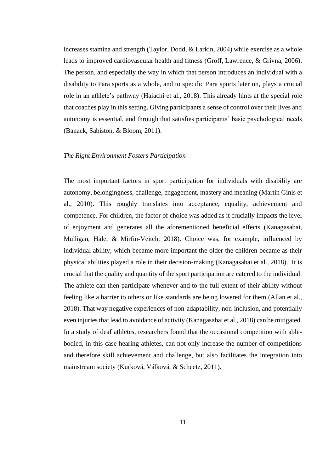increases stamina and strength (Taylor, Dodd, & Larkin, 2004) while exercise as a whole leads to improved cardiovascular health and fitness (Groff, Lawrence, & Grivna, 2006). The person, and especially the way in which that person introduces an individual with a disability to Para sports as a whole, and to specific Para sports later on, plays a crucial role in an athlete's pathway (Haiachi et al., 2018). This already hints at the special role that coaches play in this setting. Giving participants a sense of control over their lives and autonomy is essential, and through that satisfies participants' basic psychological needs (Banack, Sabiston, & Bloom, 2011).

#### *The Right Environment Fosters Participation*

The most important factors in sport participation for individuals with disability are autonomy, belongingness, challenge, engagement, mastery and meaning (Martin Ginis et al., 2010). This roughly translates into acceptance, equality, achievement and competence. For children, the factor of choice was added as it crucially impacts the level of enjoyment and generates all the aforementioned beneficial effects (Kanagasabai, Mulligan, Hale, & Mirfin-Veitch, 2018). Choice was, for example, influenced by individual ability, which became more important the older the children became as their physical abilities played a role in their decision-making (Kanagasabai et al., 2018). It is crucial that the quality and quantity of the sport participation are catered to the individual. The athlete can then participate whenever and to the full extent of their ability without feeling like a barrier to others or like standards are being lowered for them (Allan et al., 2018). That way negative experiences of non-adaptability, non-inclusion, and potentially even injuries that lead to avoidance of activity (Kanagasabai et al., 2018) can be mitigated. In a study of deaf athletes, researchers found that the occasional competition with ablebodied, in this case hearing athletes, can not only increase the number of competitions and therefore skill achievement and challenge, but also facilitates the integration into mainstream society (Kurková, Válková, & Scheetz, 2011).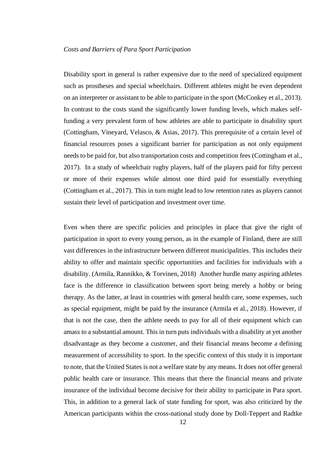Disability sport in general is rather expensive due to the need of specialized equipment such as prostheses and special wheelchairs. Different athletes might be even dependent on an interpreter or assistant to be able to participate in the sport (McConkey et al., 2013). In contrast to the costs stand the significantly lower funding levels, which makes selffunding a very prevalent form of how athletes are able to participate in disability sport (Cottingham, Vineyard, Velasco, & Asias, 2017). This prerequisite of a certain level of financial resources poses a significant barrier for participation as not only equipment needs to be paid for, but also transportation costs and competition fees (Cottingham et al., 2017). In a study of wheelchair rugby players, half of the players paid for fifty percent or more of their expenses while almost one third paid for essentially everything (Cottingham et al., 2017). This in turn might lead to low retention rates as players cannot sustain their level of participation and investment over time.

Even when there are specific policies and principles in place that give the right of participation in sport to every young person, as in the example of Finland, there are still vast differences in the infrastructure between different municipalities. This includes their ability to offer and maintain specific opportunities and facilities for individuals with a disability. (Armila, Rannikko, & Torvinen, 2018) Another hurdle many aspiring athletes face is the difference in classification between sport being merely a hobby or being therapy. As the latter, at least in countries with general health care, some expenses, such as special equipment, might be paid by the insurance (Armila et al., 2018). However, if that is not the case, then the athlete needs to pay for all of their equipment which can amass to a substantial amount. This in turn puts individuals with a disability at yet another disadvantage as they become a customer, and their financial means become a defining measurement of accessibility to sport. In the specific context of this study it is important to note, that the United States is not a welfare state by any means. It does not offer general public health care or insurance. This means that there the financial means and private insurance of the individual become decisive for their ability to participate in Para sport. This, in addition to a general lack of state funding for sport, was also criticized by the American participants within the cross-national study done by Doll-Teppert and Radtke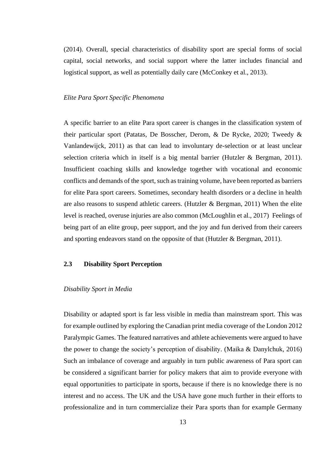(2014). Overall, special characteristics of disability sport are special forms of social capital, social networks, and social support where the latter includes financial and logistical support, as well as potentially daily care (McConkey et al., 2013).

## *Elite Para Sport Specific Phenomena*

A specific barrier to an elite Para sport career is changes in the classification system of their particular sport (Patatas, De Bosscher, Derom, & De Rycke, 2020; Tweedy & Vanlandewijck, 2011) as that can lead to involuntary de-selection or at least unclear selection criteria which in itself is a big mental barrier (Hutzler & Bergman, 2011). Insufficient coaching skills and knowledge together with vocational and economic conflicts and demands of the sport, such as training volume, have been reported as barriers for elite Para sport careers. Sometimes, secondary health disorders or a decline in health are also reasons to suspend athletic careers. (Hutzler & Bergman, 2011) When the elite level is reached, overuse injuries are also common (McLoughlin et al., 2017) Feelings of being part of an elite group, peer support, and the joy and fun derived from their careers and sporting endeavors stand on the opposite of that (Hutzler & Bergman, 2011).

## <span id="page-12-0"></span>**2.3 Disability Sport Perception**

### *Disability Sport in Media*

Disability or adapted sport is far less visible in media than mainstream sport. This was for example outlined by exploring the Canadian print media coverage of the London 2012 Paralympic Games. The featured narratives and athlete achievements were argued to have the power to change the society's perception of disability. (Maika & Danylchuk, 2016) Such an imbalance of coverage and arguably in turn public awareness of Para sport can be considered a significant barrier for policy makers that aim to provide everyone with equal opportunities to participate in sports, because if there is no knowledge there is no interest and no access. The UK and the USA have gone much further in their efforts to professionalize and in turn commercialize their Para sports than for example Germany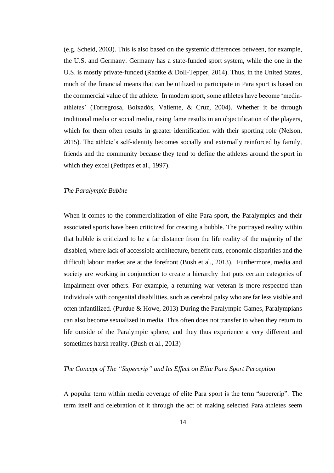(e.g. Scheid, 2003). This is also based on the systemic differences between, for example, the U.S. and Germany. Germany has a state-funded sport system, while the one in the U.S. is mostly private-funded (Radtke & Doll-Tepper, 2014). Thus, in the United States, much of the financial means that can be utilized to participate in Para sport is based on the commercial value of the athlete. In modern sport, some athletes have become 'mediaathletes' (Torregrosa, Boixadós, Valiente, & Cruz, 2004). Whether it be through traditional media or social media, rising fame results in an objectification of the players, which for them often results in greater identification with their sporting role (Nelson, 2015). The athlete's self-identity becomes socially and externally reinforced by family, friends and the community because they tend to define the athletes around the sport in which they excel (Petitpas et al., 1997).

## *The Paralympic Bubble*

When it comes to the commercialization of elite Para sport, the Paralympics and their associated sports have been criticized for creating a bubble. The portrayed reality within that bubble is criticized to be a far distance from the life reality of the majority of the disabled, where lack of accessible architecture, benefit cuts, economic disparities and the difficult labour market are at the forefront (Bush et al., 2013). Furthermore, media and society are working in conjunction to create a hierarchy that puts certain categories of impairment over others. For example, a returning war veteran is more respected than individuals with congenital disabilities, such as cerebral palsy who are far less visible and often infantilized. (Purdue & Howe, 2013) During the Paralympic Games, Paralympians can also become sexualized in media. This often does not transfer to when they return to life outside of the Paralympic sphere, and they thus experience a very different and sometimes harsh reality. (Bush et al., 2013)

## *The Concept of The "Supercrip" and Its Effect on Elite Para Sport Perception*

A popular term within media coverage of elite Para sport is the term "supercrip". The term itself and celebration of it through the act of making selected Para athletes seem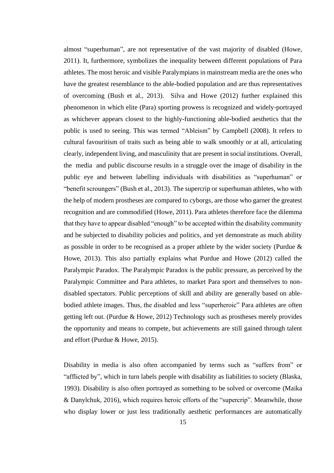almost "superhuman", are not representative of the vast majority of disabled (Howe, 2011). It, furthermore, symbolizes the inequality between different populations of Para athletes. The most heroic and visible Paralympians in mainstream media are the ones who have the greatest resemblance to the able-bodied population and are thus representatives of overcoming (Bush et al., 2013). Silva and Howe (2012) further explained this phenomenon in which elite (Para) sporting prowess is recognized and widely-portrayed as whichever appears closest to the highly-functioning able-bodied aesthetics that the public is used to seeing. This was termed "Ableism" by Campbell (2008). It refers to cultural favouritism of traits such as being able to walk smoothly or at all, articulating clearly, independent living, and masculinity that are present in social institutions. Overall, the media and public discourse results in a struggle over the image of disability in the public eye and between labelling individuals with disabilities as "superhuman" or "benefit scroungers" (Bush et al., 2013). The supercrip or superhuman athletes, who with the help of modern prostheses are compared to cyborgs, are those who garner the greatest recognition and are commodified (Howe, 2011). Para athletes therefore face the dilemma that they have to appear disabled "enough" to be accepted within the disability community and be subjected to disability policies and politics, and yet demonstrate as much ability as possible in order to be recognised as a proper athlete by the wider society (Purdue & Howe, 2013). This also partially explains what Purdue and Howe (2012) called the Paralympic Paradox. The Paralympic Paradox is the public pressure, as perceived by the Paralympic Committee and Para athletes, to market Para sport and themselves to nondisabled spectators. Public perceptions of skill and ability are generally based on ablebodied athlete images. Thus, the disabled and less "superheroic" Para athletes are often getting left out. (Purdue & Howe, 2012) Technology such as prostheses merely provides the opportunity and means to compete, but achievements are still gained through talent and effort (Purdue & Howe, 2015).

Disability in media is also often accompanied by terms such as "suffers from" or "afflicted by", which in turn labels people with disability as liabilities to society (Blaska, 1993). Disability is also often portrayed as something to be solved or overcome (Maika & Danylchuk, 2016), which requires heroic efforts of the "supercrip". Meanwhile, those who display lower or just less traditionally aesthetic performances are automatically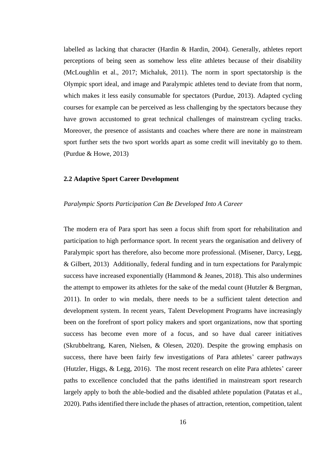labelled as lacking that character (Hardin & Hardin, 2004). Generally, athletes report perceptions of being seen as somehow less elite athletes because of their disability (McLoughlin et al., 2017; Michaluk, 2011). The norm in sport spectatorship is the Olympic sport ideal, and image and Paralympic athletes tend to deviate from that norm, which makes it less easily consumable for spectators (Purdue, 2013). Adapted cycling courses for example can be perceived as less challenging by the spectators because they have grown accustomed to great technical challenges of mainstream cycling tracks. Moreover, the presence of assistants and coaches where there are none in mainstream sport further sets the two sport worlds apart as some credit will inevitably go to them. (Purdue & Howe, 2013)

## <span id="page-15-0"></span>**2.2 Adaptive Sport Career Development**

#### *Paralympic Sports Participation Can Be Developed Into A Career*

The modern era of Para sport has seen a focus shift from sport for rehabilitation and participation to high performance sport. In recent years the organisation and delivery of Paralympic sport has therefore, also become more professional. (Misener, Darcy, Legg, & Gilbert, 2013) Additionally, federal funding and in turn expectations for Paralympic success have increased exponentially (Hammond & Jeanes, 2018). This also undermines the attempt to empower its athletes for the sake of the medal count (Hutzler & Bergman, 2011). In order to win medals, there needs to be a sufficient talent detection and development system. In recent years, Talent Development Programs have increasingly been on the forefront of sport policy makers and sport organizations, now that sporting success has become even more of a focus, and so have dual career initiatives (Skrubbeltrang, Karen, Nielsen, & Olesen, 2020). Despite the growing emphasis on success, there have been fairly few investigations of Para athletes' career pathways (Hutzler, Higgs, & Legg, 2016). The most recent research on elite Para athletes' career paths to excellence concluded that the paths identified in mainstream sport research largely apply to both the able-bodied and the disabled athlete population (Patatas et al., 2020). Paths identified there include the phases of attraction, retention, competition, talent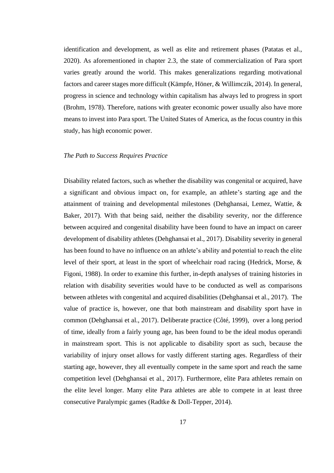identification and development, as well as elite and retirement phases (Patatas et al., 2020). As aforementioned in chapter 2.3, the state of commercialization of Para sport varies greatly around the world. This makes generalizations regarding motivational factors and career stages more difficult (Kämpfe, Höner, & Willimczik, 2014). In general, progress in science and technology within capitalism has always led to progress in sport (Brohm, 1978). Therefore, nations with greater economic power usually also have more means to invest into Para sport. The United States of America, as the focus country in this study, has high economic power.

#### *The Path to Success Requires Practice*

Disability related factors, such as whether the disability was congenital or acquired, have a significant and obvious impact on, for example, an athlete's starting age and the attainment of training and developmental milestones (Dehghansai, Lemez, Wattie, & Baker, 2017). With that being said, neither the disability severity, nor the difference between acquired and congenital disability have been found to have an impact on career development of disability athletes (Dehghansai et al., 2017). Disability severity in general has been found to have no influence on an athlete's ability and potential to reach the elite level of their sport, at least in the sport of wheelchair road racing (Hedrick, Morse, & Figoni, 1988). In order to examine this further, in-depth analyses of training histories in relation with disability severities would have to be conducted as well as comparisons between athletes with congenital and acquired disabilities (Dehghansai et al., 2017). The value of practice is, however, one that both mainstream and disability sport have in common (Dehghansai et al., 2017). Deliberate practice (Côté, 1999), over a long period of time, ideally from a fairly young age, has been found to be the ideal modus operandi in mainstream sport. This is not applicable to disability sport as such, because the variability of injury onset allows for vastly different starting ages. Regardless of their starting age, however, they all eventually compete in the same sport and reach the same competition level (Dehghansai et al., 2017). Furthermore, elite Para athletes remain on the elite level longer. Many elite Para athletes are able to compete in at least three consecutive Paralympic games (Radtke & Doll-Tepper, 2014).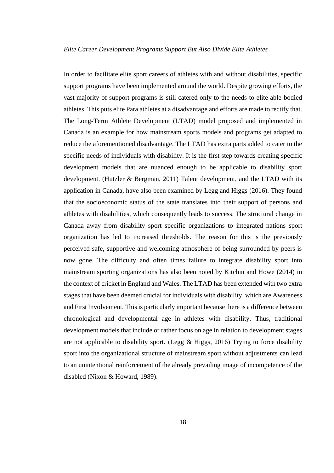In order to facilitate elite sport careers of athletes with and without disabilities, specific support programs have been implemented around the world. Despite growing efforts, the vast majority of support programs is still catered only to the needs to elite able-bodied athletes. This puts elite Para athletes at a disadvantage and efforts are made to rectify that. The Long-Term Athlete Development (LTAD) model proposed and implemented in Canada is an example for how mainstream sports models and programs get adapted to reduce the aforementioned disadvantage. The LTAD has extra parts added to cater to the specific needs of individuals with disability. It is the first step towards creating specific development models that are nuanced enough to be applicable to disability sport development. (Hutzler & Bergman, 2011) Talent development, and the LTAD with its application in Canada, have also been examined by Legg and Higgs (2016). They found that the socioeconomic status of the state translates into their support of persons and athletes with disabilities, which consequently leads to success. The structural change in Canada away from disability sport specific organizations to integrated nations sport organization has led to increased thresholds. The reason for this is the previously perceived safe, supportive and welcoming atmosphere of being surrounded by peers is now gone. The difficulty and often times failure to integrate disability sport into mainstream sporting organizations has also been noted by Kitchin and Howe (2014) in the context of cricket in England and Wales. The LTAD has been extended with two extra stages that have been deemed crucial for individuals with disability, which are Awareness and First Involvement. This is particularly important because there is a difference between chronological and developmental age in athletes with disability. Thus, traditional development models that include or rather focus on age in relation to development stages are not applicable to disability sport. (Legg  $\&$  Higgs, 2016) Trying to force disability sport into the organizational structure of mainstream sport without adjustments can lead to an unintentional reinforcement of the already prevailing image of incompetence of the disabled (Nixon & Howard, 1989).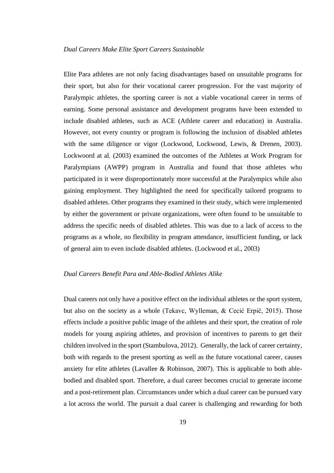Elite Para athletes are not only facing disadvantages based on unsuitable programs for their sport, but also for their vocational career progression. For the vast majority of Paralympic athletes, the sporting career is not a viable vocational career in terms of earning. Some personal assistance and development programs have been extended to include disabled athletes, such as ACE (Athlete career and education) in Australia. However, not every country or program is following the inclusion of disabled athletes with the same diligence or vigor (Lockwood, Lockwood, Lewis, & Drenen, 2003). Lockwoord at al. (2003) examined the outcomes of the Athletes at Work Program for Paralympians (AWPP) program in Australia and found that those athletes who participated in it were disproportionately more successful at the Paralympics while also gaining employment. They highlighted the need for specifically tailored programs to disabled athletes. Other programs they examined in their study, which were implemented by either the government or private organizations, were often found to be unsuitable to address the specific needs of disabled athletes. This was due to a lack of access to the programs as a whole, no flexibility in program attendance, insufficient funding, or lack of general aim to even include disabled athletes. (Lockwood et al., 2003)

## *Dual Careers Benefit Para and Able-Bodied Athletes Alike*

Dual careers not only have a positive effect on the individual athletes or the sport system, but also on the society as a whole (Tekavc, Wylleman, & Cecić Erpič, 2015). Those effects include a positive public image of the athletes and their sport, the creation of role models for young aspiring athletes, and provision of incentives to parents to get their children involved in the sport (Stambulova, 2012). Generally, the lack of career certainty, both with regards to the present sporting as well as the future vocational career, causes anxiety for elite athletes (Lavallee & Robinson, 2007). This is applicable to both ablebodied and disabled sport. Therefore, a dual career becomes crucial to generate income and a post-retirement plan. Circumstances under which a dual career can be pursued vary a lot across the world. The pursuit a dual career is challenging and rewarding for both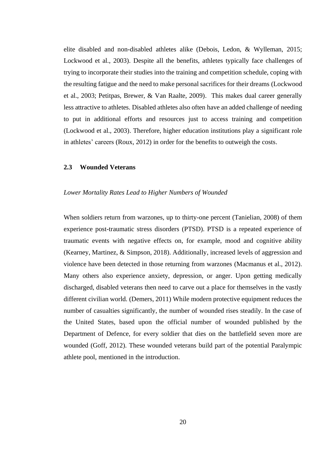elite disabled and non-disabled athletes alike (Debois, Ledon, & Wylleman, 2015; Lockwood et al., 2003). Despite all the benefits, athletes typically face challenges of trying to incorporate their studies into the training and competition schedule, coping with the resulting fatigue and the need to make personal sacrifices for their dreams (Lockwood et al., 2003; Petitpas, Brewer, & Van Raalte, 2009). This makes dual career generally less attractive to athletes. Disabled athletes also often have an added challenge of needing to put in additional efforts and resources just to access training and competition (Lockwood et al., 2003). Therefore, higher education institutions play a significant role in athletes' careers (Roux, 2012) in order for the benefits to outweigh the costs.

## <span id="page-19-0"></span>**2.3 Wounded Veterans**

#### *Lower Mortality Rates Lead to Higher Numbers of Wounded*

When soldiers return from warzones, up to thirty-one percent (Tanielian, 2008) of them experience post-traumatic stress disorders (PTSD). PTSD is a repeated experience of traumatic events with negative effects on, for example, mood and cognitive ability (Kearney, Martinez, & Simpson, 2018). Additionally, increased levels of aggression and violence have been detected in those returning from warzones (Macmanus et al., 2012). Many others also experience anxiety, depression, or anger. Upon getting medically discharged, disabled veterans then need to carve out a place for themselves in the vastly different civilian world. (Demers, 2011) While modern protective equipment reduces the number of casualties significantly, the number of wounded rises steadily. In the case of the United States, based upon the official number of wounded published by the Department of Defence, for every soldier that dies on the battlefield seven more are wounded (Goff, 2012). These wounded veterans build part of the potential Paralympic athlete pool, mentioned in the introduction.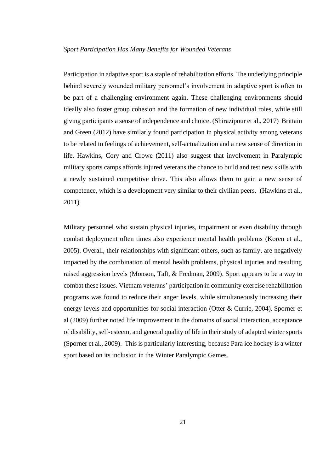Participation in adaptive sport is a staple of rehabilitation efforts. The underlying principle behind severely wounded military personnel's involvement in adaptive sport is often to be part of a challenging environment again. These challenging environments should ideally also foster group cohesion and the formation of new individual roles, while still giving participants a sense of independence and choice. (Shirazipour et al., 2017) Brittain and Green (2012) have similarly found participation in physical activity among veterans to be related to feelings of achievement, self-actualization and a new sense of direction in life. Hawkins, Cory and Crowe (2011) also suggest that involvement in Paralympic military sports camps affords injured veterans the chance to build and test new skills with a newly sustained competitive drive. This also allows them to gain a new sense of competence, which is a development very similar to their civilian peers. (Hawkins et al., 2011)

Military personnel who sustain physical injuries, impairment or even disability through combat deployment often times also experience mental health problems (Koren et al., 2005). Overall, their relationships with significant others, such as family, are negatively impacted by the combination of mental health problems, physical injuries and resulting raised aggression levels (Monson, Taft, & Fredman, 2009). Sport appears to be a way to combat these issues. Vietnam veterans' participation in community exercise rehabilitation programs was found to reduce their anger levels, while simultaneously increasing their energy levels and opportunities for social interaction (Otter & Currie, 2004). Sporner et al (2009) further noted life improvement in the domains of social interaction, acceptance of disability, self-esteem, and general quality of life in their study of adapted winter sports (Sporner et al., 2009). This is particularly interesting, because Para ice hockey is a winter sport based on its inclusion in the Winter Paralympic Games.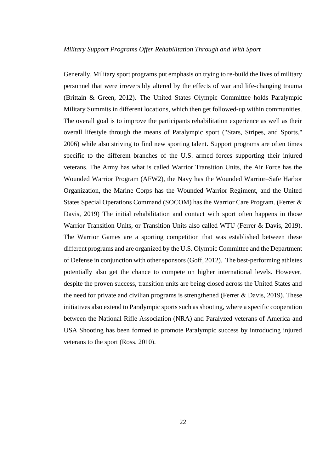Generally, Military sport programs put emphasis on trying to re-build the lives of military personnel that were irreversibly altered by the effects of war and life-changing trauma (Brittain & Green, 2012). The United States Olympic Committee holds Paralympic Military Summits in different locations, which then get followed-up within communities. The overall goal is to improve the participants rehabilitation experience as well as their overall lifestyle through the means of Paralympic sport ("Stars, Stripes, and Sports," 2006) while also striving to find new sporting talent. Support programs are often times specific to the different branches of the U.S. armed forces supporting their injured veterans. The Army has what is called Warrior Transition Units, the Air Force has the Wounded Warrior Program (AFW2), the Navy has the Wounded Warrior–Safe Harbor Organization, the Marine Corps has the Wounded Warrior Regiment, and the United States Special Operations Command (SOCOM) has the Warrior Care Program. (Ferrer & Davis, 2019) The initial rehabilitation and contact with sport often happens in those Warrior Transition Units, or Transition Units also called WTU (Ferrer & Davis, 2019). The Warrior Games are a sporting competition that was established between these different programs and are organized by the U.S. Olympic Committee and the Department of Defense in conjunction with other sponsors (Goff, 2012). The best-performing athletes potentially also get the chance to compete on higher international levels. However, despite the proven success, transition units are being closed across the United States and the need for private and civilian programs is strengthened (Ferrer & Davis, 2019). These initiatives also extend to Paralympic sports such as shooting, where a specific cooperation between the National Rifle Association (NRA) and Paralyzed veterans of America and USA Shooting has been formed to promote Paralympic success by introducing injured veterans to the sport (Ross, 2010).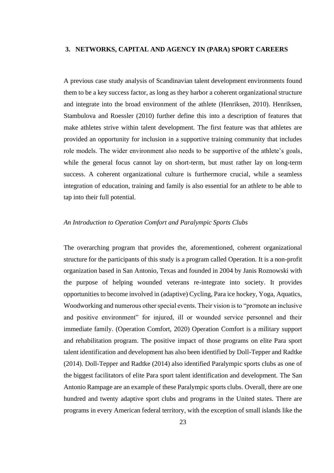## <span id="page-22-0"></span>**3. NETWORKS, CAPITAL AND AGENCY IN (PARA) SPORT CAREERS**

A previous case study analysis of Scandinavian talent development environments found them to be a key success factor, as long as they harbor a coherent organizational structure and integrate into the broad environment of the athlete (Henriksen, 2010). Henriksen, Stambulova and Roessler (2010) further define this into a description of features that make athletes strive within talent development. The first feature was that athletes are provided an opportunity for inclusion in a supportive training community that includes role models. The wider environment also needs to be supportive of the athlete's goals, while the general focus cannot lay on short-term, but must rather lay on long-term success. A coherent organizational culture is furthermore crucial, while a seamless integration of education, training and family is also essential for an athlete to be able to tap into their full potential.

## *An Introduction to Operation Comfort and Paralympic Sports Clubs*

The overarching program that provides the, aforementioned, coherent organizational structure for the participants of this study is a program called Operation. It is a non-profit organization based in San Antonio, Texas and founded in 2004 by Janis Roznowski with the purpose of helping wounded veterans re-integrate into society. It provides opportunities to become involved in (adaptive) Cycling, Para ice hockey, Yoga, Aquatics, Woodworking and numerous other special events. Their vision is to "promote an inclusive and positive environment" for injured, ill or wounded service personnel and their immediate family. (Operation Comfort, 2020) Operation Comfort is a military support and rehabilitation program. The positive impact of those programs on elite Para sport talent identification and development has also been identified by Doll-Tepper and Radtke (2014). Doll-Tepper and Radtke (2014) also identified Paralympic sports clubs as one of the biggest facilitators of elite Para sport talent identification and development. The San Antonio Rampage are an example of these Paralympic sports clubs. Overall, there are one hundred and twenty adaptive sport clubs and programs in the United states. There are programs in every American federal territory, with the exception of small islands like the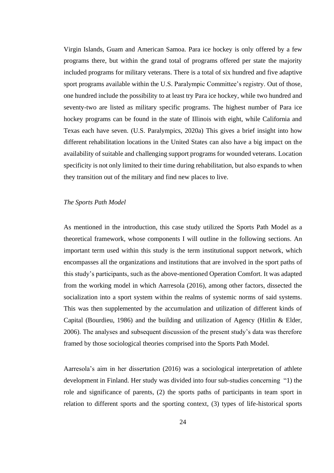Virgin Islands, Guam and American Samoa. Para ice hockey is only offered by a few programs there, but within the grand total of programs offered per state the majority included programs for military veterans. There is a total of six hundred and five adaptive sport programs available within the U.S. Paralympic Committee's registry. Out of those, one hundred include the possibility to at least try Para ice hockey, while two hundred and seventy-two are listed as military specific programs. The highest number of Para ice hockey programs can be found in the state of Illinois with eight, while California and Texas each have seven. (U.S. Paralympics, 2020a) This gives a brief insight into how different rehabilitation locations in the United States can also have a big impact on the availability of suitable and challenging support programs for wounded veterans. Location specificity is not only limited to their time during rehabilitation, but also expands to when they transition out of the military and find new places to live.

## *The Sports Path Model*

As mentioned in the introduction, this case study utilized the Sports Path Model as a theoretical framework, whose components I will outline in the following sections. An important term used within this study is the term institutional support network, which encompasses all the organizations and institutions that are involved in the sport paths of this study's participants, such as the above-mentioned Operation Comfort. It was adapted from the working model in which Aarresola (2016), among other factors, dissected the socialization into a sport system within the realms of systemic norms of said systems. This was then supplemented by the accumulation and utilization of different kinds of Capital (Bourdieu, 1986) and the building and utilization of Agency (Hitlin & Elder, 2006). The analyses and subsequent discussion of the present study's data was therefore framed by those sociological theories comprised into the Sports Path Model.

Aarresola's aim in her dissertation (2016) was a sociological interpretation of athlete development in Finland. Her study was divided into four sub-studies concerning "1) the role and significance of parents, (2) the sports paths of participants in team sport in relation to different sports and the sporting context, (3) types of life-historical sports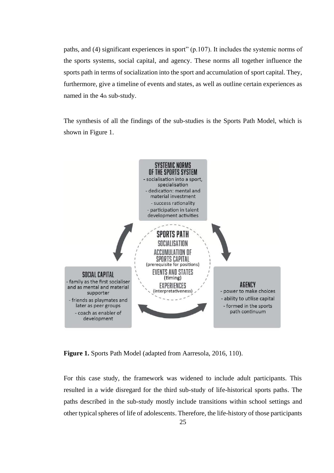paths, and (4) significant experiences in sport" (p.107). It includes the systemic norms of the sports systems, social capital, and agency. These norms all together influence the sports path in terms of socialization into the sport and accumulation of sport capital. They, furthermore, give a timeline of events and states, as well as outline certain experiences as named in the 4th sub-study.

The synthesis of all the findings of the sub-studies is the Sports Path Model, which is shown in Figure 1.



**Figure 1.** Sports Path Model (adapted from Aarresola, 2016, 110).

For this case study, the framework was widened to include adult participants. This resulted in a wide disregard for the third sub-study of life-historical sports paths. The paths described in the sub-study mostly include transitions within school settings and other typical spheres of life of adolescents. Therefore, the life-history of those participants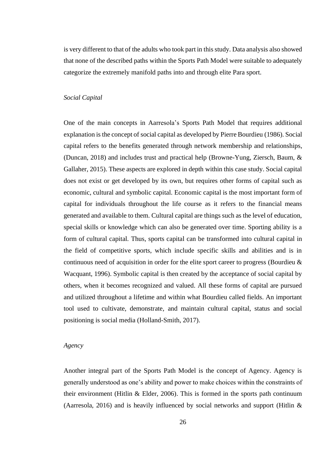is very different to that of the adults who took part in this study. Data analysis also showed that none of the described paths within the Sports Path Model were suitable to adequately categorize the extremely manifold paths into and through elite Para sport.

#### *Social Capital*

One of the main concepts in Aarresola's Sports Path Model that requires additional explanation is the concept of social capital as developed by Pierre Bourdieu (1986). Social capital refers to the benefits generated through network membership and relationships, (Duncan, 2018) and includes trust and practical help (Browne-Yung, Ziersch, Baum, & Gallaher, 2015). These aspects are explored in depth within this case study. Social capital does not exist or get developed by its own, but requires other forms of capital such as economic, cultural and symbolic capital. Economic capital is the most important form of capital for individuals throughout the life course as it refers to the financial means generated and available to them. Cultural capital are things such as the level of education, special skills or knowledge which can also be generated over time. Sporting ability is a form of cultural capital. Thus, sports capital can be transformed into cultural capital in the field of competitive sports, which include specific skills and abilities and is in continuous need of acquisition in order for the elite sport career to progress (Bourdieu & Wacquant, 1996). Symbolic capital is then created by the acceptance of social capital by others, when it becomes recognized and valued. All these forms of capital are pursued and utilized throughout a lifetime and within what Bourdieu called fields. An important tool used to cultivate, demonstrate, and maintain cultural capital, status and social positioning is social media (Holland-Smith, 2017).

## *Agency*

Another integral part of the Sports Path Model is the concept of Agency. Agency is generally understood as one's ability and power to make choices within the constraints of their environment (Hitlin & Elder, 2006). This is formed in the sports path continuum (Aarresola, 2016) and is heavily influenced by social networks and support (Hitlin &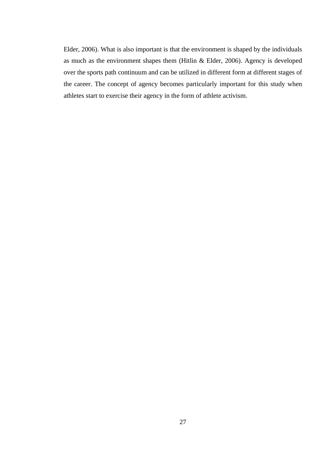Elder, 2006). What is also important is that the environment is shaped by the individuals as much as the environment shapes them (Hitlin & Elder, 2006). Agency is developed over the sports path continuum and can be utilized in different form at different stages of the career. The concept of agency becomes particularly important for this study when athletes start to exercise their agency in the form of athlete activism.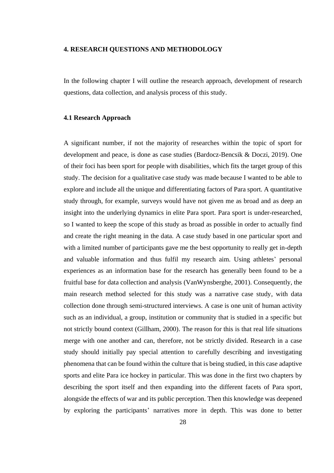#### <span id="page-27-0"></span>**4. RESEARCH QUESTIONS AND METHODOLOGY**

In the following chapter I will outline the research approach, development of research questions, data collection, and analysis process of this study.

## <span id="page-27-1"></span>**4.1 Research Approach**

A significant number, if not the majority of researches within the topic of sport for development and peace, is done as case studies (Bardocz-Bencsik & Doczi, 2019). One of their foci has been sport for people with disabilities, which fits the target group of this study. The decision for a qualitative case study was made because I wanted to be able to explore and include all the unique and differentiating factors of Para sport. A quantitative study through, for example, surveys would have not given me as broad and as deep an insight into the underlying dynamics in elite Para sport. Para sport is under-researched, so I wanted to keep the scope of this study as broad as possible in order to actually find and create the right meaning in the data. A case study based in one particular sport and with a limited number of participants gave me the best opportunity to really get in-depth and valuable information and thus fulfil my research aim. Using athletes' personal experiences as an information base for the research has generally been found to be a fruitful base for data collection and analysis (VanWynsberghe, 2001). Consequently, the main research method selected for this study was a narrative case study, with data collection done through semi-structured interviews. A case is one unit of human activity such as an individual, a group, institution or community that is studied in a specific but not strictly bound context (Gillham, 2000). The reason for this is that real life situations merge with one another and can, therefore, not be strictly divided. Research in a case study should initially pay special attention to carefully describing and investigating phenomena that can be found within the culture that is being studied, in this case adaptive sports and elite Para ice hockey in particular. This was done in the first two chapters by describing the sport itself and then expanding into the different facets of Para sport, alongside the effects of war and its public perception. Then this knowledge was deepened by exploring the participants' narratives more in depth. This was done to better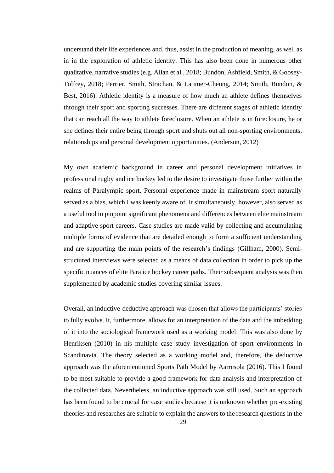understand their life experiences and, thus, assist in the production of meaning, as well as in in the exploration of athletic identity. This has also been done in numerous other qualitative, narrative studies (e.g. Allan et al., 2018; Bundon, Ashfield, Smith, & Goosey-Tolfrey, 2018; Perrier, Smith, Strachan, & Latimer-Cheung, 2014; Smith, Bundon, & Best, 2016). Athletic identity is a measure of how much an athlete defines themselves through their sport and sporting successes. There are different stages of athletic identity that can reach all the way to athlete foreclosure. When an athlete is in foreclosure, he or she defines their entire being through sport and shuts out all non-sporting environments, relationships and personal development opportunities. (Anderson, 2012)

My own academic background in career and personal development initiatives in professional rugby and ice hockey led to the desire to investigate those further within the realms of Paralympic sport. Personal experience made in mainstream sport naturally served as a bias, which I was keenly aware of. It simultaneously, however, also served as a useful tool to pinpoint significant phenomena and differences between elite mainstream and adaptive sport careers. Case studies are made valid by collecting and accumulating multiple forms of evidence that are detailed enough to form a sufficient understanding and are supporting the main points of the research's findings (Gillham, 2000). Semistructured interviews were selected as a means of data collection in order to pick up the specific nuances of elite Para ice hockey career paths. Their subsequent analysis was then supplemented by academic studies covering similar issues.

Overall, an inductive-deductive approach was chosen that allows the participants' stories to fully evolve. It, furthermore, allows for an interpretation of the data and the imbedding of it into the sociological framework used as a working model. This was also done by Henriksen (2010) in his multiple case study investigation of sport environments in Scandinavia. The theory selected as a working model and, therefore, the deductive approach was the aforementioned Sports Path Model by Aarresola (2016). This I found to be most suitable to provide a good framework for data analysis and interpretation of the collected data. Nevertheless, an inductive approach was still used. Such an approach has been found to be crucial for case studies because it is unknown whether pre-existing theories and researches are suitable to explain the answers to the research questions in the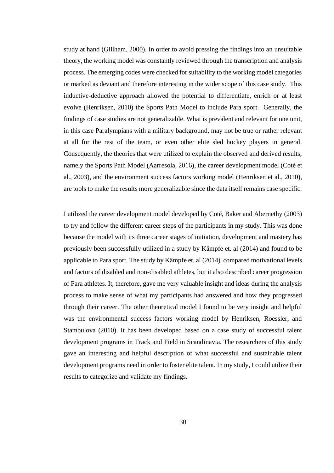study at hand (Gillham, 2000). In order to avoid pressing the findings into an unsuitable theory, the working model was constantly reviewed through the transcription and analysis process. The emerging codes were checked for suitability to the working model categories or marked as deviant and therefore interesting in the wider scope of this case study. This inductive-deductive approach allowed the potential to differentiate, enrich or at least evolve (Henriksen, 2010) the Sports Path Model to include Para sport. Generally, the findings of case studies are not generalizable. What is prevalent and relevant for one unit, in this case Paralympians with a military background, may not be true or rather relevant at all for the rest of the team, or even other elite sled hockey players in general. Consequently, the theories that were utilized to explain the observed and derived results, namely the Sports Path Model (Aarresola, 2016), the career development model (Coté et al., 2003), and the environment success factors working model (Henriksen et al., 2010), are tools to make the results more generalizable since the data itself remains case specific.

I utilized the career development model developed by Coté, Baker and Abernethy (2003) to try and follow the different career steps of the participants in my study. This was done because the model with its three career stages of initiation, development and mastery has previously been successfully utilized in a study by Kämpfe et. al (2014) and found to be applicable to Para sport. The study by Kämpfe et. al (2014) compared motivational levels and factors of disabled and non-disabled athletes, but it also described career progression of Para athletes. It, therefore, gave me very valuable insight and ideas during the analysis process to make sense of what my participants had answered and how they progressed through their career. The other theoretical model I found to be very insight and helpful was the environmental success factors working model by Henriksen, Roessler, and Stambulova (2010). It has been developed based on a case study of successful talent development programs in Track and Field in Scandinavia. The researchers of this study gave an interesting and helpful description of what successful and sustainable talent development programs need in order to foster elite talent. In my study, I could utilize their results to categorize and validate my findings.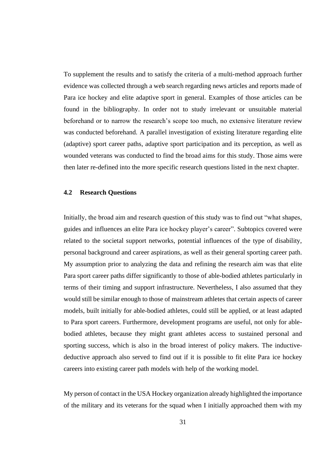To supplement the results and to satisfy the criteria of a multi-method approach further evidence was collected through a web search regarding news articles and reports made of Para ice hockey and elite adaptive sport in general. Examples of those articles can be found in the bibliography. In order not to study irrelevant or unsuitable material beforehand or to narrow the research's scope too much, no extensive literature review was conducted beforehand. A parallel investigation of existing literature regarding elite (adaptive) sport career paths, adaptive sport participation and its perception, as well as wounded veterans was conducted to find the broad aims for this study. Those aims were then later re-defined into the more specific research questions listed in the next chapter.

### <span id="page-30-0"></span>**4.2 Research Questions**

Initially, the broad aim and research question of this study was to find out "what shapes, guides and influences an elite Para ice hockey player's career". Subtopics covered were related to the societal support networks, potential influences of the type of disability, personal background and career aspirations, as well as their general sporting career path. My assumption prior to analyzing the data and refining the research aim was that elite Para sport career paths differ significantly to those of able-bodied athletes particularly in terms of their timing and support infrastructure. Nevertheless, I also assumed that they would still be similar enough to those of mainstream athletes that certain aspects of career models, built initially for able-bodied athletes, could still be applied, or at least adapted to Para sport careers. Furthermore, development programs are useful, not only for ablebodied athletes, because they might grant athletes access to sustained personal and sporting success, which is also in the broad interest of policy makers. The inductivedeductive approach also served to find out if it is possible to fit elite Para ice hockey careers into existing career path models with help of the working model.

My person of contact in the USA Hockey organization already highlighted the importance of the military and its veterans for the squad when I initially approached them with my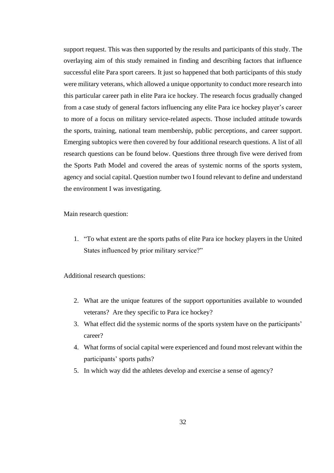support request. This was then supported by the results and participants of this study. The overlaying aim of this study remained in finding and describing factors that influence successful elite Para sport careers. It just so happened that both participants of this study were military veterans, which allowed a unique opportunity to conduct more research into this particular career path in elite Para ice hockey. The research focus gradually changed from a case study of general factors influencing any elite Para ice hockey player's career to more of a focus on military service-related aspects. Those included attitude towards the sports, training, national team membership, public perceptions, and career support. Emerging subtopics were then covered by four additional research questions. A list of all research questions can be found below. Questions three through five were derived from the Sports Path Model and covered the areas of systemic norms of the sports system, agency and social capital. Question number two I found relevant to define and understand the environment I was investigating.

Main research question:

1. "To what extent are the sports paths of elite Para ice hockey players in the United States influenced by prior military service?"

Additional research questions:

- 2. What are the unique features of the support opportunities available to wounded veterans? Are they specific to Para ice hockey?
- 3. What effect did the systemic norms of the sports system have on the participants' career?
- 4. What forms of social capital were experienced and found most relevant within the participants' sports paths?
- 5. In which way did the athletes develop and exercise a sense of agency?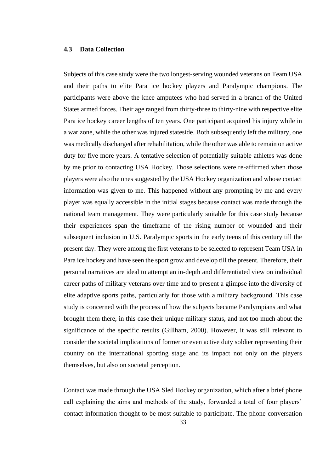#### <span id="page-32-0"></span>**4.3 Data Collection**

Subjects of this case study were the two longest-serving wounded veterans on Team USA and their paths to elite Para ice hockey players and Paralympic champions. The participants were above the knee amputees who had served in a branch of the United States armed forces. Their age ranged from thirty-three to thirty-nine with respective elite Para ice hockey career lengths of ten years. One participant acquired his injury while in a war zone, while the other was injured stateside. Both subsequently left the military, one was medically discharged after rehabilitation, while the other was able to remain on active duty for five more years. A tentative selection of potentially suitable athletes was done by me prior to contacting USA Hockey. Those selections were re-affirmed when those players were also the ones suggested by the USA Hockey organization and whose contact information was given to me. This happened without any prompting by me and every player was equally accessible in the initial stages because contact was made through the national team management. They were particularly suitable for this case study because their experiences span the timeframe of the rising number of wounded and their subsequent inclusion in U.S. Paralympic sports in the early teens of this century till the present day. They were among the first veterans to be selected to represent Team USA in Para ice hockey and have seen the sport grow and develop till the present. Therefore, their personal narratives are ideal to attempt an in-depth and differentiated view on individual career paths of military veterans over time and to present a glimpse into the diversity of elite adaptive sports paths, particularly for those with a military background. This case study is concerned with the process of how the subjects became Paralympians and what brought them there, in this case their unique military status, and not too much about the significance of the specific results (Gillham, 2000). However, it was still relevant to consider the societal implications of former or even active duty soldier representing their country on the international sporting stage and its impact not only on the players themselves, but also on societal perception.

Contact was made through the USA Sled Hockey organization, which after a brief phone call explaining the aims and methods of the study, forwarded a total of four players' contact information thought to be most suitable to participate. The phone conversation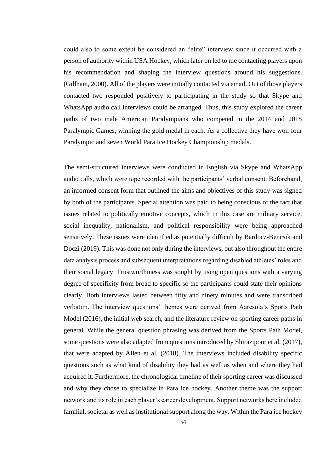could also to some extent be considered an "élite" interview since it occurred with a person of authority within USA Hockey, which later on led to me contacting players upon his recommendation and shaping the interview questions around his suggestions. (Gillham, 2000). All of the players were initially contacted via email. Out of those players contacted two responded positively to participating in the study so that Skype and WhatsApp audio call interviews could be arranged. Thus, this study explored the career paths of two male American Paralympians who competed in the 2014 and 2018 Paralympic Games, winning the gold medal in each. As a collective they have won four Paralympic and seven World Para Ice Hockey Championship medals.

The semi-structured interviews were conducted in English via Skype and WhatsApp audio calls, which were tape recorded with the participants' verbal consent. Beforehand, an informed consent form that outlined the aims and objectives of this study was signed by both of the participants. Special attention was paid to being conscious of the fact that issues related to politically emotive concepts, which in this case are military service, social inequality, nationalism, and political responsibility were being approached sensitively. These issues were identified as potentially difficult by Bardocz-Bencsik and Doczi (2019). This was done not only during the interviews, but also throughout the entire data analysis process and subsequent interpretations regarding disabled athletes' roles and their social legacy. Trustworthiness was sought by using open questions with a varying degree of specificity from broad to specific so the participants could state their opinions clearly. Both interviews lasted between fifty and ninety minutes and were transcribed verbatim. The interview questions' themes were derived from Aaresola's Sports Path Model (2016), the initial web search, and the literature review on sporting career paths in general. While the general question phrasing was derived from the Sports Path Model, some questions were also adapted from questions introduced by Shirazipour et al. (2017), that were adapted by Allen et al. (2018). The interviews included disability specific questions such as what kind of disability they had as well as when and where they had acquired it. Furthermore, the chronological timeline of their sporting career was discussed and why they chose to specialize in Para ice hockey. Another theme was the support network and its role in each player's career development. Support networks here included familial, societal as well as institutional support along the way. Within the Para ice hockey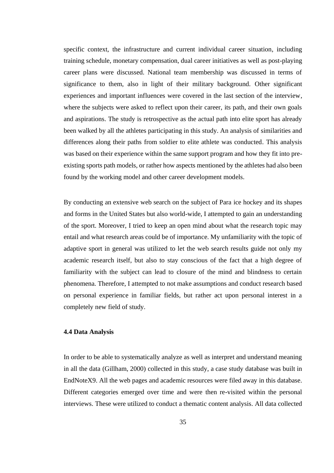specific context, the infrastructure and current individual career situation, including training schedule, monetary compensation, dual career initiatives as well as post-playing career plans were discussed. National team membership was discussed in terms of significance to them, also in light of their military background. Other significant experiences and important influences were covered in the last section of the interview, where the subjects were asked to reflect upon their career, its path, and their own goals and aspirations. The study is retrospective as the actual path into elite sport has already been walked by all the athletes participating in this study. An analysis of similarities and differences along their paths from soldier to elite athlete was conducted. This analysis was based on their experience within the same support program and how they fit into preexisting sports path models, or rather how aspects mentioned by the athletes had also been found by the working model and other career development models.

By conducting an extensive web search on the subject of Para ice hockey and its shapes and forms in the United States but also world-wide, I attempted to gain an understanding of the sport. Moreover, I tried to keep an open mind about what the research topic may entail and what research areas could be of importance. My unfamiliarity with the topic of adaptive sport in general was utilized to let the web search results guide not only my academic research itself, but also to stay conscious of the fact that a high degree of familiarity with the subject can lead to closure of the mind and blindness to certain phenomena. Therefore, I attempted to not make assumptions and conduct research based on personal experience in familiar fields, but rather act upon personal interest in a completely new field of study.

## <span id="page-34-0"></span>**4.4 Data Analysis**

In order to be able to systematically analyze as well as interpret and understand meaning in all the data (Gillham, 2000) collected in this study, a case study database was built in EndNoteX9. All the web pages and academic resources were filed away in this database. Different categories emerged over time and were then re-visited within the personal interviews. These were utilized to conduct a thematic content analysis. All data collected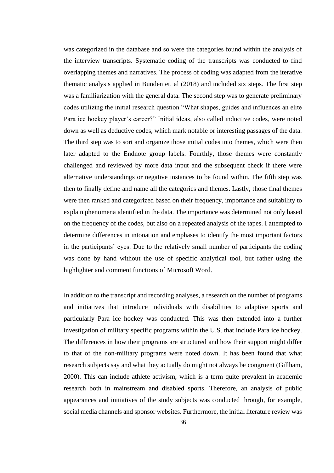was categorized in the database and so were the categories found within the analysis of the interview transcripts. Systematic coding of the transcripts was conducted to find overlapping themes and narratives. The process of coding was adapted from the iterative thematic analysis applied in Bunden et. al (2018) and included six steps. The first step was a familiarization with the general data. The second step was to generate preliminary codes utilizing the initial research question "What shapes, guides and influences an elite Para ice hockey player's career?" Initial ideas, also called inductive codes, were noted down as well as deductive codes, which mark notable or interesting passages of the data. The third step was to sort and organize those initial codes into themes, which were then later adapted to the Endnote group labels. Fourthly, those themes were constantly challenged and reviewed by more data input and the subsequent check if there were alternative understandings or negative instances to be found within. The fifth step was then to finally define and name all the categories and themes. Lastly, those final themes were then ranked and categorized based on their frequency, importance and suitability to explain phenomena identified in the data. The importance was determined not only based on the frequency of the codes, but also on a repeated analysis of the tapes. I attempted to determine differences in intonation and emphases to identify the most important factors in the participants' eyes. Due to the relatively small number of participants the coding was done by hand without the use of specific analytical tool, but rather using the highlighter and comment functions of Microsoft Word.

In addition to the transcript and recording analyses, a research on the number of programs and initiatives that introduce individuals with disabilities to adaptive sports and particularly Para ice hockey was conducted. This was then extended into a further investigation of military specific programs within the U.S. that include Para ice hockey. The differences in how their programs are structured and how their support might differ to that of the non-military programs were noted down. It has been found that what research subjects say and what they actually do might not always be congruent (Gillham, 2000). This can include athlete activism, which is a term quite prevalent in academic research both in mainstream and disabled sports. Therefore, an analysis of public appearances and initiatives of the study subjects was conducted through, for example, social media channels and sponsor websites. Furthermore, the initial literature review was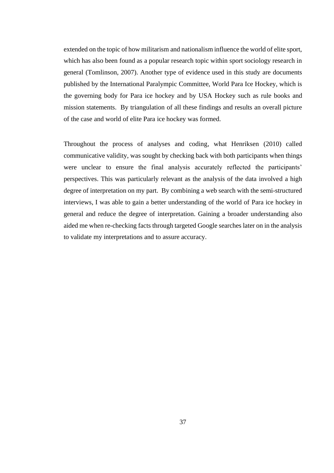extended on the topic of how militarism and nationalism influence the world of elite sport, which has also been found as a popular research topic within sport sociology research in general (Tomlinson, 2007). Another type of evidence used in this study are documents published by the International Paralympic Committee, World Para Ice Hockey, which is the governing body for Para ice hockey and by USA Hockey such as rule books and mission statements. By triangulation of all these findings and results an overall picture of the case and world of elite Para ice hockey was formed.

Throughout the process of analyses and coding, what Henriksen (2010) called communicative validity, was sought by checking back with both participants when things were unclear to ensure the final analysis accurately reflected the participants' perspectives. This was particularly relevant as the analysis of the data involved a high degree of interpretation on my part. By combining a web search with the semi-structured interviews, I was able to gain a better understanding of the world of Para ice hockey in general and reduce the degree of interpretation. Gaining a broader understanding also aided me when re-checking facts through targeted Google searches later on in the analysis to validate my interpretations and to assure accuracy.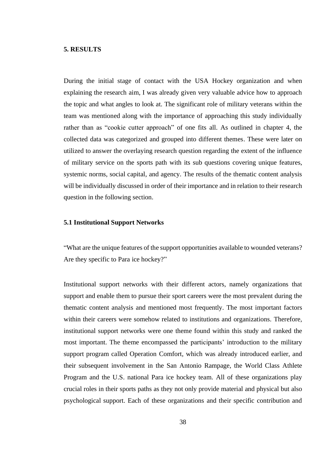### **5. RESULTS**

During the initial stage of contact with the USA Hockey organization and when explaining the research aim, I was already given very valuable advice how to approach the topic and what angles to look at. The significant role of military veterans within the team was mentioned along with the importance of approaching this study individually rather than as "cookie cutter approach" of one fits all. As outlined in chapter 4, the collected data was categorized and grouped into different themes. These were later on utilized to answer the overlaying research question regarding the extent of the influence of military service on the sports path with its sub questions covering unique features, systemic norms, social capital, and agency. The results of the thematic content analysis will be individually discussed in order of their importance and in relation to their research question in the following section.

### **5.1 Institutional Support Networks**

"What are the unique features of the support opportunities available to wounded veterans? Are they specific to Para ice hockey?"

Institutional support networks with their different actors, namely organizations that support and enable them to pursue their sport careers were the most prevalent during the thematic content analysis and mentioned most frequently. The most important factors within their careers were somehow related to institutions and organizations. Therefore, institutional support networks were one theme found within this study and ranked the most important. The theme encompassed the participants' introduction to the military support program called Operation Comfort, which was already introduced earlier, and their subsequent involvement in the San Antonio Rampage, the World Class Athlete Program and the U.S. national Para ice hockey team. All of these organizations play crucial roles in their sports paths as they not only provide material and physical but also psychological support. Each of these organizations and their specific contribution and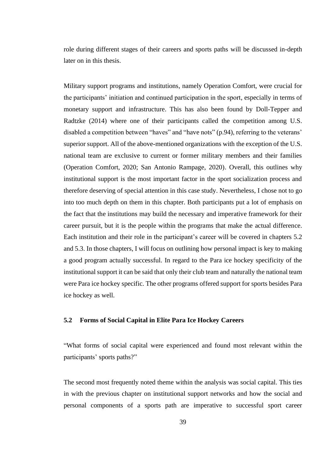role during different stages of their careers and sports paths will be discussed in-depth later on in this thesis.

Military support programs and institutions, namely Operation Comfort, were crucial for the participants' initiation and continued participation in the sport, especially in terms of monetary support and infrastructure. This has also been found by Doll-Tepper and Radtzke (2014) where one of their participants called the competition among U.S. disabled a competition between "haves" and "have nots" (p.94), referring to the veterans' superior support. All of the above-mentioned organizations with the exception of the U.S. national team are exclusive to current or former military members and their families (Operation Comfort, 2020; San Antonio Rampage, 2020). Overall, this outlines why institutional support is the most important factor in the sport socialization process and therefore deserving of special attention in this case study. Nevertheless, I chose not to go into too much depth on them in this chapter. Both participants put a lot of emphasis on the fact that the institutions may build the necessary and imperative framework for their career pursuit, but it is the people within the programs that make the actual difference. Each institution and their role in the participant's career will be covered in chapters 5.2 and 5.3. In those chapters, I will focus on outlining how personal impact is key to making a good program actually successful. In regard to the Para ice hockey specificity of the institutional support it can be said that only their club team and naturally the national team were Para ice hockey specific. The other programs offered support for sports besides Para ice hockey as well.

### **5.2 Forms of Social Capital in Elite Para Ice Hockey Careers**

"What forms of social capital were experienced and found most relevant within the participants' sports paths?"

The second most frequently noted theme within the analysis was social capital. This ties in with the previous chapter on institutional support networks and how the social and personal components of a sports path are imperative to successful sport career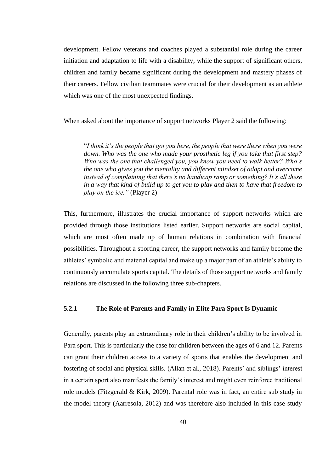development. Fellow veterans and coaches played a substantial role during the career initiation and adaptation to life with a disability, while the support of significant others, children and family became significant during the development and mastery phases of their careers. Fellow civilian teammates were crucial for their development as an athlete which was one of the most unexpected findings.

When asked about the importance of support networks Player 2 said the following:

"*I think it's the people that got you here, the people that were there when you were down. Who was the one who made your prosthetic leg if you take that first step? Who was the one that challenged you, you know you need to walk better? Who's the one who gives you the mentality and different mindset of adapt and overcome instead of complaining that there's no handicap ramp or something? It's all these in a way that kind of build up to get you to play and then to have that freedom to play on the ice."* (Player 2)

This, furthermore, illustrates the crucial importance of support networks which are provided through those institutions listed earlier. Support networks are social capital, which are most often made up of human relations in combination with financial possibilities. Throughout a sporting career, the support networks and family become the athletes' symbolic and material capital and make up a major part of an athlete's ability to continuously accumulate sports capital. The details of those support networks and family relations are discussed in the following three sub-chapters.

## **5.2.1 The Role of Parents and Family in Elite Para Sport Is Dynamic**

Generally, parents play an extraordinary role in their children's ability to be involved in Para sport. This is particularly the case for children between the ages of 6 and 12. Parents can grant their children access to a variety of sports that enables the development and fostering of social and physical skills. (Allan et al., 2018). Parents' and siblings' interest in a certain sport also manifests the family's interest and might even reinforce traditional role models (Fitzgerald & Kirk, 2009). Parental role was in fact, an entire sub study in the model theory (Aarresola, 2012) and was therefore also included in this case study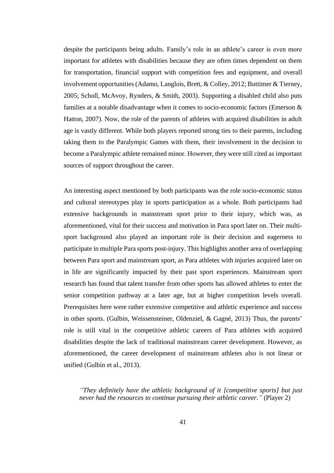despite the participants being adults. Family's role in an athlete's career is even more important for athletes with disabilities because they are often times dependent on them for transportation, financial support with competition fees and equipment, and overall involvement opportunities (Adamo, Langlois, Brett, & Colley, 2012; Buttimer & Tierney, 2005; Scholl, McAvoy, Rynders, & Smith, 2003). Supporting a disabled child also puts families at a notable disadvantage when it comes to socio-economic factors (Emerson & Hatton, 2007). Now, the role of the parents of athletes with acquired disabilities in adult age is vastly different. While both players reported strong ties to their parents, including taking them to the Paralympic Games with them, their involvement in the decision to become a Paralympic athlete remained minor. However, they were still cited as important sources of support throughout the career.

An interesting aspect mentioned by both participants was the role socio-economic status and cultural stereotypes play in sports participation as a whole. Both participants had extensive backgrounds in mainstream sport prior to their injury, which was, as aforementioned, vital for their success and motivation in Para sport later on. Their multisport background also played an important role in their decision and eagerness to participate in multiple Para sports post-injury. This highlights another area of overlapping between Para sport and mainstream sport, as Para athletes with injuries acquired later on in life are significantly impacted by their past sport experiences. Mainstream sport research has found that talent transfer from other sports has allowed athletes to enter the senior competition pathway at a later age, but at higher competition levels overall. Prerequisites here were rather extensive competitive and athletic experience and success in other sports. (Gulbin, Weissensteiner, Oldenziel, & Gagné, 2013) Thus, the parents' role is still vital in the competitive athletic careers of Para athletes with acquired disabilities despite the lack of traditional mainstream career development. However, as aforementioned, the career development of mainstream athletes also is not linear or unified (Gulbin et al., 2013).

*"They definitely have the athletic background of it [competitive sports] but just never had the resources to continue pursuing their athletic career."* (Player 2)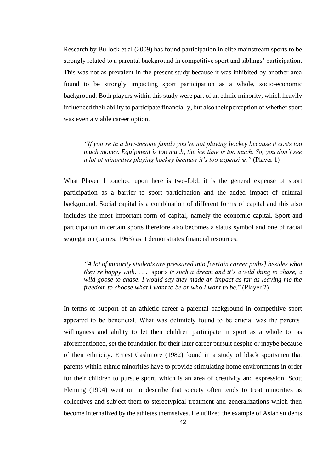Research by Bullock et al (2009) has found participation in elite mainstream sports to be strongly related to a parental background in competitive sport and siblings' participation. This was not as prevalent in the present study because it was inhibited by another area found to be strongly impacting sport participation as a whole, socio-economic background. Both players within this study were part of an ethnic minority, which heavily influenced their ability to participate financially, but also their perception of whether sport was even a viable career option.

*"If you're in a low-income family you're not playing hockey because it costs too much money. Equipment is too much, the ice time is too much. So, you don't see a lot of minorities playing hockey because it's too expensive."* (Player 1)

What Player 1 touched upon here is two-fold: it is the general expense of sport participation as a barrier to sport participation and the added impact of cultural background. Social capital is a combination of different forms of capital and this also includes the most important form of capital, namely the economic capital. Sport and participation in certain sports therefore also becomes a status symbol and one of racial segregation (James, 1963) as it demonstrates financial resources.

*"A lot of minority students are pressured into [certain career paths] besides what they're happy with. . . .* sports *is such a dream and it's a wild thing to chase, a wild goose to chase. I would say they made an impact as far as leaving me the freedom to choose what I want to be or who I want to be.*" (Player 2)

In terms of support of an athletic career a parental background in competitive sport appeared to be beneficial. What was definitely found to be crucial was the parents' willingness and ability to let their children participate in sport as a whole to, as aforementioned, set the foundation for their later career pursuit despite or maybe because of their ethnicity. Ernest Cashmore (1982) found in a study of black sportsmen that parents within ethnic minorities have to provide stimulating home environments in order for their children to pursue sport, which is an area of creativity and expression. Scott Fleming (1994) went on to describe that society often tends to treat minorities as collectives and subject them to stereotypical treatment and generalizations which then become internalized by the athletes themselves. He utilized the example of Asian students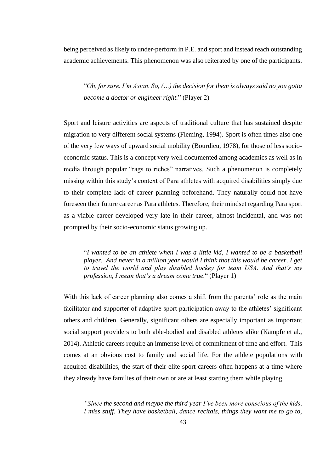being perceived as likely to under-perform in P.E. and sport and instead reach outstanding academic achievements. This phenomenon was also reiterated by one of the participants.

"*Oh, for sure. I'm Asian. So, (…) the decision for them is always said no you gotta become a doctor or engineer right.*" (Player 2)

Sport and leisure activities are aspects of traditional culture that has sustained despite migration to very different social systems (Fleming, 1994). Sport is often times also one of the very few ways of upward social mobility (Bourdieu, 1978), for those of less socioeconomic status. This is a concept very well documented among academics as well as in media through popular "rags to riches" narratives. Such a phenomenon is completely missing within this study's context of Para athletes with acquired disabilities simply due to their complete lack of career planning beforehand. They naturally could not have foreseen their future career as Para athletes. Therefore, their mindset regarding Para sport as a viable career developed very late in their career, almost incidental, and was not prompted by their socio-economic status growing up.

"*I wanted to be an athlete when I was a little kid, I wanted to be a basketball player. And never in a million year would I think that this would be career. I get to travel the world and play disabled hockey for team USA. And that's my profession, I mean that's a dream come true*." (Player 1)

With this lack of career planning also comes a shift from the parents' role as the main facilitator and supporter of adaptive sport participation away to the athletes' significant others and children. Generally, significant others are especially important as important social support providers to both able-bodied and disabled athletes alike (Kämpfe et al., 2014). Athletic careers require an immense level of commitment of time and effort. This comes at an obvious cost to family and social life. For the athlete populations with acquired disabilities, the start of their elite sport careers often happens at a time where they already have families of their own or are at least starting them while playing.

*"Since the second and maybe the third year I've been more conscious of the kids. I miss stuff. They have basketball, dance recitals, things they want me to go to,*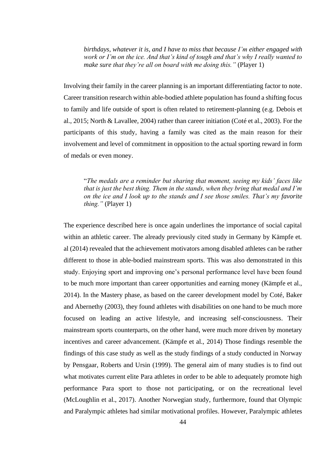*birthdays, whatever it is, and I have to miss that because I'm either engaged with work or I'm on the ice. And that's kind of tough and that's why I really wanted to make sure that they're all on board with me doing this."* (Player 1)

Involving their family in the career planning is an important differentiating factor to note. Career transition research within able-bodied athlete population has found a shifting focus to family and life outside of sport is often related to retirement-planning (e.g. Debois et al., 2015; North & Lavallee, 2004) rather than career initiation (Coté et al., 2003). For the participants of this study, having a family was cited as the main reason for their involvement and level of commitment in opposition to the actual sporting reward in form of medals or even money.

"*The medals are a reminder but sharing that moment, seeing my kids' faces like that is just the best thing. Them in the stands, when they bring that medal and I'm on the ice and I look up to the stands and I see those smiles. That's my favorite thing."* (Player 1)

The experience described here is once again underlines the importance of social capital within an athletic career. The already previously cited study in Germany by Kämpfe et. al (2014) revealed that the achievement motivators among disabled athletes can be rather different to those in able-bodied mainstream sports. This was also demonstrated in this study. Enjoying sport and improving one's personal performance level have been found to be much more important than career opportunities and earning money (Kämpfe et al., 2014). In the Mastery phase, as based on the career development model by Coté, Baker and Abernethy (2003), they found athletes with disabilities on one hand to be much more focused on leading an active lifestyle, and increasing self-consciousness. Their mainstream sports counterparts, on the other hand, were much more driven by monetary incentives and career advancement. (Kämpfe et al., 2014) Those findings resemble the findings of this case study as well as the study findings of a study conducted in Norway by Pensgaar, Roberts and Ursin (1999). The general aim of many studies is to find out what motivates current elite Para athletes in order to be able to adequately promote high performance Para sport to those not participating, or on the recreational level (McLoughlin et al., 2017). Another Norwegian study, furthermore, found that Olympic and Paralympic athletes had similar motivational profiles. However, Paralympic athletes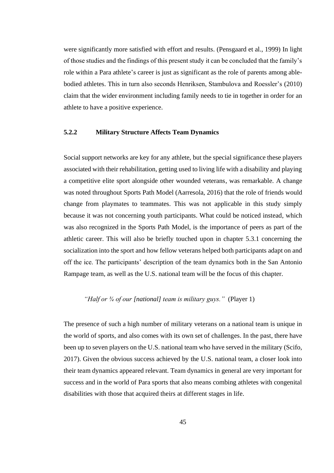were significantly more satisfied with effort and results. (Pensgaard et al., 1999) In light of those studies and the findings of this present study it can be concluded that the family's role within a Para athlete's career is just as significant as the role of parents among ablebodied athletes. This in turn also seconds Henriksen, Stambulova and Roessler's (2010) claim that the wider environment including family needs to tie in together in order for an athlete to have a positive experience.

## **5.2.2 Military Structure Affects Team Dynamics**

Social support networks are key for any athlete, but the special significance these players associated with their rehabilitation, getting used to living life with a disability and playing a competitive elite sport alongside other wounded veterans, was remarkable. A change was noted throughout Sports Path Model (Aarresola, 2016) that the role of friends would change from playmates to teammates. This was not applicable in this study simply because it was not concerning youth participants. What could be noticed instead, which was also recognized in the Sports Path Model, is the importance of peers as part of the athletic career. This will also be briefly touched upon in chapter 5.3.1 concerning the socialization into the sport and how fellow veterans helped both participants adapt on and off the ice. The participants' description of the team dynamics both in the San Antonio Rampage team, as well as the U.S. national team will be the focus of this chapter.

# *"Half or ¾ of our [national] team is military guys."* (Player 1)

The presence of such a high number of military veterans on a national team is unique in the world of sports, and also comes with its own set of challenges. In the past, there have been up to seven players on the U.S. national team who have served in the military (Scifo, 2017). Given the obvious success achieved by the U.S. national team, a closer look into their team dynamics appeared relevant. Team dynamics in general are very important for success and in the world of Para sports that also means combing athletes with congenital disabilities with those that acquired theirs at different stages in life.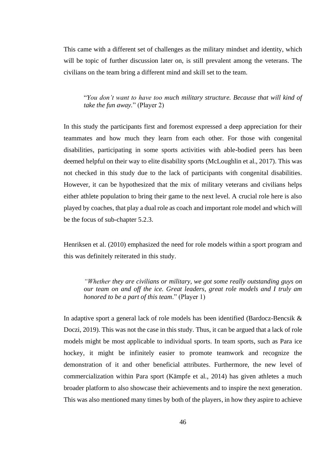This came with a different set of challenges as the military mindset and identity, which will be topic of further discussion later on, is still prevalent among the veterans. The civilians on the team bring a different mind and skill set to the team.

"*You don't want to have too much military structure. Because that will kind of take the fun away.*" (Player 2)

In this study the participants first and foremost expressed a deep appreciation for their teammates and how much they learn from each other. For those with congenital disabilities, participating in some sports activities with able-bodied peers has been deemed helpful on their way to elite disability sports (McLoughlin et al., 2017). This was not checked in this study due to the lack of participants with congenital disabilities. However, it can be hypothesized that the mix of military veterans and civilians helps either athlete population to bring their game to the next level. A crucial role here is also played by coaches, that play a dual role as coach and important role model and which will be the focus of sub-chapter 5.2.3.

Henriksen et al. (2010) emphasized the need for role models within a sport program and this was definitely reiterated in this study.

*"Whether they are civilians or military, we got some really outstanding guys on our team on and off the ice. Great leaders, great role models and I truly am honored to be a part of this team*." (Player 1)

In adaptive sport a general lack of role models has been identified (Bardocz-Bencsik & Doczi, 2019). This was not the case in this study. Thus, it can be argued that a lack of role models might be most applicable to individual sports. In team sports, such as Para ice hockey, it might be infinitely easier to promote teamwork and recognize the demonstration of it and other beneficial attributes. Furthermore, the new level of commercialization within Para sport (Kämpfe et al., 2014) has given athletes a much broader platform to also showcase their achievements and to inspire the next generation. This was also mentioned many times by both of the players, in how they aspire to achieve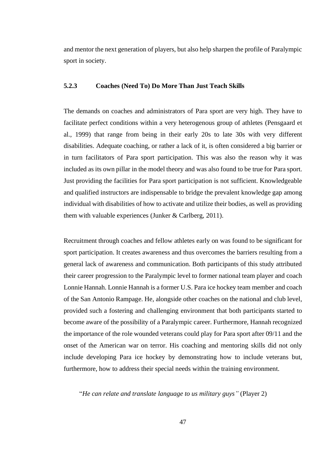and mentor the next generation of players, but also help sharpen the profile of Paralympic sport in society.

## **5.2.3 Coaches (Need To) Do More Than Just Teach Skills**

The demands on coaches and administrators of Para sport are very high. They have to facilitate perfect conditions within a very heterogenous group of athletes (Pensgaard et al., 1999) that range from being in their early 20s to late 30s with very different disabilities. Adequate coaching, or rather a lack of it, is often considered a big barrier or in turn facilitators of Para sport participation. This was also the reason why it was included as its own pillar in the model theory and was also found to be true for Para sport. Just providing the facilities for Para sport participation is not sufficient. Knowledgeable and qualified instructors are indispensable to bridge the prevalent knowledge gap among individual with disabilities of how to activate and utilize their bodies, as well as providing them with valuable experiences (Junker & Carlberg, 2011).

Recruitment through coaches and fellow athletes early on was found to be significant for sport participation. It creates awareness and thus overcomes the barriers resulting from a general lack of awareness and communication. Both participants of this study attributed their career progression to the Paralympic level to former national team player and coach Lonnie Hannah. Lonnie Hannah is a former U.S. Para ice hockey team member and coach of the San Antonio Rampage. He, alongside other coaches on the national and club level, provided such a fostering and challenging environment that both participants started to become aware of the possibility of a Paralympic career. Furthermore, Hannah recognized the importance of the role wounded veterans could play for Para sport after 09/11 and the onset of the American war on terror. His coaching and mentoring skills did not only include developing Para ice hockey by demonstrating how to include veterans but, furthermore, how to address their special needs within the training environment.

"*He can relate and translate language to us military guys"* (Player 2)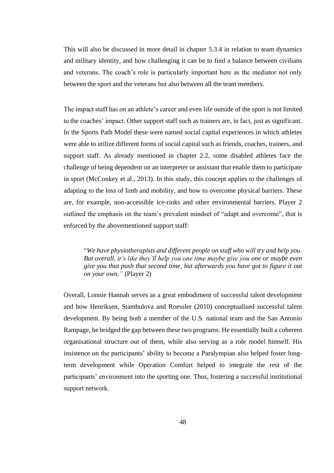This will also be discussed in more detail in chapter 5.3.4 in relation to team dynamics and military identity, and how challenging it can be to find a balance between civilians and veterans. The coach's role is particularly important here as the mediator not only between the sport and the veterans but also between all the team members.

The impact staff has on an athlete's career and even life outside of the sport is not limited to the coaches' impact. Other support staff such as trainers are, in fact, just as significant. In the Sports Path Model these were named social capital experiences in which athletes were able to utilize different forms of social capital such as friends, coaches, trainers, and support staff. As already mentioned in chapter 2.2, some disabled athletes face the challenge of being dependent on an interpreter or assistant that enable them to participate in sport (McConkey et al., 2013). In this study, this concept applies to the challenges of adapting to the loss of limb and mobility, and how to overcome physical barriers. These are, for example, non-accessible ice-rinks and other environmental barriers. Player 2 outlined the emphasis on the team's prevalent mindset of "adapt and overcome", that is enforced by the abovementioned support staff:

"*We have physiotherapists and different people on staff who will try and help you. But overall, it's like they'll help you one time maybe give you one or maybe even give you that push that second time, but afterwards you have got to figure it out on your own."* (Player 2)

Overall, Lonnie Hannah serves as a great embodiment of successful talent development and how Henriksen, Stambulova and Roessler (2010) conceptualised successful talent development. By being both a member of the U.S. national team and the San Antonio Rampage, he bridged the gap between these two programs. He essentially built a coherent organisational structure out of them, while also serving as a role model himself. His insistence on the participants' ability to become a Paralympian also helped foster longterm development while Operation Comfort helped to integrate the rest of the participants' environment into the sporting one. Thus, fostering a successful institutional support network.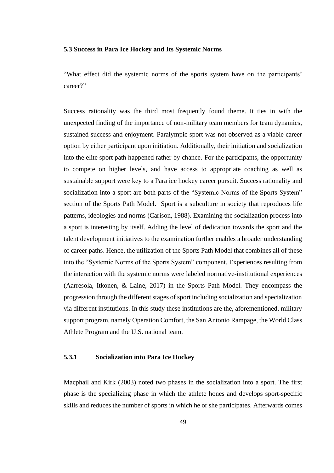#### **5.3 Success in Para Ice Hockey and Its Systemic Norms**

"What effect did the systemic norms of the sports system have on the participants' career?"

Success rationality was the third most frequently found theme. It ties in with the unexpected finding of the importance of non-military team members for team dynamics, sustained success and enjoyment. Paralympic sport was not observed as a viable career option by either participant upon initiation. Additionally, their initiation and socialization into the elite sport path happened rather by chance. For the participants, the opportunity to compete on higher levels, and have access to appropriate coaching as well as sustainable support were key to a Para ice hockey career pursuit. Success rationality and socialization into a sport are both parts of the "Systemic Norms of the Sports System" section of the Sports Path Model. Sport is a subculture in society that reproduces life patterns, ideologies and norms (Carison, 1988). Examining the socialization process into a sport is interesting by itself. Adding the level of dedication towards the sport and the talent development initiatives to the examination further enables a broader understanding of career paths. Hence, the utilization of the Sports Path Model that combines all of these into the "Systemic Norms of the Sports System" component. Experiences resulting from the interaction with the systemic norms were labeled normative-institutional experiences (Aarresola, Itkonen, & Laine, 2017) in the Sports Path Model. They encompass the progression through the different stages of sport including socialization and specialization via different institutions. In this study these institutions are the, aforementioned, military support program, namely Operation Comfort, the San Antonio Rampage, the World Class Athlete Program and the U.S. national team.

### **5.3.1 Socialization into Para Ice Hockey**

Macphail and Kirk (2003) noted two phases in the socialization into a sport. The first phase is the specializing phase in which the athlete hones and develops sport-specific skills and reduces the number of sports in which he or she participates. Afterwards comes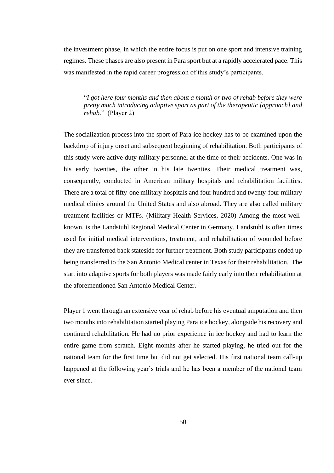the investment phase, in which the entire focus is put on one sport and intensive training regimes. These phases are also present in Para sport but at a rapidly accelerated pace. This was manifested in the rapid career progression of this study's participants.

"*I got here four months and then about a month or two of rehab before they were pretty much introducing adaptive sport as part of the therapeutic [approach] and rehab*." (Player 2)

The socialization process into the sport of Para ice hockey has to be examined upon the backdrop of injury onset and subsequent beginning of rehabilitation. Both participants of this study were active duty military personnel at the time of their accidents. One was in his early twenties, the other in his late twenties. Their medical treatment was, consequently, conducted in American military hospitals and rehabilitation facilities. There are a total of fifty-one military hospitals and four hundred and twenty-four military medical clinics around the United States and also abroad. They are also called military treatment facilities or MTFs. (Military Health Services, 2020) Among the most wellknown, is the Landstuhl Regional Medical Center in Germany. Landstuhl is often times used for initial medical interventions, treatment, and rehabilitation of wounded before they are transferred back stateside for further treatment. Both study participants ended up being transferred to the San Antonio Medical center in Texas for their rehabilitation. The start into adaptive sports for both players was made fairly early into their rehabilitation at the aforementioned San Antonio Medical Center.

Player 1 went through an extensive year of rehab before his eventual amputation and then two months into rehabilitation started playing Para ice hockey, alongside his recovery and continued rehabilitation. He had no prior experience in ice hockey and had to learn the entire game from scratch. Eight months after he started playing, he tried out for the national team for the first time but did not get selected. His first national team call-up happened at the following year's trials and he has been a member of the national team ever since.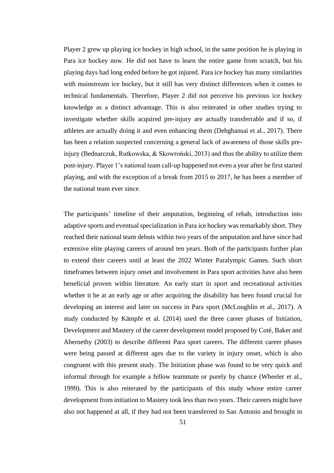Player 2 grew up playing ice hockey in high school, in the same position he is playing in Para ice hockey now. He did not have to learn the entire game from scratch, but his playing days had long ended before he got injured. Para ice hockey has many similarities with mainstream ice hockey, but it still has very distinct differences when it comes to technical fundamentals. Therefore, Player 2 did not perceive his previous ice hockey knowledge as a distinct advantage. This is also reiterated in other studies trying to investigate whether skills acquired pre-injury are actually transferrable and if so, if athletes are actually doing it and even enhancing them (Dehghansai et al., 2017). There has been a relation suspected concerning a general lack of awareness of those skills preinjury (Bednarczuk, Rutkowska, & Skowroński, 2013) and thus the ability to utilize them post-injury. Player 1's national team call-up happened not even a year after he first started playing, and with the exception of a break from 2015 to 2017, he has been a member of the national team ever since.

The participants' timeline of their amputation, beginning of rehab, introduction into adaptive sports and eventual specialization in Para ice hockey was remarkably short. They reached their national team debuts within two years of the amputation and have since had extensive elite playing careers of around ten years. Both of the participants further plan to extend their careers until at least the 2022 Winter Paralympic Games. Such short timeframes between injury onset and involvement in Para sport activities have also been beneficial proven within literature. An early start in sport and recreational activities whether it be at an early age or after acquiring the disability has been found crucial for developing an interest and later on success in Para sport (McLoughlin et al., 2017). A study conducted by Kämpfe et al. (2014) used the three career phases of Initiation, Development and Mastery of the career development model proposed by Coté, Baker and Abernethy (2003) to describe different Para sport careers. The different career phases were being passed at different ages due to the variety in injury onset, which is also congruent with this present study. The Initiation phase was found to be very quick and informal through for example a fellow teammate or purely by chance (Wheeler et al., 1999). This is also reiterated by the participants of this study whose entire career development from initiation to Mastery took less than two years. Their careers might have also not happened at all, if they had not been transferred to San Antonio and brought in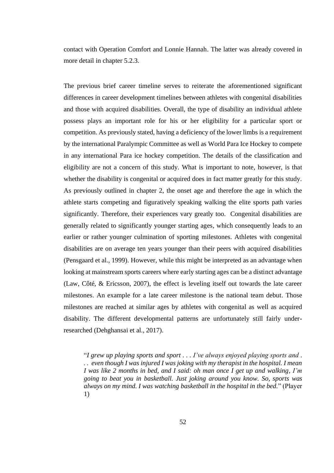contact with Operation Comfort and Lonnie Hannah. The latter was already covered in more detail in chapter 5.2.3.

The previous brief career timeline serves to reiterate the aforementioned significant differences in career development timelines between athletes with congenital disabilities and those with acquired disabilities. Overall, the type of disability an individual athlete possess plays an important role for his or her eligibility for a particular sport or competition. As previously stated, having a deficiency of the lower limbs is a requirement by the international Paralympic Committee as well as World Para Ice Hockey to compete in any international Para ice hockey competition. The details of the classification and eligibility are not a concern of this study. What is important to note, however, is that whether the disability is congenital or acquired does in fact matter greatly for this study. As previously outlined in chapter 2, the onset age and therefore the age in which the athlete starts competing and figuratively speaking walking the elite sports path varies significantly. Therefore, their experiences vary greatly too. Congenital disabilities are generally related to significantly younger starting ages, which consequently leads to an earlier or rather younger culmination of sporting milestones. Athletes with congenital disabilities are on average ten years younger than their peers with acquired disabilities (Pensgaard et al., 1999). However, while this might be interpreted as an advantage when looking at mainstream sports careers where early starting ages can be a distinct advantage (Law, Côté, & Ericsson, 2007), the effect is leveling itself out towards the late career milestones. An example for a late career milestone is the national team debut. Those milestones are reached at similar ages by athletes with congenital as well as acquired disability. The different developmental patterns are unfortunately still fairly underresearched (Dehghansai et al., 2017).

"*I grew up playing sports and sport . . . I've always enjoyed playing sports and . . . even though I was injured I was joking with my therapist in the hospital. I mean I was like 2 months in bed, and I said: oh man once I get up and walking, I'm going to beat you in basketball. Just joking around you know. So, sports was always on my mind. I was watching basketball in the hospital in the bed.*" (Player 1)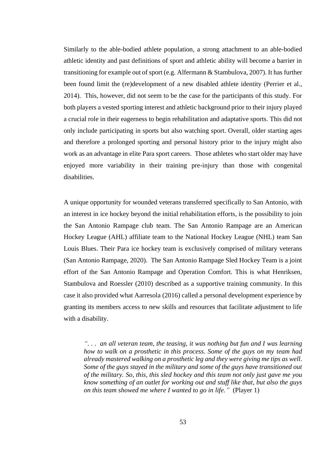Similarly to the able-bodied athlete population, a strong attachment to an able-bodied athletic identity and past definitions of sport and athletic ability will become a barrier in transitioning for example out of sport (e.g. Alfermann & Stambulova, 2007). It has further been found limit the (re)development of a new disabled athlete identity (Perrier et al., 2014). This, however, did not seem to be the case for the participants of this study. For both players a vested sporting interest and athletic background prior to their injury played a crucial role in their eagerness to begin rehabilitation and adaptative sports. This did not only include participating in sports but also watching sport. Overall, older starting ages and therefore a prolonged sporting and personal history prior to the injury might also work as an advantage in elite Para sport careers. Those athletes who start older may have enjoyed more variability in their training pre-injury than those with congenital disabilities.

A unique opportunity for wounded veterans transferred specifically to San Antonio, with an interest in ice hockey beyond the initial rehabilitation efforts, is the possibility to join the San Antonio Rampage club team. The San Antonio Rampage are an American Hockey League (AHL) affiliate team to the National Hockey League (NHL) team San Louis Blues. Their Para ice hockey team is exclusively comprised of military veterans (San Antonio Rampage, 2020). The San Antonio Rampage Sled Hockey Team is a joint effort of the San Antonio Rampage and Operation Comfort. This is what Henriksen, Stambulova and Roessler (2010) described as a supportive training community. In this case it also provided what Aarresola (2016) called a personal development experience by granting its members access to new skills and resources that facilitate adjustment to life with a disability.

*". . . an all veteran team, the teasing, it was nothing but fun and I was learning how to walk on a prosthetic in this process. Some of the guys on my team had already mastered walking on a prosthetic leg and they were giving me tips as well. Some of the guys stayed in the military and some of the guys have transitioned out of the military. So, this, this sled hockey and this team not only just gave me you know something of an outlet for working out and stuff like that, but also the guys on this team showed me where I wanted to go in life."* (Player 1)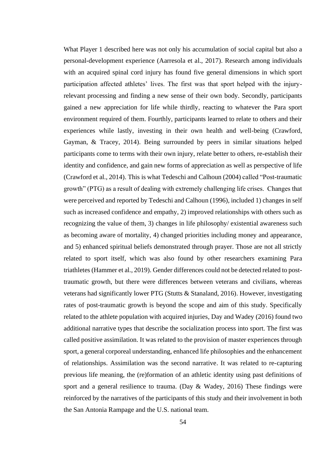What Player 1 described here was not only his accumulation of social capital but also a personal-development experience (Aarresola et al., 2017). Research among individuals with an acquired spinal cord injury has found five general dimensions in which sport participation affected athletes' lives. The first was that sport helped with the injuryrelevant processing and finding a new sense of their own body. Secondly, participants gained a new appreciation for life while thirdly, reacting to whatever the Para sport environment required of them. Fourthly, participants learned to relate to others and their experiences while lastly, investing in their own health and well-being (Crawford, Gayman, & Tracey, 2014). Being surrounded by peers in similar situations helped participants come to terms with their own injury, relate better to others, re-establish their identity and confidence, and gain new forms of appreciation as well as perspective of life (Crawford et al., 2014). This is what Tedeschi and Calhoun (2004) called "Post-traumatic growth" (PTG) as a result of dealing with extremely challenging life crises. Changes that were perceived and reported by Tedeschi and Calhoun (1996), included 1) changes in self such as increased confidence and empathy, 2) improved relationships with others such as recognizing the value of them, 3) changes in life philosophy/ existential awareness such as becoming aware of mortality, 4) changed priorities including money and appearance, and 5) enhanced spiritual beliefs demonstrated through prayer. Those are not all strictly related to sport itself, which was also found by other researchers examining Para triathletes (Hammer et al., 2019). Gender differences could not be detected related to posttraumatic growth, but there were differences between veterans and civilians, whereas veterans had significantly lower PTG (Stutts & Stanaland, 2016). However, investigating rates of post-traumatic growth is beyond the scope and aim of this study. Specifically related to the athlete population with acquired injuries, Day and Wadey (2016) found two additional narrative types that describe the socialization process into sport. The first was called positive assimilation. It was related to the provision of master experiences through sport, a general corporeal understanding, enhanced life philosophies and the enhancement of relationships. Assimilation was the second narrative. It was related to re-capturing previous life meaning, the (re)formation of an athletic identity using past definitions of sport and a general resilience to trauma. (Day & Wadey, 2016) These findings were reinforced by the narratives of the participants of this study and their involvement in both the San Antonia Rampage and the U.S. national team.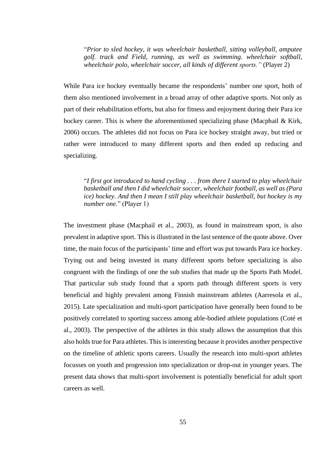"*Prior to sled hockey, it was wheelchair basketball, sitting volleyball, amputee golf. track and Field, running, as well as swimming. wheelchair softball, wheelchair polo, wheelchair soccer, all kinds of different sports."* (Player 2)

While Para ice hockey eventually became the respondents' number one sport, both of them also mentioned involvement in a broad array of other adaptive sports. Not only as part of their rehabilitation efforts, but also for fitness and enjoyment during their Para ice hockey career. This is where the aforementioned specializing phase (Macphail & Kirk, 2006) occurs. The athletes did not focus on Para ice hockey straight away, but tried or rather were introduced to many different sports and then ended up reducing and specializing.

"*I first got introduced to hand cycling . . . from there I started to play wheelchair basketball and then I did wheelchair soccer, wheelchair football, as well as (Para ice) hockey. And then I mean I still play wheelchair basketball, but hockey is my number one.*" (Player 1)

The investment phase (Macphail et al., 2003), as found in mainstream sport, is also prevalent in adaptive sport. This is illustrated in the last sentence of the quote above. Over time, the main focus of the participants' time and effort was put towards Para ice hockey. Trying out and being invested in many different sports before specializing is also congruent with the findings of one the sub studies that made up the Sports Path Model. That particular sub study found that a sports path through different sports is very beneficial and highly prevalent among Finnish mainstream athletes (Aarresola et al., 2015). Late specialization and multi-sport participation have generally been found to be positively correlated to sporting success among able-bodied athlete populations (Coté et al., 2003). The perspective of the athletes in this study allows the assumption that this also holds true for Para athletes. This is interesting because it provides another perspective on the timeline of athletic sports careers. Usually the research into multi-sport athletes focusses on youth and progression into specialization or drop-out in younger years. The present data shows that multi-sport involvement is potentially beneficial for adult sport careers as well.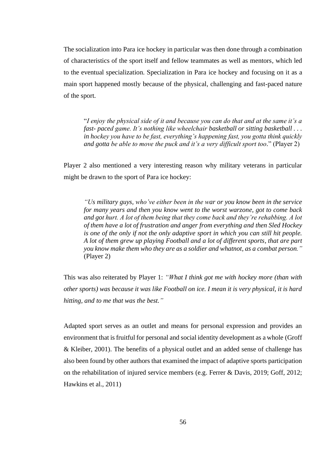The socialization into Para ice hockey in particular was then done through a combination of characteristics of the sport itself and fellow teammates as well as mentors, which led to the eventual specialization. Specialization in Para ice hockey and focusing on it as a main sport happened mostly because of the physical, challenging and fast-paced nature of the sport.

"*I enjoy the physical side of it and because you can do that and at the same it's a fast- paced game. It's nothing like wheelchair basketball or sitting basketball . . . in hockey you have to be fast, everything's happening fast, you gotta think quickly and gotta be able to move the puck and it's a very difficult sport too.*" (Player 2)

Player 2 also mentioned a very interesting reason why military veterans in particular might be drawn to the sport of Para ice hockey:

*"Us military guys, who've either been in the war or you know been in the service for many years and then you know went to the worst warzone, got to come back and got hurt. A lot of them being that they come back and they're rehabbing. A lot of them have a lot of frustration and anger from everything and then Sled Hockey is one of the only if not the only adaptive sport in which you can still hit people. A lot of them grew up playing Football and a lot of different sports, that are part you know make them who they are as a soldier and whatnot, as a combat person."* (Player 2)

This was also reiterated by Player 1: *"What I think got me with hockey more (than with other sports) was because it was like Football on ice. I mean it is very physical, it is hard hitting, and to me that was the best."*

Adapted sport serves as an outlet and means for personal expression and provides an environment that is fruitful for personal and social identity development as a whole (Groff & Kleiber, 2001). The benefits of a physical outlet and an added sense of challenge has also been found by other authors that examined the impact of adaptive sports participation on the rehabilitation of injured service members (e.g. Ferrer & Davis, 2019; Goff, 2012; Hawkins et al., 2011)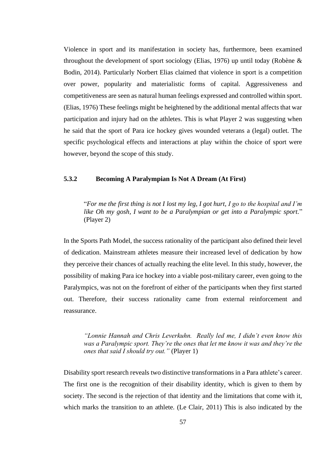Violence in sport and its manifestation in society has, furthermore, been examined throughout the development of sport sociology (Elias, 1976) up until today (Robène & Bodin, 2014). Particularly Norbert Elias claimed that violence in sport is a competition over power, popularity and materialistic forms of capital. Aggressiveness and competitiveness are seen as natural human feelings expressed and controlled within sport. (Elias, 1976) These feelings might be heightened by the additional mental affects that war participation and injury had on the athletes. This is what Player 2 was suggesting when he said that the sport of Para ice hockey gives wounded veterans a (legal) outlet. The specific psychological effects and interactions at play within the choice of sport were however, beyond the scope of this study.

## **5.3.2 Becoming A Paralympian Is Not A Dream (At First)**

"*For me the first thing is not I lost my leg, I got hurt, I go to the hospital and I'm like Oh my gosh, I want to be a Paralympian or get into a Paralympic sport.*" (Player 2)

In the Sports Path Model, the success rationality of the participant also defined their level of dedication. Mainstream athletes measure their increased level of dedication by how they perceive their chances of actually reaching the elite level. In this study, however, the possibility of making Para ice hockey into a viable post-military career, even going to the Paralympics, was not on the forefront of either of the participants when they first started out. Therefore, their success rationality came from external reinforcement and reassurance.

*"Lonnie Hannah and Chris Leverkuhn. Really led me, I didn't even know this was a Paralympic sport. They're the ones that let me know it was and they're the ones that said I should try out."* (Player 1)

Disability sport research reveals two distinctive transformations in a Para athlete's career. The first one is the recognition of their disability identity, which is given to them by society. The second is the rejection of that identity and the limitations that come with it, which marks the transition to an athlete. (Le Clair, 2011) This is also indicated by the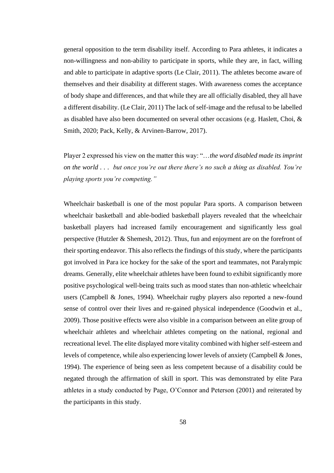general opposition to the term disability itself. According to Para athletes, it indicates a non-willingness and non-ability to participate in sports, while they are, in fact, willing and able to participate in adaptive sports (Le Clair, 2011). The athletes become aware of themselves and their disability at different stages. With awareness comes the acceptance of body shape and differences, and that while they are all officially disabled, they all have a different disability. (Le Clair, 2011) The lack of self-image and the refusal to be labelled as disabled have also been documented on several other occasions (e.g. Haslett, Choi, & Smith, 2020; Pack, Kelly, & Arvinen-Barrow, 2017).

Player 2 expressed his view on the matter this way: "…*the word disabled made its imprint on the world . . . but once you're out there there's no such a thing as disabled. You're playing sports you're competing."*

Wheelchair basketball is one of the most popular Para sports. A comparison between wheelchair basketball and able-bodied basketball players revealed that the wheelchair basketball players had increased family encouragement and significantly less goal perspective (Hutzler & Shemesh, 2012). Thus, fun and enjoyment are on the forefront of their sporting endeavor. This also reflects the findings of this study, where the participants got involved in Para ice hockey for the sake of the sport and teammates, not Paralympic dreams. Generally, elite wheelchair athletes have been found to exhibit significantly more positive psychological well-being traits such as mood states than non-athletic wheelchair users (Campbell & Jones, 1994). Wheelchair rugby players also reported a new-found sense of control over their lives and re-gained physical independence (Goodwin et al., 2009). Those positive effects were also visible in a comparison between an elite group of wheelchair athletes and wheelchair athletes competing on the national, regional and recreational level. The elite displayed more vitality combined with higher self-esteem and levels of competence, while also experiencing lower levels of anxiety (Campbell & Jones, 1994). The experience of being seen as less competent because of a disability could be negated through the affirmation of skill in sport. This was demonstrated by elite Para athletes in a study conducted by Page, O'Connor and Peterson (2001) and reiterated by the participants in this study.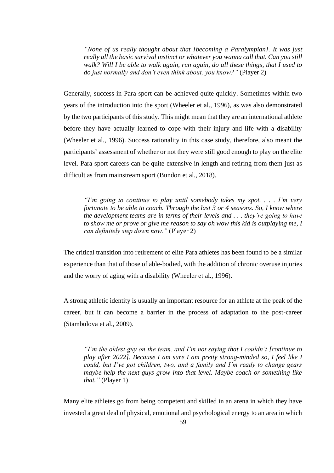*"None of us really thought about that [becoming a Paralympian]. It was just really all the basic survival instinct or whatever you wanna call that. Can you still walk? Will I be able to walk again, run again, do all these things, that I used to do just normally and don't even think about, you know?"* (Player 2)

Generally, success in Para sport can be achieved quite quickly. Sometimes within two years of the introduction into the sport (Wheeler et al., 1996), as was also demonstrated by the two participants of this study. This might mean that they are an international athlete before they have actually learned to cope with their injury and life with a disability (Wheeler et al., 1996). Success rationality in this case study, therefore, also meant the participants' assessment of whether or not they were still good enough to play on the elite level. Para sport careers can be quite extensive in length and retiring from them just as difficult as from mainstream sport (Bundon et al., 2018).

*"I'm going to continue to play until somebody takes my spot. . . . I'm very fortunate to be able to coach. Through the last 3 or 4 seasons. So, I know where the development teams are in terms of their levels and . . . they're going to have to show me or prove or give me reason to say oh wow this kid is outplaying me, I can definitely step down now."* (Player 2)

The critical transition into retirement of elite Para athletes has been found to be a similar experience than that of those of able-bodied, with the addition of chronic overuse injuries and the worry of aging with a disability (Wheeler et al., 1996).

A strong athletic identity is usually an important resource for an athlete at the peak of the career, but it can become a barrier in the process of adaptation to the post-career (Stambulova et al., 2009).

*"I'm the oldest guy on the team. and I'm not saying that I couldn't [continue to play after 2022]. Because I am sure I am pretty strong-minded so, I feel like I could, but I've got children, two, and a family and I'm ready to change gears maybe help the next guys grow into that level. Maybe coach or something like that."* (Player 1)

Many elite athletes go from being competent and skilled in an arena in which they have invested a great deal of physical, emotional and psychological energy to an area in which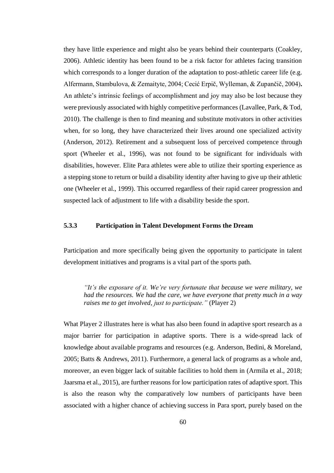they have little experience and might also be years behind their counterparts (Coakley, 2006). Athletic identity has been found to be a risk factor for athletes facing transition which corresponds to a longer duration of the adaptation to post-athletic career life (e.g. Alfermann, Stambulova, & Zemaityte, 2004; Cecić Erpič, Wylleman, & Zupančič, 2004)**.**  An athlete's intrinsic feelings of accomplishment and joy may also be lost because they were previously associated with highly competitive performances (Lavallee, Park, & Tod, 2010). The challenge is then to find meaning and substitute motivators in other activities when, for so long, they have characterized their lives around one specialized activity (Anderson, 2012). Retirement and a subsequent loss of perceived competence through sport (Wheeler et al., 1996), was not found to be significant for individuals with disabilities, however. Elite Para athletes were able to utilize their sporting experience as a stepping stone to return or build a disability identity after having to give up their athletic one (Wheeler et al., 1999). This occurred regardless of their rapid career progression and suspected lack of adjustment to life with a disability beside the sport.

### **5.3.3 Participation in Talent Development Forms the Dream**

Participation and more specifically being given the opportunity to participate in talent development initiatives and programs is a vital part of the sports path.

*"It's the exposure of it. We're very fortunate that because we were military, we had the resources. We had the care, we have everyone that pretty much in a way raises me to get involved, just to participate."* (Player 2)

What Player 2 illustrates here is what has also been found in adaptive sport research as a major barrier for participation in adaptive sports. There is a wide-spread lack of knowledge about available programs and resources (e.g. Anderson, Bedini, & Moreland, 2005; Batts & Andrews, 2011). Furthermore, a general lack of programs as a whole and, moreover, an even bigger lack of suitable facilities to hold them in (Armila et al., 2018; Jaarsma et al., 2015), are further reasons for low participation rates of adaptive sport. This is also the reason why the comparatively low numbers of participants have been associated with a higher chance of achieving success in Para sport, purely based on the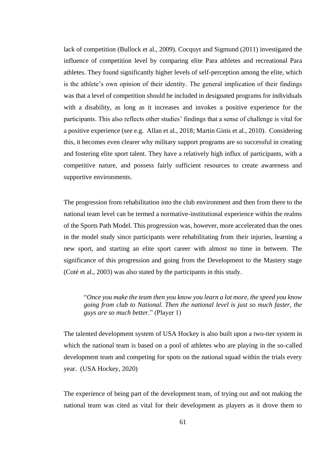lack of competition (Bullock et al., 2009). Cocquyt and Sigmund (2011) investigated the influence of competition level by comparing elite Para athletes and recreational Para athletes. They found significantly higher levels of self-perception among the elite, which is the athlete's own opinion of their identity. The general implication of their findings was that a level of competition should be included in designated programs for individuals with a disability, as long as it increases and invokes a positive experience for the participants. This also reflects other studies' findings that a sense of challenge is vital for a positive experience (see e.g. Allan et al., 2018; Martin Ginis et al., 2010). Considering this, it becomes even clearer why military support programs are so successful in creating and fostering elite sport talent. They have a relatively high influx of participants, with a competitive nature, and possess fairly sufficient resources to create awareness and supportive environments.

The progression from rehabilitation into the club environment and then from there to the national team level can be termed a normative-institutional experience within the realms of the Sports Path Model. This progression was, however, more accelerated than the ones in the model study since participants were rehabilitating from their injuries, learning a new sport, and starting an elite sport career with almost no time in between. The significance of this progression and going from the Development to the Mastery stage (Coté et al., 2003) was also stated by the participants in this study.

"*Once you make the team then you know you learn a lot more, the speed you know going from club to National. Then the national level is just so much faster, the guys are so much better*." (Player 1)

The talented development system of USA Hockey is also built upon a two-tier system in which the national team is based on a pool of athletes who are playing in the so-called development team and competing for spots on the national squad within the trials every year. (USA Hockey, 2020)

The experience of being part of the development team, of trying out and not making the national team was cited as vital for their development as players as it drove them to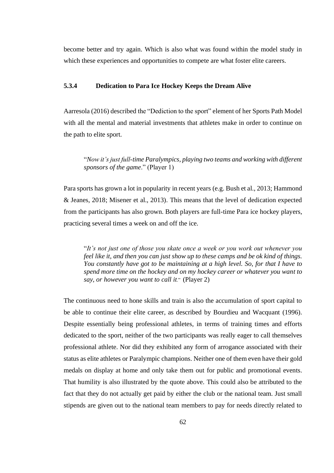become better and try again. Which is also what was found within the model study in which these experiences and opportunities to compete are what foster elite careers.

## **5.3.4 Dedication to Para Ice Hockey Keeps the Dream Alive**

Aarresola (2016) described the "Dediction to the sport" element of her Sports Path Model with all the mental and material investments that athletes make in order to continue on the path to elite sport.

"*Now it's just full-time Paralympics, playing two teams and working with different sponsors of the game*." (Player 1)

Para sports has grown a lot in popularity in recent years (e.g. Bush et al., 2013; Hammond & Jeanes, 2018; Misener et al., 2013). This means that the level of dedication expected from the participants has also grown. Both players are full-time Para ice hockey players, practicing several times a week on and off the ice.

"*It's not just one of those you skate once a week or you work out whenever you feel like it, and then you can just show up to these camps and be ok kind of things. You constantly have got to be maintaining at a high level. So, for that I have to spend more time on the hockey and on my hockey career or whatever you want to say, or however you want to call it*." (Player 2)

The continuous need to hone skills and train is also the accumulation of sport capital to be able to continue their elite career, as described by Bourdieu and Wacquant (1996). Despite essentially being professional athletes, in terms of training times and efforts dedicated to the sport, neither of the two participants was really eager to call themselves professional athlete. Nor did they exhibited any form of arrogance associated with their status as elite athletes or Paralympic champions. Neither one of them even have their gold medals on display at home and only take them out for public and promotional events. That humility is also illustrated by the quote above. This could also be attributed to the fact that they do not actually get paid by either the club or the national team. Just small stipends are given out to the national team members to pay for needs directly related to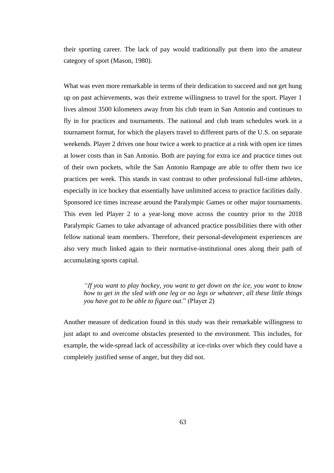their sporting career. The lack of pay would traditionally put them into the amateur category of sport (Mason, 1980).

What was even more remarkable in terms of their dedication to succeed and not get hung up on past achievements, was their extreme willingness to travel for the sport. Player 1 lives almost 3500 kilometers away from his club team in San Antonio and continues to fly in for practices and tournaments. The national and club team schedules work in a tournament format, for which the players travel to different parts of the U.S. on separate weekends. Player 2 drives one hour twice a week to practice at a rink with open ice times at lower costs than in San Antonio. Both are paying for extra ice and practice times out of their own pockets, while the San Antonio Rampage are able to offer them two ice practices per week. This stands in vast contrast to other professional full-time athletes, especially in ice hockey that essentially have unlimited access to practice facilities daily. Sponsored ice times increase around the Paralympic Games or other major tournaments. This even led Player 2 to a year-long move across the country prior to the 2018 Paralympic Games to take advantage of advanced practice possibilities there with other fellow national team members. Therefore, their personal-development experiences are also very much linked again to their normative-institutional ones along their path of accumulating sports capital.

*"If you want to play hockey, you want to get down on the ice, you want to know how to get in the sled with one leg or no legs or whatever, all these little things you have got to be able to figure out*." (Player 2)

Another measure of dedication found in this study was their remarkable willingness to just adapt to and overcome obstacles presented to the environment. This includes, for example, the wide-spread lack of accessibility at ice-rinks over which they could have a completely justified sense of anger, but they did not.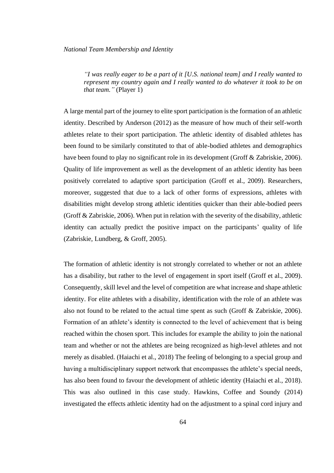*"I was really eager to be a part of it [U.S. national team] and I really wanted to represent my country again and I really wanted to do whatever it took to be on that team."* (Player 1)

A large mental part of the journey to elite sport participation is the formation of an athletic identity. Described by Anderson (2012) as the measure of how much of their self-worth athletes relate to their sport participation. The athletic identity of disabled athletes has been found to be similarly constituted to that of able-bodied athletes and demographics have been found to play no significant role in its development (Groff & Zabriskie, 2006). Quality of life improvement as well as the development of an athletic identity has been positively correlated to adaptive sport participation (Groff et al., 2009). Researchers, moreover, suggested that due to a lack of other forms of expressions, athletes with disabilities might develop strong athletic identities quicker than their able-bodied peers (Groff & Zabriskie, 2006). When put in relation with the severity of the disability, athletic identity can actually predict the positive impact on the participants' quality of life (Zabriskie, Lundberg, & Groff, 2005).

The formation of athletic identity is not strongly correlated to whether or not an athlete has a disability, but rather to the level of engagement in sport itself (Groff et al., 2009). Consequently, skill level and the level of competition are what increase and shape athletic identity. For elite athletes with a disability, identification with the role of an athlete was also not found to be related to the actual time spent as such (Groff & Zabriskie, 2006). Formation of an athlete's identity is connected to the level of achievement that is being reached within the chosen sport. This includes for example the ability to join the national team and whether or not the athletes are being recognized as high-level athletes and not merely as disabled. (Haiachi et al., 2018) The feeling of belonging to a special group and having a multidisciplinary support network that encompasses the athlete's special needs, has also been found to favour the development of athletic identity (Haiachi et al., 2018). This was also outlined in this case study. Hawkins, Coffee and Soundy (2014) investigated the effects athletic identity had on the adjustment to a spinal cord injury and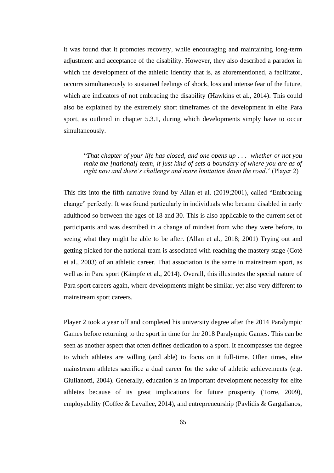it was found that it promotes recovery, while encouraging and maintaining long-term adjustment and acceptance of the disability. However, they also described a paradox in which the development of the athletic identity that is, as aforementioned, a facilitator, occurrs simultaneously to sustained feelings of shock, loss and intense fear of the future, which are indicators of not embracing the disability (Hawkins et al., 2014). This could also be explained by the extremely short timeframes of the development in elite Para sport, as outlined in chapter 5.3.1, during which developments simply have to occur simultaneously.

"*That chapter of your life has closed, and one opens up . . . whether or not you make the [national] team, it just kind of sets a boundary of where you are as of right now and there's challenge and more limitation down the road.*" (Player 2)

This fits into the fifth narrative found by Allan et al. (2019;2001), called "Embracing change" perfectly. It was found particularly in individuals who became disabled in early adulthood so between the ages of 18 and 30. This is also applicable to the current set of participants and was described in a change of mindset from who they were before, to seeing what they might be able to be after. (Allan et al., 2018; 2001) Trying out and getting picked for the national team is associated with reaching the mastery stage (Coté et al., 2003) of an athletic career. That association is the same in mainstream sport, as well as in Para sport (Kämpfe et al., 2014). Overall, this illustrates the special nature of Para sport careers again, where developments might be similar, yet also very different to mainstream sport careers.

Player 2 took a year off and completed his university degree after the 2014 Paralympic Games before returning to the sport in time for the 2018 Paralympic Games. This can be seen as another aspect that often defines dedication to a sport. It encompasses the degree to which athletes are willing (and able) to focus on it full-time. Often times, elite mainstream athletes sacrifice a dual career for the sake of athletic achievements (e.g. Giulianotti, 2004). Generally, education is an important development necessity for elite athletes because of its great implications for future prosperity (Torre, 2009), employability (Coffee & Lavallee, 2014), and entrepreneurship (Pavlidis & Gargalianos,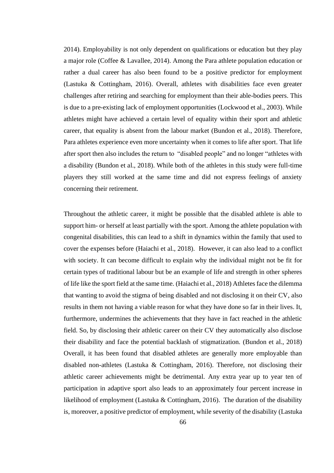2014). Employability is not only dependent on qualifications or education but they play a major role (Coffee & Lavallee, 2014). Among the Para athlete population education or rather a dual career has also been found to be a positive predictor for employment (Lastuka & Cottingham, 2016). Overall, athletes with disabilities face even greater challenges after retiring and searching for employment than their able-bodies peers. This is due to a pre-existing lack of employment opportunities (Lockwood et al., 2003). While athletes might have achieved a certain level of equality within their sport and athletic career, that equality is absent from the labour market (Bundon et al., 2018). Therefore, Para athletes experience even more uncertainty when it comes to life after sport. That life after sport then also includes the return to "disabled people" and no longer "athletes with a disability (Bundon et al., 2018). While both of the athletes in this study were full-time players they still worked at the same time and did not express feelings of anxiety concerning their retirement.

Throughout the athletic career, it might be possible that the disabled athlete is able to support him- or herself at least partially with the sport. Among the athlete population with congenital disabilities, this can lead to a shift in dynamics within the family that used to cover the expenses before (Haiachi et al., 2018). However, it can also lead to a conflict with society. It can become difficult to explain why the individual might not be fit for certain types of traditional labour but be an example of life and strength in other spheres of life like the sport field at the same time. (Haiachi et al., 2018) Athletes face the dilemma that wanting to avoid the stigma of being disabled and not disclosing it on their CV, also results in them not having a viable reason for what they have done so far in their lives. It, furthermore, undermines the achievements that they have in fact reached in the athletic field. So, by disclosing their athletic career on their CV they automatically also disclose their disability and face the potential backlash of stigmatization. (Bundon et al., 2018) Overall, it has been found that disabled athletes are generally more employable than disabled non-athletes (Lastuka & Cottingham, 2016). Therefore, not disclosing their athletic career achievements might be detrimental. Any extra year up to year ten of participation in adaptive sport also leads to an approximately four percent increase in likelihood of employment (Lastuka & Cottingham, 2016). The duration of the disability is, moreover, a positive predictor of employment, while severity of the disability (Lastuka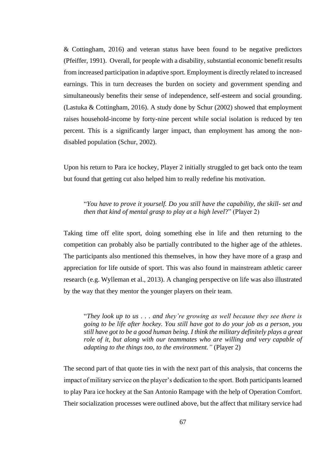& Cottingham, 2016) and veteran status have been found to be negative predictors (Pfeiffer, 1991). Overall, for people with a disability, substantial economic benefit results from increased participation in adaptive sport. Employment is directly related to increased earnings. This in turn decreases the burden on society and government spending and simultaneously benefits their sense of independence, self-esteem and social grounding. (Lastuka & Cottingham, 2016). A study done by Schur (2002) showed that employment raises household-income by forty-nine percent while social isolation is reduced by ten percent. This is a significantly larger impact, than employment has among the nondisabled population (Schur, 2002).

Upon his return to Para ice hockey, Player 2 initially struggled to get back onto the team but found that getting cut also helped him to really redefine his motivation.

"*You have to prove it yourself. Do you still have the capability, the skill- set and then that kind of mental grasp to play at a high level*?" (Player 2)

Taking time off elite sport, doing something else in life and then returning to the competition can probably also be partially contributed to the higher age of the athletes. The participants also mentioned this themselves, in how they have more of a grasp and appreciation for life outside of sport. This was also found in mainstream athletic career research (e.g. Wylleman et al., 2013). A changing perspective on life was also illustrated by the way that they mentor the younger players on their team.

"*They look up to us . . . and they're growing as well because they see there is going to be life after hockey. You still have got to do your job as a person, you still have got to be a good human being. I think the military definitely plays a great role of it, but along with our teammates who are willing and very capable of adapting to the things too, to the environment."* (Player 2)

The second part of that quote ties in with the next part of this analysis, that concerns the impact of military service on the player's dedication to the sport. Both participants learned to play Para ice hockey at the San Antonio Rampage with the help of Operation Comfort. Their socialization processes were outlined above, but the affect that military service had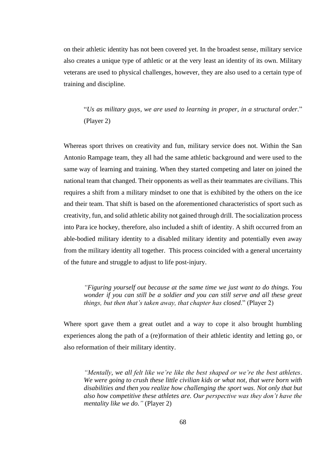on their athletic identity has not been covered yet. In the broadest sense, military service also creates a unique type of athletic or at the very least an identity of its own. Military veterans are used to physical challenges, however, they are also used to a certain type of training and discipline.

"*Us as military guys, we are used to learning in proper, in a structural order.*" (Player 2)

Whereas sport thrives on creativity and fun, military service does not. Within the San Antonio Rampage team, they all had the same athletic background and were used to the same way of learning and training. When they started competing and later on joined the national team that changed. Their opponents as well as their teammates are civilians. This requires a shift from a military mindset to one that is exhibited by the others on the ice and their team. That shift is based on the aforementioned characteristics of sport such as creativity, fun, and solid athletic ability not gained through drill. The socialization process into Para ice hockey, therefore, also included a shift of identity. A shift occurred from an able-bodied military identity to a disabled military identity and potentially even away from the military identity all together. This process coincided with a general uncertainty of the future and struggle to adjust to life post-injury.

*"Figuring yourself out because at the same time we just want to do things. You wonder if you can still be a soldier and you can still serve and all these great things, but then that's taken away, that chapter has closed*." (Player 2)

Where sport gave them a great outlet and a way to cope it also brought humbling experiences along the path of a (re)formation of their athletic identity and letting go, or also reformation of their military identity.

*"Mentally, we all felt like we're like the best shaped or we're the best athletes. We were going to crush these little civilian kids or what not, that were born with disabilities and then you realize how challenging the sport was. Not only that but also how competitive these athletes are. Our perspective was they don't have the mentality like we do."* (Player 2)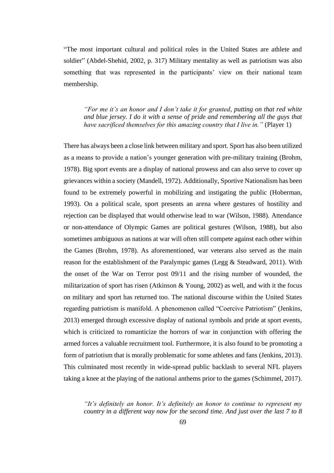"The most important cultural and political roles in the United States are athlete and soldier" (Abdel-Shehid, 2002, p. 317) Military mentality as well as patriotism was also something that was represented in the participants' view on their national team membership.

*"For me it's an honor and I don't take it for granted, putting on that red white and blue jersey. I do it with a sense of pride and remembering all the guys that have sacrificed themselves for this amazing country that I live in."* (Player 1)

There has always been a close link between military and sport. Sport has also been utilized as a means to provide a nation's younger generation with pre-military training (Brohm, 1978). Big sport events are a display of national prowess and can also serve to cover up grievances within a society (Mandell, 1972). Additionally, Sportive Nationalism has been found to be extremely powerful in mobilizing and instigating the public (Hoberman, 1993). On a political scale, sport presents an arena where gestures of hostility and rejection can be displayed that would otherwise lead to war (Wilson, 1988). Attendance or non-attendance of Olympic Games are political gestures (Wilson, 1988), but also sometimes ambiguous as nations at war will often still compete against each other within the Games (Brohm, 1978). As aforementioned, war veterans also served as the main reason for the establishment of the Paralympic games (Legg & Steadward, 2011). With the onset of the War on Terror post 09/11 and the rising number of wounded, the militarization of sport has risen (Atkinson  $& Young, 2002$ ) as well, and with it the focus on military and sport has returned too. The national discourse within the United States regarding patriotism is manifold. A phenomenon called "Coercive Patriotism" (Jenkins, 2013) emerged through excessive display of national symbols and pride at sport events, which is criticized to romanticize the horrors of war in conjunction with offering the armed forces a valuable recruitment tool. Furthermore, it is also found to be promoting a form of patriotism that is morally problematic for some athletes and fans (Jenkins, 2013). This culminated most recently in wide-spread public backlash to several NFL players taking a knee at the playing of the national anthems prior to the games (Schimmel, 2017).

*"It's definitely an honor. It's definitely an honor to continue to represent my country in a different way now for the second time. And just over the last 7 to 8*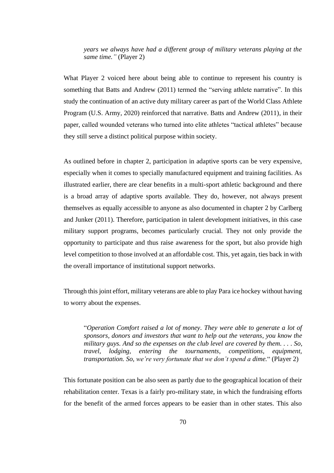*years we always have had a different group of military veterans playing at the same time."* (Player 2)

What Player 2 voiced here about being able to continue to represent his country is something that Batts and Andrew (2011) termed the "serving athlete narrative". In this study the continuation of an active duty military career as part of the World Class Athlete Program (U.S. Army, 2020) reinforced that narrative. Batts and Andrew (2011), in their paper, called wounded veterans who turned into elite athletes "tactical athletes" because they still serve a distinct political purpose within society.

As outlined before in chapter 2, participation in adaptive sports can be very expensive, especially when it comes to specially manufactured equipment and training facilities. As illustrated earlier, there are clear benefits in a multi-sport athletic background and there is a broad array of adaptive sports available. They do, however, not always present themselves as equally accessible to anyone as also documented in chapter 2 by Carlberg and Junker (2011). Therefore, participation in talent development initiatives, in this case military support programs, becomes particularly crucial. They not only provide the opportunity to participate and thus raise awareness for the sport, but also provide high level competition to those involved at an affordable cost. This, yet again, ties back in with the overall importance of institutional support networks.

Through this joint effort, military veterans are able to play Para ice hockey without having to worry about the expenses.

"*Operation Comfort raised a lot of money. They were able to generate a lot of sponsors, donors and investors that want to help out the veterans, you know the military guys. And so the expenses on the club level are covered by them. . . . So, travel, lodging, entering the tournaments, competitions, equipment, transportation. So, we're very fortunate that we don't spend a dime.*" (Player 2)

This fortunate position can be also seen as partly due to the geographical location of their rehabilitation center. Texas is a fairly pro-military state, in which the fundraising efforts for the benefit of the armed forces appears to be easier than in other states. This also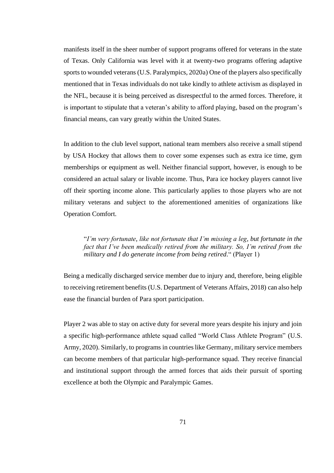manifests itself in the sheer number of support programs offered for veterans in the state of Texas. Only California was level with it at twenty-two programs offering adaptive sports to wounded veterans (U.S. Paralympics, 2020a) One of the players also specifically mentioned that in Texas individuals do not take kindly to athlete activism as displayed in the NFL, because it is being perceived as disrespectful to the armed forces. Therefore, it is important to stipulate that a veteran's ability to afford playing, based on the program's financial means, can vary greatly within the United States.

In addition to the club level support, national team members also receive a small stipend by USA Hockey that allows them to cover some expenses such as extra ice time, gym memberships or equipment as well. Neither financial support, however, is enough to be considered an actual salary or livable income. Thus, Para ice hockey players cannot live off their sporting income alone. This particularly applies to those players who are not military veterans and subject to the aforementioned amenities of organizations like Operation Comfort.

"*I'm very fortunate, like not fortunate that I'm missing a leg, but fortunate in the fact that I've been medically retired from the military. So, I'm retired from the military and I do generate income from being retired.*" (Player 1)

Being a medically discharged service member due to injury and, therefore, being eligible to receiving retirement benefits (U.S. Department of Veterans Affairs, 2018) can also help ease the financial burden of Para sport participation.

Player 2 was able to stay on active duty for several more years despite his injury and join a specific high-performance athlete squad called "World Class Athlete Program" (U.S. Army, 2020). Similarly, to programs in countries like Germany, military service members can become members of that particular high-performance squad. They receive financial and institutional support through the armed forces that aids their pursuit of sporting excellence at both the Olympic and Paralympic Games.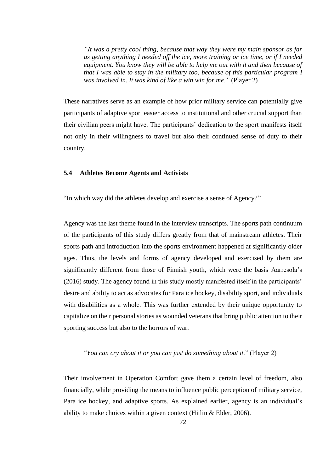*"It was a pretty cool thing, because that way they were my main sponsor as far as getting anything I needed off the ice, more training or ice time, or if I needed equipment. You know they will be able to help me out with it and then because of that I was able to stay in the military too, because of this particular program I was involved in. It was kind of like a win win for me."* (Player 2)

These narratives serve as an example of how prior military service can potentially give participants of adaptive sport easier access to institutional and other crucial support than their civilian peers might have. The participants' dedication to the sport manifests itself not only in their willingness to travel but also their continued sense of duty to their country.

#### **5.4 Athletes Become Agents and Activists**

"In which way did the athletes develop and exercise a sense of Agency?"

Agency was the last theme found in the interview transcripts. The sports path continuum of the participants of this study differs greatly from that of mainstream athletes. Their sports path and introduction into the sports environment happened at significantly older ages. Thus, the levels and forms of agency developed and exercised by them are significantly different from those of Finnish youth, which were the basis Aarresola's (2016) study. The agency found in this study mostly manifested itself in the participants' desire and ability to act as advocates for Para ice hockey, disability sport, and individuals with disabilities as a whole. This was further extended by their unique opportunity to capitalize on their personal stories as wounded veterans that bring public attention to their sporting success but also to the horrors of war.

"*You can cry about it or you can just do something about it.*" (Player 2)

Their involvement in Operation Comfort gave them a certain level of freedom, also financially, while providing the means to influence public perception of military service, Para ice hockey, and adaptive sports. As explained earlier, agency is an individual's ability to make choices within a given context (Hitlin & Elder, 2006).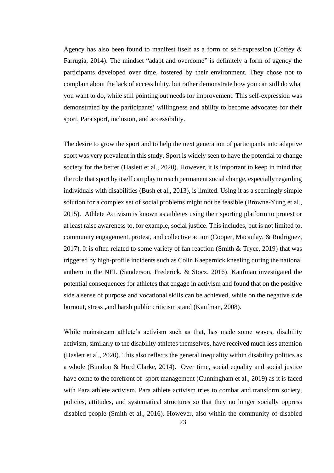Agency has also been found to manifest itself as a form of self-expression (Coffey & Farrugia, 2014). The mindset "adapt and overcome" is definitely a form of agency the participants developed over time, fostered by their environment. They chose not to complain about the lack of accessibility, but rather demonstrate how you can still do what you want to do, while still pointing out needs for improvement. This self-expression was demonstrated by the participants' willingness and ability to become advocates for their sport, Para sport, inclusion, and accessibility.

The desire to grow the sport and to help the next generation of participants into adaptive sport was very prevalent in this study. Sport is widely seen to have the potential to change society for the better (Haslett et al., 2020). However, it is important to keep in mind that the role that sport by itself can play to reach permanent social change, especially regarding individuals with disabilities (Bush et al., 2013), is limited. Using it as a seemingly simple solution for a complex set of social problems might not be feasible (Browne-Yung et al., 2015). Athlete Activism is known as athletes using their sporting platform to protest or at least raise awareness to, for example, social justice. This includes, but is not limited to, community engagement, protest, and collective action (Cooper, Macaulay, & Rodriguez, 2017). It is often related to some variety of fan reaction (Smith & Tryce, 2019) that was triggered by high-profile incidents such as Colin Kaepernick kneeling during the national anthem in the NFL (Sanderson, Frederick, & Stocz, 2016). Kaufman investigated the potential consequences for athletes that engage in activism and found that on the positive side a sense of purpose and vocational skills can be achieved, while on the negative side burnout, stress ,and harsh public criticism stand (Kaufman, 2008).

While mainstream athlete's activism such as that, has made some waves, disability activism, similarly to the disability athletes themselves, have received much less attention (Haslett et al., 2020). This also reflects the general inequality within disability politics as a whole (Bundon & Hurd Clarke, 2014). Over time, social equality and social justice have come to the forefront of sport management (Cunningham et al., 2019) as it is faced with Para athlete activism. Para athlete activism tries to combat and transform society, policies, attitudes, and systematical structures so that they no longer socially oppress disabled people (Smith et al., 2016). However, also within the community of disabled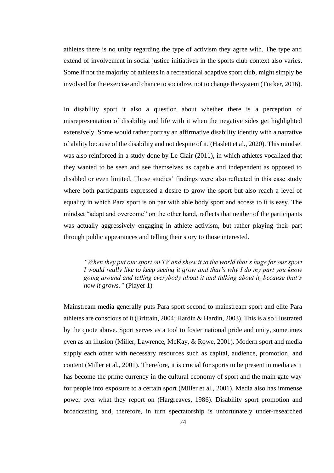athletes there is no unity regarding the type of activism they agree with. The type and extend of involvement in social justice initiatives in the sports club context also varies. Some if not the majority of athletes in a recreational adaptive sport club, might simply be involved for the exercise and chance to socialize, not to change the system (Tucker, 2016).

In disability sport it also a question about whether there is a perception of misrepresentation of disability and life with it when the negative sides get highlighted extensively. Some would rather portray an affirmative disability identity with a narrative of ability because of the disability and not despite of it. (Haslett et al., 2020). This mindset was also reinforced in a study done by Le Clair (2011), in which athletes vocalized that they wanted to be seen and see themselves as capable and independent as opposed to disabled or even limited. Those studies' findings were also reflected in this case study where both participants expressed a desire to grow the sport but also reach a level of equality in which Para sport is on par with able body sport and access to it is easy. The mindset "adapt and overcome" on the other hand, reflects that neither of the participants was actually aggressively engaging in athlete activism, but rather playing their part through public appearances and telling their story to those interested.

*"When they put our sport on TV and show it to the world that's huge for our sport I would really like to keep seeing it grow and that's why I do my part you know going around and telling everybody about it and talking about it, because that's how it grows."* (Player 1)

Mainstream media generally puts Para sport second to mainstream sport and elite Para athletes are conscious of it (Brittain, 2004; Hardin & Hardin, 2003). This is also illustrated by the quote above. Sport serves as a tool to foster national pride and unity, sometimes even as an illusion (Miller, Lawrence, McKay, & Rowe, 2001). Modern sport and media supply each other with necessary resources such as capital, audience, promotion, and content (Miller et al., 2001). Therefore, it is crucial for sports to be present in media as it has become the prime currency in the cultural economy of sport and the main gate way for people into exposure to a certain sport (Miller et al., 2001). Media also has immense power over what they report on (Hargreaves, 1986). Disability sport promotion and broadcasting and, therefore, in turn spectatorship is unfortunately under-researched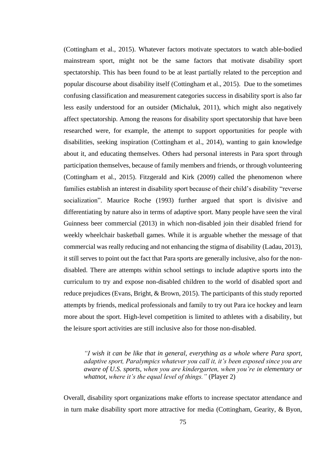(Cottingham et al., 2015). Whatever factors motivate spectators to watch able-bodied mainstream sport, might not be the same factors that motivate disability sport spectatorship. This has been found to be at least partially related to the perception and popular discourse about disability itself (Cottingham et al., 2015). Due to the sometimes confusing classification and measurement categories success in disability sport is also far less easily understood for an outsider (Michaluk, 2011), which might also negatively affect spectatorship. Among the reasons for disability sport spectatorship that have been researched were, for example, the attempt to support opportunities for people with disabilities, seeking inspiration (Cottingham et al., 2014), wanting to gain knowledge about it, and educating themselves. Others had personal interests in Para sport through participation themselves, because of family members and friends, or through volunteering (Cottingham et al., 2015). Fitzgerald and Kirk (2009) called the phenomenon where families establish an interest in disability sport because of their child's disability "reverse socialization". Maurice Roche (1993) further argued that sport is divisive and differentiating by nature also in terms of adaptive sport. Many people have seen the viral Guinness beer commercial (2013) in which non-disabled join their disabled friend for weekly wheelchair basketball games. While it is arguable whether the message of that commercial was really reducing and not enhancing the stigma of disability (Ladau, 2013), it still serves to point out the fact that Para sports are generally inclusive, also for the nondisabled. There are attempts within school settings to include adaptive sports into the curriculum to try and expose non-disabled children to the world of disabled sport and reduce prejudices (Evans, Bright, & Brown, 2015). The participants of this study reported attempts by friends, medical professionals and family to try out Para ice hockey and learn more about the sport. High-level competition is limited to athletes with a disability, but the leisure sport activities are still inclusive also for those non-disabled.

*"I wish it can be like that in general, everything as a whole where Para sport, adaptive sport, Paralympics whatever you call it, it's been exposed since you are aware of U.S. sports, when you are kindergarten, when you're in elementary or whatnot, where it's the equal level of things."* (Player 2)

Overall, disability sport organizations make efforts to increase spectator attendance and in turn make disability sport more attractive for media (Cottingham, Gearity, & Byon,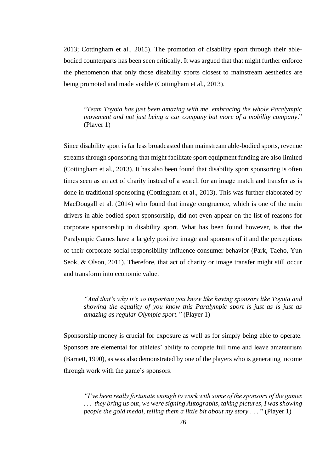2013; Cottingham et al., 2015). The promotion of disability sport through their ablebodied counterparts has been seen critically. It was argued that that might further enforce the phenomenon that only those disability sports closest to mainstream aesthetics are being promoted and made visible (Cottingham et al., 2013).

"*Team Toyota has just been amazing with me, embracing the whole Paralympic movement and not just being a car company but more of a mobility company*." (Player 1)

Since disability sport is far less broadcasted than mainstream able-bodied sports, revenue streams through sponsoring that might facilitate sport equipment funding are also limited (Cottingham et al., 2013). It has also been found that disability sport sponsoring is often times seen as an act of charity instead of a search for an image match and transfer as is done in traditional sponsoring (Cottingham et al., 2013). This was further elaborated by MacDougall et al. (2014) who found that image congruence, which is one of the main drivers in able-bodied sport sponsorship, did not even appear on the list of reasons for corporate sponsorship in disability sport. What has been found however, is that the Paralympic Games have a largely positive image and sponsors of it and the perceptions of their corporate social responsibility influence consumer behavior (Park, Taeho, Yun Seok, & Olson, 2011). Therefore, that act of charity or image transfer might still occur and transform into economic value.

*"And that's why it's so important you know like having sponsors like Toyota and showing the equality of you know this Paralympic sport is just as is just as amazing as regular Olympic sport."* (Player 1)

Sponsorship money is crucial for exposure as well as for simply being able to operate. Sponsors are elemental for athletes' ability to compete full time and leave amateurism (Barnett, 1990), as was also demonstrated by one of the players who is generating income through work with the game's sponsors.

*"I've been really fortunate enough to work with some of the sponsors of the games . . . they bring us out, we were signing Autographs, taking pictures, I was showing people the gold medal, telling them a little bit about my story* . . . " (Player 1)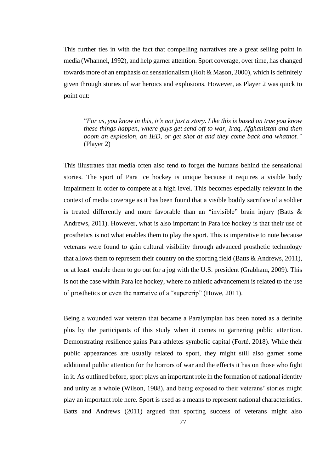This further ties in with the fact that compelling narratives are a great selling point in media (Whannel, 1992), and help garner attention. Sport coverage, over time, has changed towards more of an emphasis on sensationalism (Holt & Mason, 2000), which is definitely given through stories of war heroics and explosions. However, as Player 2 was quick to point out:

"*For us, you know in this, it's not just a story. Like this is based on true you know these things happen, where guys get send off to war, Iraq, Afghanistan and then boom an explosion, an IED, or get shot at and they come back and whatnot."*  (Player 2)

This illustrates that media often also tend to forget the humans behind the sensational stories. The sport of Para ice hockey is unique because it requires a visible body impairment in order to compete at a high level. This becomes especially relevant in the context of media coverage as it has been found that a visible bodily sacrifice of a soldier is treated differently and more favorable than an "invisible" brain injury (Batts  $\&$ Andrews, 2011). However, what is also important in Para ice hockey is that their use of prosthetics is not what enables them to play the sport. This is imperative to note because veterans were found to gain cultural visibility through advanced prosthetic technology that allows them to represent their country on the sporting field (Batts & Andrews, 2011), or at least enable them to go out for a jog with the U.S. president (Grabham, 2009). This is not the case within Para ice hockey, where no athletic advancement is related to the use of prosthetics or even the narrative of a "supercrip" (Howe, 2011).

Being a wounded war veteran that became a Paralympian has been noted as a definite plus by the participants of this study when it comes to garnering public attention. Demonstrating resilience gains Para athletes symbolic capital (Forté, 2018). While their public appearances are usually related to sport, they might still also garner some additional public attention for the horrors of war and the effects it has on those who fight in it. As outlined before, sport plays an important role in the formation of national identity and unity as a whole (Wilson, 1988), and being exposed to their veterans' stories might play an important role here. Sport is used as a means to represent national characteristics. Batts and Andrews (2011) argued that sporting success of veterans might also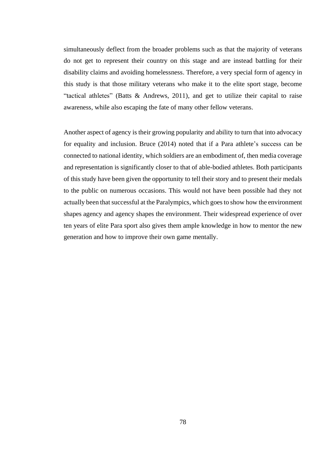simultaneously deflect from the broader problems such as that the majority of veterans do not get to represent their country on this stage and are instead battling for their disability claims and avoiding homelessness. Therefore, a very special form of agency in this study is that those military veterans who make it to the elite sport stage, become "tactical athletes" (Batts & Andrews, 2011), and get to utilize their capital to raise awareness, while also escaping the fate of many other fellow veterans.

Another aspect of agency is their growing popularity and ability to turn that into advocacy for equality and inclusion. Bruce (2014) noted that if a Para athlete's success can be connected to national identity, which soldiers are an embodiment of, then media coverage and representation is significantly closer to that of able-bodied athletes. Both participants of this study have been given the opportunity to tell their story and to present their medals to the public on numerous occasions. This would not have been possible had they not actually been that successful at the Paralympics, which goes to show how the environment shapes agency and agency shapes the environment. Their widespread experience of over ten years of elite Para sport also gives them ample knowledge in how to mentor the new generation and how to improve their own game mentally.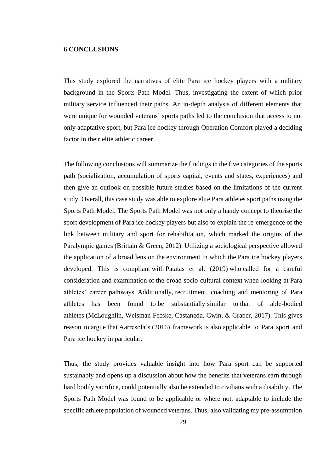#### **6 CONCLUSIONS**

This study explored the narratives of elite Para ice hockey players with a military background in the Sports Path Model. Thus, investigating the extent of which prior military service influenced their paths. An in-depth analysis of different elements that were unique for wounded veterans' sports paths led to the conclusion that access to not only adaptative sport, but Para ice hockey through Operation Comfort played a deciding factor in their elite athletic career.

The following conclusions will summarize the findings in the five categories of the sports path (socialization, accumulation of sports capital, events and states, experiences) and then give an outlook on possible future studies based on the limitations of the current study. Overall, this case study was able to explore elite Para athletes sport paths using the Sports Path Model. The Sports Path Model was not only a handy concept to theorise the sport development of Para ice hockey players but also to explain the re-emergence of the link between military and sport for rehabilitation, which marked the origins of the Paralympic games (Brittain & Green, 2012). Utilizing a sociological perspective allowed the application of a broad lens on the environment in which the Para ice hockey players developed. This is compliant with Patatas et al. (2019) who called for a careful consideration and examination of the broad socio-cultural context when looking at Para athletes' career pathways. Additionally, recruitment, coaching and mentoring of Para athletes has been found to be substantially similar to that of able-bodied athletes (McLoughlin, Weisman Fecske, Castaneda, Gwin, & Graber, 2017). This gives reason to argue that Aarresola's (2016) framework is also applicable to Para sport and Para ice hockey in particular.

Thus, the study provides valuable insight into how Para sport can be supported sustainably and opens up a discussion about how the benefits that veterans earn through hard bodily sacrifice, could potentially also be extended to civilians with a disability. The Sports Path Model was found to be applicable or where not, adaptable to include the specific athlete population of wounded veterans. Thus, also validating my pre-assumption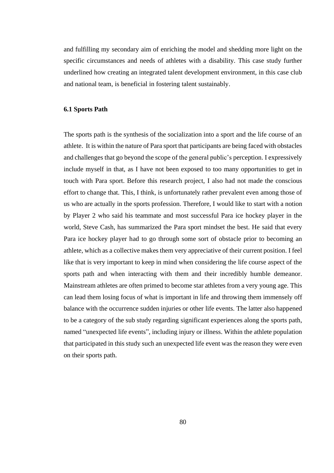and fulfilling my secondary aim of enriching the model and shedding more light on the specific circumstances and needs of athletes with a disability. This case study further underlined how creating an integrated talent development environment, in this case club and national team, is beneficial in fostering talent sustainably.

# **6.1 Sports Path**

The sports path is the synthesis of the socialization into a sport and the life course of an athlete. It is within the nature of Para sport that participants are being faced with obstacles and challenges that go beyond the scope of the general public's perception. I expressively include myself in that, as I have not been exposed to too many opportunities to get in touch with Para sport. Before this research project, I also had not made the conscious effort to change that. This, I think, is unfortunately rather prevalent even among those of us who are actually in the sports profession. Therefore, I would like to start with a notion by Player 2 who said his teammate and most successful Para ice hockey player in the world, Steve Cash, has summarized the Para sport mindset the best. He said that every Para ice hockey player had to go through some sort of obstacle prior to becoming an athlete, which as a collective makes them very appreciative of their current position. I feel like that is very important to keep in mind when considering the life course aspect of the sports path and when interacting with them and their incredibly humble demeanor. Mainstream athletes are often primed to become star athletes from a very young age. This can lead them losing focus of what is important in life and throwing them immensely off balance with the occurrence sudden injuries or other life events. The latter also happened to be a category of the sub study regarding significant experiences along the sports path, named "unexpected life events", including injury or illness. Within the athlete population that participated in this study such an unexpected life event was the reason they were even on their sports path.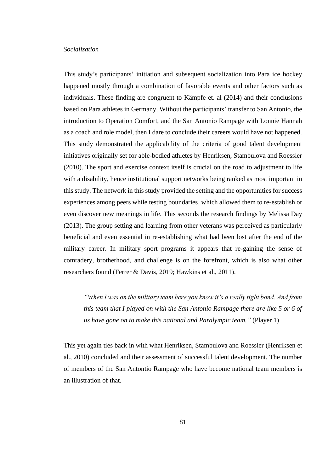### *Socialization*

This study's participants' initiation and subsequent socialization into Para ice hockey happened mostly through a combination of favorable events and other factors such as individuals. These finding are congruent to Kämpfe et. al (2014) and their conclusions based on Para athletes in Germany. Without the participants' transfer to San Antonio, the introduction to Operation Comfort, and the San Antonio Rampage with Lonnie Hannah as a coach and role model, then I dare to conclude their careers would have not happened. This study demonstrated the applicability of the criteria of good talent development initiatives originally set for able-bodied athletes by Henriksen, Stambulova and Roessler (2010). The sport and exercise context itself is crucial on the road to adjustment to life with a disability, hence institutional support networks being ranked as most important in this study. The network in this study provided the setting and the opportunities for success experiences among peers while testing boundaries, which allowed them to re-establish or even discover new meanings in life. This seconds the research findings by Melissa Day (2013). The group setting and learning from other veterans was perceived as particularly beneficial and even essential in re-establishing what had been lost after the end of the military career. In military sport programs it appears that re-gaining the sense of comradery, brotherhood, and challenge is on the forefront, which is also what other researchers found (Ferrer & Davis, 2019; Hawkins et al., 2011).

*"When I was on the military team here you know it's a really tight bond. And from this team that I played on with the San Antonio Rampage there are like 5 or 6 of us have gone on to make this national and Paralympic team."* (Player 1)

This yet again ties back in with what Henriksen, Stambulova and Roessler (Henriksen et al., 2010) concluded and their assessment of successful talent development. The number of members of the San Antontio Rampage who have become national team members is an illustration of that.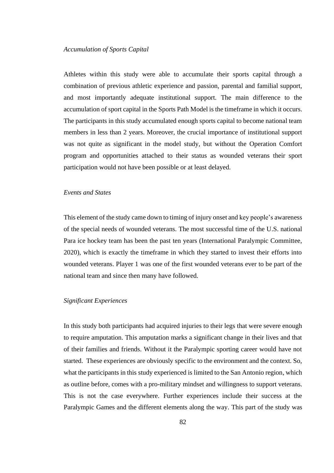Athletes within this study were able to accumulate their sports capital through a combination of previous athletic experience and passion, parental and familial support, and most importantly adequate institutional support. The main difference to the accumulation of sport capital in the Sports Path Model is the timeframe in which it occurs. The participants in this study accumulated enough sports capital to become national team members in less than 2 years. Moreover, the crucial importance of institutional support was not quite as significant in the model study, but without the Operation Comfort program and opportunities attached to their status as wounded veterans their sport participation would not have been possible or at least delayed.

# *Events and States*

This element of the study came down to timing of injury onset and key people's awareness of the special needs of wounded veterans. The most successful time of the U.S. national Para ice hockey team has been the past ten years (International Paralympic Committee, 2020), which is exactly the timeframe in which they started to invest their efforts into wounded veterans. Player 1 was one of the first wounded veterans ever to be part of the national team and since then many have followed.

### *Significant Experiences*

In this study both participants had acquired injuries to their legs that were severe enough to require amputation. This amputation marks a significant change in their lives and that of their families and friends. Without it the Paralympic sporting career would have not started. These experiences are obviously specific to the environment and the context. So, what the participants in this study experienced is limited to the San Antonio region, which as outline before, comes with a pro-military mindset and willingness to support veterans. This is not the case everywhere. Further experiences include their success at the Paralympic Games and the different elements along the way. This part of the study was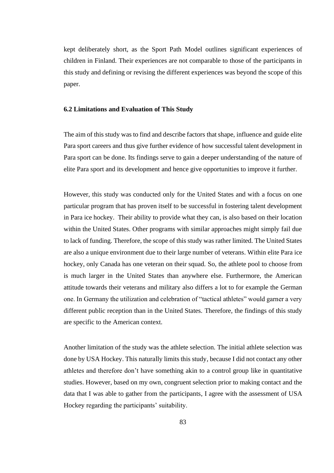kept deliberately short, as the Sport Path Model outlines significant experiences of children in Finland. Their experiences are not comparable to those of the participants in this study and defining or revising the different experiences was beyond the scope of this paper.

# **6.2 Limitations and Evaluation of This Study**

The aim of this study was to find and describe factors that shape, influence and guide elite Para sport careers and thus give further evidence of how successful talent development in Para sport can be done. Its findings serve to gain a deeper understanding of the nature of elite Para sport and its development and hence give opportunities to improve it further.

However, this study was conducted only for the United States and with a focus on one particular program that has proven itself to be successful in fostering talent development in Para ice hockey. Their ability to provide what they can, is also based on their location within the United States. Other programs with similar approaches might simply fail due to lack of funding. Therefore, the scope of this study was rather limited. The United States are also a unique environment due to their large number of veterans. Within elite Para ice hockey, only Canada has one veteran on their squad. So, the athlete pool to choose from is much larger in the United States than anywhere else. Furthermore, the American attitude towards their veterans and military also differs a lot to for example the German one. In Germany the utilization and celebration of "tactical athletes" would garner a very different public reception than in the United States. Therefore, the findings of this study are specific to the American context.

Another limitation of the study was the athlete selection. The initial athlete selection was done by USA Hockey. This naturally limits this study, because I did not contact any other athletes and therefore don't have something akin to a control group like in quantitative studies. However, based on my own, congruent selection prior to making contact and the data that I was able to gather from the participants, I agree with the assessment of USA Hockey regarding the participants' suitability.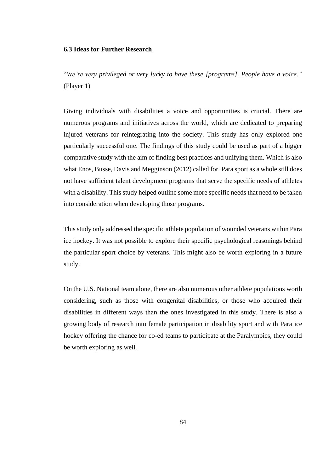## **6.3 Ideas for Further Research**

"*We're very privileged or very lucky to have these [programs]. People have a voice."* (Player 1)

Giving individuals with disabilities a voice and opportunities is crucial. There are numerous programs and initiatives across the world, which are dedicated to preparing injured veterans for reintegrating into the society. This study has only explored one particularly successful one. The findings of this study could be used as part of a bigger comparative study with the aim of finding best practices and unifying them. Which is also what Enos, Busse, Davis and Megginson (2012) called for. Para sport as a whole still does not have sufficient talent development programs that serve the specific needs of athletes with a disability. This study helped outline some more specific needs that need to be taken into consideration when developing those programs.

Thisstudy only addressed the specific athlete population of wounded veterans within Para ice hockey. It was not possible to explore their specific psychological reasonings behind the particular sport choice by veterans. This might also be worth exploring in a future study.

On the U.S. National team alone, there are also numerous other athlete populations worth considering, such as those with congenital disabilities, or those who acquired their disabilities in different ways than the ones investigated in this study. There is also a growing body of research into female participation in disability sport and with Para ice hockey offering the chance for co-ed teams to participate at the Paralympics, they could be worth exploring as well.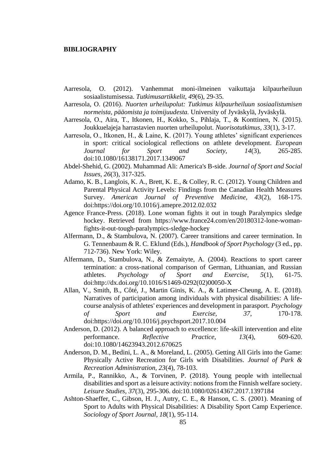#### **BIBLIOGRAPHY**

- Aarresola, O. (2012). Vanhemmat moni-ilmeinen vaikuttaja kilpaurheiluun sosiaalistumisessa. *Tutkimusartikkelit, 49*(6), 29-35.
- Aarresola, O. (2016). *Nuorten urheilupolut: Tutkimus kilpaurheiluun sosiaalistumisen normeista, pääomista ja toimijuudesta.* University of Jyväskylä, Jyväskylä.
- Aarresola, O., Aira, T., Itkonen, H., Kokko, S., Pihlaja, T., & Konttinen, N. (2015). Joukkuelajeja harrastavien nuorten urheilupolut. *Nuorisotutkimus, 33*(1), 3-17.
- Aarresola, O., Itkonen, H., & Laine, K. (2017). Young athletes' significant experiences in sport: critical sociological reflections on athlete development. *European Journal for Sport and Society, 14*(3), 265-285. doi:10.1080/16138171.2017.1349067
- Abdel-Shehid, G. (2002). Muhammad Ali: America's B-side. *Journal of Sport and Social Issues, 26*(3), 317-325.
- Adamo, K. B., Langlois, K. A., Brett, K. E., & Colley, R. C. (2012). Young Children and Parental Physical Activity Levels: Findings from the Canadian Health Measures Survey. *American Journal of Preventive Medicine, 43*(2), 168-175. doi[:https://doi.org/10.1016/j.amepre.2012.02.032](https://doi.org/10.1016/j.amepre.2012.02.032)
- Agence France-Press. (2018). Lone woman fights it out in tough Paralympics sledge hockey. Retrieved from [https://www.france24.com/en/20180312-lone-woman](https://www.france24.com/en/20180312-lone-woman-fights-it-out-tough-paralympics-sledge-hockey)[fights-it-out-tough-paralympics-sledge-hockey](https://www.france24.com/en/20180312-lone-woman-fights-it-out-tough-paralympics-sledge-hockey)
- Alfermann, D., & Stambulova, N. (2007). Career transitions and career termination. In G. Tennenbaum & R. C. Eklund (Eds.), *Handbook of Sport Psychology* (3 ed., pp. 712-736). New York: Wiley.
- Alfermann, D., Stambulova, N., & Zemaityte, A. (2004). Reactions to sport career termination: a cross-national comparison of German, Lithuanian, and Russian athletes. *Psychology of Sport and Exercise, 5*(1), 61-75. doi[:http://dx.doi.org/10.1016/S1469-0292\(02\)00050-X](http://dx.doi.org/10.1016/S1469-0292(02)00050-X)
- Allan, V., Smith, B., Côté, J., Martin Ginis, K. A., & Latimer-Cheung, A. E. (2018). Narratives of participation among individuals with physical disabilities: A lifecourse analysis of athletes' experiences and development in parasport. *Psychology of Sport and Exercise, 37*, 170-178. doi[:https://doi.org/10.1016/j.psychsport.2017.10.004](https://doi.org/10.1016/j.psychsport.2017.10.004)
- Anderson, D. (2012). A balanced approach to excellence: life-skill intervention and elite performance. *Reflective Practice, 13*(4), 609-620. doi:10.1080/14623943.2012.670625
- Anderson, D. M., Bedini, L. A., & Moreland, L. (2005). Getting All Girls into the Game: Physically Active Recreation for Girls with Disabilities. *Journal of Park & Recreation Administration, 23*(4), 78-103.
- Armila, P., Rannikko, A., & Torvinen, P. (2018). Young people with intellectual disabilities and sport as a leisure activity: notions from the Finnish welfare society. *Leisure Studies, 37*(3), 295-306. doi:10.1080/02614367.2017.1397184
- Ashton-Shaeffer, C., Gibson, H. J., Autry, C. E., & Hanson, C. S. (2001). Meaning of Sport to Adults with Physical Disabilities: A Disability Sport Camp Experience. *Sociology of Sport Journal, 18*(1), 95-114.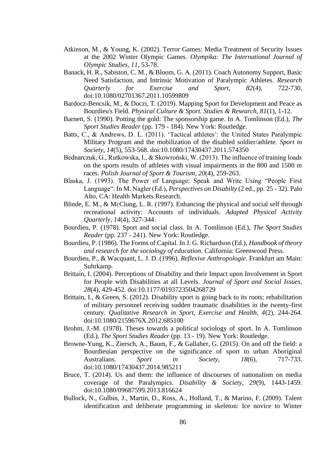- Atkinson, M., & Young, K. (2002). Terror Games: Media Treatment of Security Issues at the 2002 Winter Olympic Games. *Olympika: The International Journal of Olympic Studies, 11*, 53-78.
- Banack, H. R., Sabiston, C. M., & Bloom, G. A. (2011). Coach Autonomy Support, Basic Need Satisfaction, and Intrinsic Motivation of Paralympic Athletes. *Research Quarterly for Exercise and Sport, 82*(4), 722-730. doi:10.1080/02701367.2011.10599809
- Bardocz-Bencsik, M., & Doczi, T. (2019). Mapping Sport for Development and Peace as Bourdieu's Field. *Physical Culture & Sport. Studies & Research, 81*(1), 1-12.
- Barnett, S. (1990). Potting the gold: The sponsorship game. In A. Tomlinson (Ed.), *The Sport Studies Reader* (pp. 179 - 184). New York: Routledge.
- Batts, C., & Andrews, D. L. (2011). 'Tactical athletes': the United States Paralympic Military Program and the mobilization of the disabled soldier/athlete. *Sport in Society, 14*(5), 553-568. doi:10.1080/17430437.2011.574350
- Bednarczuk, G., Rutkowska, I., & Skowroński, W. (2013). The influence of training loads on the sports results of athletes with visual impairments in the 800 and 1500 m races. *Polish Journal of Sport & Tourism, 20*(4), 259-263.
- Blaska, J. (1993). The Power of Language: Speak and Write Using "People First Language". In M. Nagler (Ed.), *Perspectives on Disabilty* (2 ed., pp. 25 - 32). Palo Alto, CA: Health Markets Research.
- Blinde, E. M., & McClung, L. R. (1997). Enhancing the physical and social self through recreational activity: Accounts of individuals. *Adapted Physical Activity Quarterly, 14*(4), 327-344.
- Bourdieu, P. (1978). Sport and social class. In A. Tomlinson (Ed.), *The Sport Studies Reader* (pp. 237 - 241). New York: Routledge.
- Bourdieu, P. (1986). The Forms of Capital. In J. G. Richardson (Ed.), *Handbook of theory and research for the sociology of education*. California: Greenwood Press.
- Bourdieu, P., & Wacquant, L. J. D. (1996). *Reflexive Anthropologie*. Frankfurt am Main: Suhrkamp.
- Brittain, I. (2004). Perceptions of Disability and their Impact upon Involvement in Sport for People with Disabilities at all Levels. *Journal of Sport and Social Issues, 28*(4), 429-452. doi:10.1177/0193723504268729
- Brittain, I., & Green, S. (2012). Disability sport is going back to its roots: rehabilitation of military personnel receiving sudden traumatic disabilities in the twenty-first century. *Qualitative Research in Sport, Exercise and Health, 4*(2), 244-264. doi:10.1080/2159676X.2012.685100
- Brohm, J.-M. (1978). Theses towards a political sociology of sport. In A. Tomlinson (Ed.), *The Sport Studies Reader* (pp. 13 - 19). New York: Routledge.
- Browne-Yung, K., Ziersch, A., Baum, F., & Gallaher, G. (2015). On and off the field: a Bourdieuian perspective on the significance of sport to urban Aboriginal Australians. *Sport in Society, 18*(6), 717-733. doi:10.1080/17430437.2014.985211
- Bruce, T. (2014). Us and them: the influence of discourses of nationalism on media coverage of the Paralympics. *Disability & Society, 29*(9), 1443-1459. doi:10.1080/09687599.2013.816624
- Bullock, N., Gulbin, J., Martin, D., Ross, A., Holland, T., & Marino, F. (2009). Talent identification and deliberate programming in skeleton: Ice novice to Winter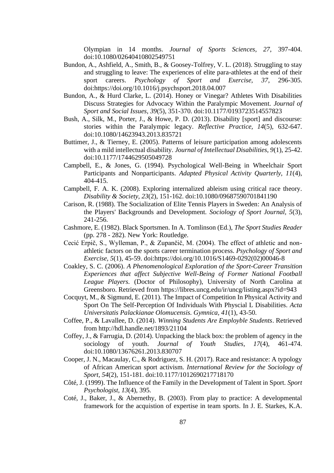Olympian in 14 months. *Journal of Sports Sciences, 27*, 397-404. doi:10.1080/02640410802549751

- Bundon, A., Ashfield, A., Smith, B., & Goosey-Tolfrey, V. L. (2018). Struggling to stay and struggling to leave: The experiences of elite para-athletes at the end of their sport careers. *Psychology of Sport and Exercise, 37*, 296-305. doi[:https://doi.org/10.1016/j.psychsport.2018.04.007](https://doi.org/10.1016/j.psychsport.2018.04.007)
- Bundon, A., & Hurd Clarke, L. (2014). Honey or Vinegar? Athletes With Disabilities Discuss Strategies for Advocacy Within the Paralympic Movement. *Journal of Sport and Social Issues, 39*(5), 351-370. doi:10.1177/0193723514557823
- Bush, A., Silk, M., Porter, J., & Howe, P. D. (2013). Disability [sport] and discourse: stories within the Paralympic legacy. *Reflective Practice, 14*(5), 632-647. doi:10.1080/14623943.2013.835721
- Buttimer, J., & Tierney, E. (2005). Patterns of leisure participation among adolescents with a mild intellectual disability. *Journal of Intellectual Disabilities, 9*(1), 25-42. doi:10.1177/1744629505049728
- Campbell, E., & Jones, G. (1994). Psychological Well-Being in Wheelchair Sport Participants and Nonparticipants. *Adapted Physical Activity Quarterly, 11*(4), 404-415.
- Campbell, F. A. K. (2008). Exploring internalized ableism using critical race theory. *Disability & Society, 23*(2), 151-162. doi:10.1080/09687590701841190
- Carison, R. (1988). The Socialization of Elite Tennis Players in Sweden: An Analysis of the Players' Backgrounds and Development. *Sociology of Sport Journal, 5*(3), 241-256.
- Cashmore, E. (1982). Black Sportsmen. In A. Tomlinson (Ed.), *The Sport Studies Reader* (pp. 278 - 282). New York: Routledge.
- Cecić Erpič, S., Wylleman, P., & Zupančič, M. (2004). The effect of athletic and nonathletic factors on the sports career termination process. *Psychology of Sport and Exercise, 5*(1), 45-59. doi[:https://doi.org/10.1016/S1469-0292\(02\)00046-8](https://doi.org/10.1016/S1469-0292(02)00046-8)
- Coakley, S. C. (2006). *A Phenomenological Exploration of the Sport-Career Transition Experiences that affect Subjective Well-Being of Former National Football League Players.* (Doctor of Philosophy), University of North Carolina at Greensboro. Retrieved from<https://libres.uncg.edu/ir/uncg/listing.aspx?id=943>
- Cocquyt, M., & Sigmund, E. (2011). The Impact of Competition In Physical Activity and Sport On The Self-Perception Of Individuals With Physcial L Disabilities. *Acta Universitatis Palackianae Olomucensis. Gymnica, 41*(1), 43-50.
- Coffee, P., & Lavallee, D. (2014). *Winning Students Are Employble Students*. Retrieved from<http://hdl.handle.net/1893/21104>
- Coffey, J., & Farrugia, D. (2014). Unpacking the black box: the problem of agency in the sociology of youth. *Journal of Youth Studies, 17*(4), 461-474. doi:10.1080/13676261.2013.830707
- Cooper, J. N., Macaulay, C., & Rodriguez, S. H. (2017). Race and resistance: A typology of African American sport activism. *International Review for the Sociology of Sport, 54*(2), 151-181. doi:10.1177/1012690217718170
- Côté, J. (1999). The Influence of the Family in the Development of Talent in Sport. *Sport Psychologist, 13*(4), 395.
- Coté, J., Baker, J., & Abernethy, B. (2003). From play to practice: A developmental framework for the acquistion of expertise in team sports. In J. E. Starkes, K.A.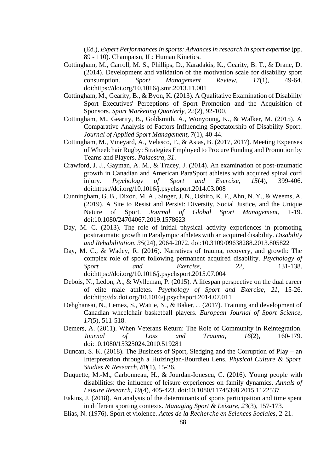(Ed.), *Expert Performances in sports: Advances in research in sport expertise* (pp. 89 - 110). Champaisn, IL: Human Kinetics.

- Cottingham, M., Carroll, M. S., Phillips, D., Karadakis, K., Gearity, B. T., & Drane, D. (2014). Development and validation of the motivation scale for disability sport consumption. *Sport Management Review, 17*(1), 49-64. doi[:https://doi.org/10.1016/j.smr.2013.11.001](https://doi.org/10.1016/j.smr.2013.11.001)
- Cottingham, M., Gearity, B., & Byon, K. (2013). A Qualitative Examination of Disability Sport Executives' Perceptions of Sport Promotion and the Acquisition of Sponsors. *Sport Marketing Quarterly, 22*(2), 92-100.
- Cottingham, M., Gearity, B., Goldsmith, A., Wonyoung, K., & Walker, M. (2015). A Comparative Analysis of Factors Influencing Spectatorship of Disability Sport. *Journal of Applied Sport Management, 7*(1), 40-44.
- Cottingham, M., Vineyard, A., Velasco, F., & Asias, B. (2017, 2017). Meeting Expenses of Wheelchair Rugby: Strategies Employed to Procure Funding and Promotion by Teams and Players. *Palaestra, 31*.
- Crawford, J. J., Gayman, A. M., & Tracey, J. (2014). An examination of post-traumatic growth in Canadian and American ParaSport athletes with acquired spinal cord injury. *Psychology of Sport and Exercise, 15*(4), 399-406. doi[:https://doi.org/10.1016/j.psychsport.2014.03.008](https://doi.org/10.1016/j.psychsport.2014.03.008)
- Cunningham, G. B., Dixon, M. A., Singer, J. N., Oshiro, K. F., Ahn, N. Y., & Weems, A. (2019). A Site to Resist and Persist: Diversity, Social Justice, and the Unique Nature of Sport. *Journal of Global Sport Management*, 1-19. doi:10.1080/24704067.2019.1578623
- Day, M. C. (2013). The role of initial physical activity experiences in promoting posttraumatic growth in Paralympic athletes with an acquired disability. *Disability and Rehabilitation, 35*(24), 2064-2072. doi:10.3109/09638288.2013.805822
- Day, M. C., & Wadey, R. (2016). Narratives of trauma, recovery, and growth: The complex role of sport following permanent acquired disability. *Psychology of Sport and Exercise, 22*, 131-138. doi[:https://doi.org/10.1016/j.psychsport.2015.07.004](https://doi.org/10.1016/j.psychsport.2015.07.004)
- Debois, N., Ledon, A., & Wylleman, P. (2015). A lifespan perspective on the dual career of elite male athletes. *Psychology of Sport and Exercise, 21*, 15-26. doi[:http://dx.doi.org/10.1016/j.psychsport.2014.07.011](http://dx.doi.org/10.1016/j.psychsport.2014.07.011)
- Dehghansai, N., Lemez, S., Wattie, N., & Baker, J. (2017). Training and development of Canadian wheelchair basketball players. *European Journal of Sport Science, 17*(5), 511-518.
- Demers, A. (2011). When Veterans Return: The Role of Community in Reintegration. *Journal of Loss and Trauma, 16*(2), 160-179. doi:10.1080/15325024.2010.519281
- Duncan, S. K. (2018). The Business of Sport, Sledging and the Corruption of Play an Interpretation through a Huizingian-Bourdieu Lens. *Physical Culture & Sport. Studies & Research, 80*(1), 15-26.
- Duquette, M.-M., Carbonneau, H., & Jourdan-Ionescu, C. (2016). Young people with disabilities: the influence of leisure experiences on family dynamics. *Annals of Leisure Research, 19*(4), 405-423. doi:10.1080/11745398.2015.1122537
- Eakins, J. (2018). An analysis of the determinants of sports participation and time spent in different sporting contexts. *Managing Sport & Leisure, 23*(3), 157-173.
- Elias, N. (1976). Sport et violence. *Actes de la Recherche en Sciences Sociales*, 2-21.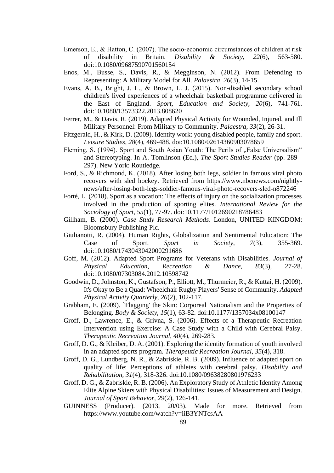- Emerson, E., & Hatton, C. (2007). The socio-economic circumstances of children at risk of disability in Britain. *Disability & Society, 22*(6), 563-580. doi:10.1080/09687590701560154
- Enos, M., Busse, S., Davis, R., & Megginson, N. (2012). From Defending to Representing: A Military Model for All. *Palaestra, 26*(3), 14-15.
- Evans, A. B., Bright, J. L., & Brown, L. J. (2015). Non-disabled secondary school children's lived experiences of a wheelchair basketball programme delivered in the East of England. *Sport, Education and Society, 20*(6), 741-761. doi:10.1080/13573322.2013.808620
- Ferrer, M., & Davis, R. (2019). Adapted Physical Activity for Wounded, Injured, and Ill Military Personnel: From Military to Community. *Palaestra, 33*(2), 26-31.
- Fitzgerald, H., & Kirk, D. (2009). Identity work: young disabled people, family and sport. *Leisure Studies, 28*(4), 469-488. doi:10.1080/02614360903078659
- Fleming, S. (1994). Sport and South Asian Youth: The Perils of "False Universalism" and Stereotyping. In A. Tomlinson (Ed.), *The Sport Studies Reader* (pp. 289 - 297). New York: Routledge.
- Ford, S., & Richmond, K. (2018). After losing both legs, soldier in famous viral photo recovers with sled hockey. Retrieved from [https://www.nbcnews.com/nightly](https://www.nbcnews.com/nightly-news/after-losing-both-legs-soldier-famous-viral-photo-recovers-sled-n872246)[news/after-losing-both-legs-soldier-famous-viral-photo-recovers-sled-n872246](https://www.nbcnews.com/nightly-news/after-losing-both-legs-soldier-famous-viral-photo-recovers-sled-n872246)
- Forté, L. (2018). Sport as a vocation: The effects of injury on the socialization processes involved in the production of sporting elites. *International Review for the Sociology of Sport, 55*(1), 77-97. doi:10.1177/1012690218786483
- Gillham, B. (2000). *Case Study Research Methods*. London, UNITED KINGDOM: Bloomsbury Publishing Plc.
- Giulianotti, R. (2004). Human Rights, Globalization and Sentimental Education: The Case of Sport. *Sport in Society, 7*(3), 355-369. doi:10.1080/1743043042000291686
- Goff, M. (2012). Adapted Sport Programs for Veterans with Disabilities. *Journal of Physical Education, Recreation & Dance, 83*(3), 27-28. doi:10.1080/07303084.2012.10598742
- Goodwin, D., Johnston, K., Gustafson, P., Elliott, M., Thurmeier, R., & Kuttai, H. (2009). It's Okay to Be a Quad: Wheelchair Rugby Players' Sense of Community. *Adapted Physical Activity Quarterly, 26*(2), 102-117.
- Grabham, E. (2009). `Flagging' the Skin: Corporeal Nationalism and the Properties of Belonging. *Body & Society, 15*(1), 63-82. doi:10.1177/1357034x08100147
- Groff, D., Lawrence, E., & Grivna, S. (2006). Effects of a Therapeutic Recreation Intervention using Exercise: A Case Study with a Child with Cerebral Palsy. *Therapeutic Recreation Journal, 40*(4), 269-283.
- Groff, D. G., & Kleiber, D. A. (2001). Exploring the identity formation of youth involved in an adapted sports program. *Therapeutic Recreation Journal, 35*(4), 318.
- Groff, D. G., Lundberg, N. R., & Zabriskie, R. B. (2009). Influence of adapted sport on quality of life: Perceptions of athletes with cerebral palsy. *Disability and Rehabilitation, 31*(4), 318-326. doi:10.1080/09638280801976233
- Groff, D. G., & Zabriskie, R. B. (2006). An Exploratory Study of Athletic Identity Among Elite Alpine Skiers with Physical Disabilities: Issues of Measurement and Design. *Journal of Sport Behavior, 29*(2), 126-141.
- GUINNESS (Producer). (2013, 20/03). Made for more. Retrieved from <https://www.youtube.com/watch?v=iiB3YNTcsAA>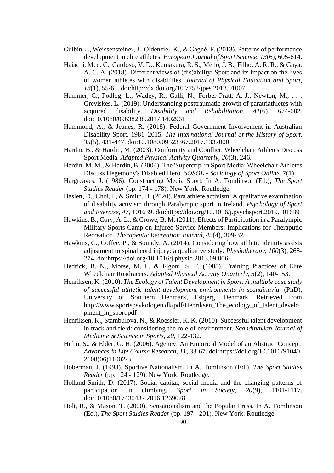- Gulbin, J., Weissensteiner, J., Oldenziel, K., & Gagné, F. (2013). Patterns of performance development in elite athletes. *European Journal of Sport Science, 13*(6), 605-614.
- Haiachi, M. d. C., Cardoso, V. D., Kumakura, R. S., Mello, J. B., Filho, A. R. R., & Gaya, A. C. A. (2018). Different views of (dis)ability: Sport and its impact on the lives of women athletes with disabilities. *Journal of Physical Education and Sport, 18*(1), 55-61. doi[:http://dx.doi.org/10.7752/jpes.2018.01007](http://dx.doi.org/10.7752/jpes.2018.01007)
- Hammer, C., Podlog, L., Wadev, R., Galli, N., Forber-Pratt, A. J., Newton, M., ... Greviskes, L. (2019). Understanding posttraumatic growth of paratriathletes with acquired disability. *Disability and Rehabilitation, 41*(6), 674-682. doi:10.1080/09638288.2017.1402961
- Hammond, A., & Jeanes, R. (2018). Federal Government Involvement in Australian Disability Sport, 1981–2015. *The International Journal of the History of Sport, 35*(5), 431-447. doi:10.1080/09523367.2017.1337000
- Hardin, B., & Hardin, M. (2003). Conformity and Conflict: Wheelchair Athletes Discuss Sport Media. *Adapted Physical Activity Quarterly, 20*(3), 246.
- Hardin, M. M., & Hardin, B. (2004). The 'Supercrip' in Sport Media: Wheelchair Athletes Discuss Hegemony's Disabled Hero. *SOSOL - Sociology of Sport Online, 7*(1).
- Hargreaves, J. (1986). Constructing Media Sport. In A. Tomlinson (Ed.), *The Sport Studies Reader* (pp. 174 - 178). New York: Routledge.
- Haslett, D., Choi, I., & Smith, B. (2020). Para athlete activism: A qualitative examination of disability activism through Paralympic sport in Ireland. *Psychology of Sport and Exercise, 47*, 101639. doi[:https://doi.org/10.1016/j.psychsport.2019.101639](https://doi.org/10.1016/j.psychsport.2019.101639)
- Hawkins, B., Cory, A. L., & Crowe, B. M. (2011). Effects of Participation in a Paralympic Military Sports Camp on Injured Service Members: Implications for Theraputic Recreation. *Therapeutic Recreation Journal, 45*(4), 309-325.
- Hawkins, C., Coffee, P., & Soundy, A. (2014). Considering how athletic identity assists adjustment to spinal cord injury: a qualitative study. *Physiotherapy, 100*(3), 268- 274. doi[:https://doi.org/10.1016/j.physio.2013.09.006](https://doi.org/10.1016/j.physio.2013.09.006)
- Hedrick, B. N., Morse, M. I., & Figoni, S. F. (1988). Training Practices of Elite Wheelchair Roadracers. *Adapted Physical Activity Quarterly, 5*(2), 140-153.
- Henriksen, K. (2010). *The Ecology of Talent Development in Sport: A multiple case study of successful athletic talent development environments in scandinavia.* (PhD), University of Southern Denmark, Esbjerg, Denmark. Retrieved from [http://www.sportspsykologen.dk/pdf/Henriksen\\_The\\_ecology\\_of\\_talent\\_develo](http://www.sportspsykologen.dk/pdf/Henriksen_The_ecology_of_talent_development_in_sport.pdf) pment\_in\_sport.pdf
- Henriksen, K., Stambulova, N., & Roessler, K. K. (2010). Successful talent development in track and field: considering the role of environment. *Scandinavian Journal of Medicine & Science in Sports, 20*, 122-132.
- Hitlin, S., & Elder, G. H. (2006). Agency: An Empirical Model of an Abstract Concept. *Advances in Life Course Research, 11*, 33-67. doi[:https://doi.org/10.1016/S1040-](https://doi.org/10.1016/S1040-2608(06)11002-3) [2608\(06\)11002-3](https://doi.org/10.1016/S1040-2608(06)11002-3)
- Hoberman, J. (1993). Sportive Nationalism. In A. Tomlinson (Ed.), *The Sport Studies Reader* (pp. 124 - 129). New York: Routledge.
- Holland-Smith, D. (2017). Social capital, social media and the changing patterns of participation in climbing. *Sport in Society, 20*(9), 1101-1117. doi:10.1080/17430437.2016.1269078
- Holt, R., & Mason, T. (2000). Sensationalism and the Popular Press. In A. Tomlinson (Ed.), *The Sport Studies Reader* (pp. 197 - 201). New York: Routledge.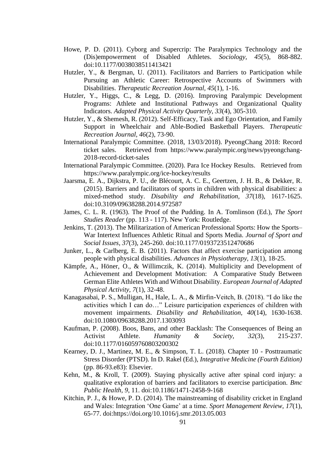- Howe, P. D. (2011). Cyborg and Supercrip: The Paralympics Technology and the (Dis)empowerment of Disabled Athletes. *Sociology, 45*(5), 868-882. doi:10.1177/0038038511413421
- Hutzler, Y., & Bergman, U. (2011). Facilitators and Barriers to Participation while Pursuing an Athletic Career: Retrospective Accounts of Swimmers with Disabilities. *Therapeutic Recreation Journal, 45*(1), 1-16.
- Hutzler, Y., Higgs, C., & Legg, D. (2016). Improving Paralympic Development Programs: Athlete and Institutional Pathways and Organizational Quality Indicators. *Adapted Physical Activity Quarterly, 33*(4), 305-310.
- Hutzler, Y., & Shemesh, R. (2012). Self-Efficacy, Task and Ego Orientation, and Family Support in Wheelchair and Able-Bodied Basketball Players. *Therapeutic Recreation Journal, 46*(2), 73-90.
- International Paralympic Committee. (2018, 13/03/2018). PyeongChang 2018: Record ticket sales. Retrieved from [https://www.paralympic.org/news/pyeongchang-](https://www.paralympic.org/news/pyeongchang-2018-record-ticket-sales)[2018-record-ticket-sales](https://www.paralympic.org/news/pyeongchang-2018-record-ticket-sales)
- International Paralympic Committee. (2020). Para Ice Hockey Results. Retrieved from <https://www.paralympic.org/ice-hockey/results>
- Jaarsma, E. A., Dijkstra, P. U., de Blécourt, A. C. E., Geertzen, J. H. B., & Dekker, R. (2015). Barriers and facilitators of sports in children with physical disabilities: a mixed-method study. *Disability and Rehabilitation, 37*(18), 1617-1625. doi:10.3109/09638288.2014.972587
- James, C. L. R. (1963). The Proof of the Pudding. In A. Tomlinson (Ed.), *The Sport Studies Reader* (pp. 113 - 117). New York: Routledge.
- Jenkins, T. (2013). The Militarization of American Professional Sports: How the Sports– War Intertext Influences Athletic Ritual and Sports Media. *Journal of Sport and Social Issues, 37*(3), 245-260. doi:10.1177/0193723512470686
- Junker, L., & Carlberg, E. B. (2011). Factors that affect exercise participation among people with physical disabilities. *Advances in Physiotherapy, 13*(1), 18-25.
- Kämpfe, A., Höner, O., & Willimczik, K. (2014). Multiplicity and Development of Achievement and Development Motivation: A Comparative Study Between German Elite Athletes With and Without Disability. *European Journal of Adapted Physical Activity, 7*(1), 32-48.
- Kanagasabai, P. S., Mulligan, H., Hale, L. A., & Mirfin-Veitch, B. (2018). "I do like the activities which I can do…" Leisure participation experiences of children with movement impairments. *Disability and Rehabilitation, 40*(14), 1630-1638. doi:10.1080/09638288.2017.1303093
- Kaufman, P. (2008). Boos, Bans, and other Backlash: The Consequences of Being an Activist Athlete. *Humanity & Society, 32*(3), 215-237. doi:10.1177/016059760803200302
- Kearney, D. J., Martinez, M. E., & Simpson, T. L. (2018). Chapter 10 Posttraumatic Stress Disorder (PTSD). In D. Rakel (Ed.), *Integrative Medicine (Fourth Edition)* (pp. 86-93.e83): Elsevier.
- Kehn, M., & Kroll, T. (2009). Staying physically active after spinal cord injury: a qualitative exploration of barriers and facilitators to exercise participation. *Bmc Public Health, 9*, 11. doi:10.1186/1471-2458-9-168
- Kitchin, P. J., & Howe, P. D. (2014). The mainstreaming of disability cricket in England and Wales: Integration 'One Game' at a time. *Sport Management Review, 17*(1), 65-77. doi[:https://doi.org/10.1016/j.smr.2013.05.003](https://doi.org/10.1016/j.smr.2013.05.003)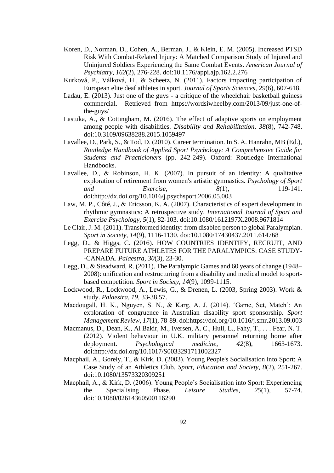- Koren, D., Norman, D., Cohen, A., Berman, J., & Klein, E. M. (2005). Increased PTSD Risk With Combat-Related Injury: A Matched Comparison Study of Injured and Uninjured Soldiers Experiencing the Same Combat Events. *American Journal of Psychiatry, 162*(2), 276-228. doi:10.1176/appi.ajp.162.2.276
- Kurková, P., Válková, H., & Scheetz, N. (2011). Factors impacting participation of European elite deaf athletes in sport. *Journal of Sports Sciences, 29*(6), 607-618.
- Ladau, E. (2013). Just one of the guys a critique of the wheelchair basketball guiness commercial. Retrieved from [https://wordsiwheelby.com/2013/09/just-one-of](https://wordsiwheelby.com/2013/09/just-one-of-the-guys/)[the-guys/](https://wordsiwheelby.com/2013/09/just-one-of-the-guys/)
- Lastuka, A., & Cottingham, M. (2016). The effect of adaptive sports on employment among people with disabilities. *Disability and Rehabilitation, 38*(8), 742-748. doi:10.3109/09638288.2015.1059497
- Lavallee, D., Park, S., & Tod, D. (2010). Career termination. In S. A. Hanrahn, MB (Ed.), *Routledge Handbook of Applied Sport Psychology: A Comprehensive Guide for Students and Practicioners* (pp. 242-249). Oxford: Routledge International Handbooks.
- Lavallee, D., & Robinson, H. K. (2007). In pursuit of an identity: A qualitative exploration of retirement from women's artistic gymnastics. *Psychology of Sport and Exercise, 8*(1), 119-141. doi[:http://dx.doi.org/10.1016/j.psychsport.2006.05.003](http://dx.doi.org/10.1016/j.psychsport.2006.05.003)
- Law, M. P., Côté, J., & Ericsson, K. A. (2007). Characteristics of expert development in rhythmic gymnastics: A retrospective study. *International Journal of Sport and Exercise Psychology, 5*(1), 82-103. doi:10.1080/1612197X.2008.9671814
- Le Clair, J. M. (2011). Transformed identity: from disabled person to global Paralympian. *Sport in Society, 14*(9), 1116-1130. doi:10.1080/17430437.2011.614768
- Legg, D., & Higgs, C. (2016). HOW COUNTRIES IDENTIFY, RECRUIT, AND PREPARE FUTURE ATHLETES FOR THE PARALYMPICS: CASE STUDY- -CANADA. *Palaestra, 30*(3), 23-30.
- Legg, D., & Steadward, R. (2011). The Paralympic Games and 60 years of change (1948– 2008): unification and restructuring from a disability and medical model to sportbased competition. *Sport in Society, 14*(9), 1099-1115.
- Lockwood, R., Lockwood, A., Lewis, G., & Drenen, L. (2003, Spring 2003). Work & study. *Palaestra, 19,* 33-38,57.
- Macdougall, H. K., Nguyen, S. N., & Karg, A. J. (2014). 'Game, Set, Match': An exploration of congruence in Australian disability sport sponsorship. *Sport Management Review, 17*(1), 78-89. doi[:https://doi.org/10.1016/j.smr.2013.09.003](https://doi.org/10.1016/j.smr.2013.09.003)
- Macmanus, D., Dean, K., Al Bakir, M., Iversen, A. C., Hull, L., Fahy, T., . . . Fear, N. T. (2012). Violent behaviour in U.K. military personnel returning home after deployment. *Psychological medicine, 42*(8), 1663-1673. doi[:http://dx.doi.org/10.1017/S0033291711002327](http://dx.doi.org/10.1017/S0033291711002327)
- Macphail, A., Gorely, T., & Kirk, D. (2003). Young People's Socialisation into Sport: A Case Study of an Athletics Club. *Sport, Education and Society, 8*(2), 251-267. doi:10.1080/13573320309251
- Macphail, A., & Kirk, D. (2006). Young People's Socialisation into Sport: Experiencing the Specialising Phase. *Leisure Studies, 25*(1), 57-74. doi:10.1080/02614360500116290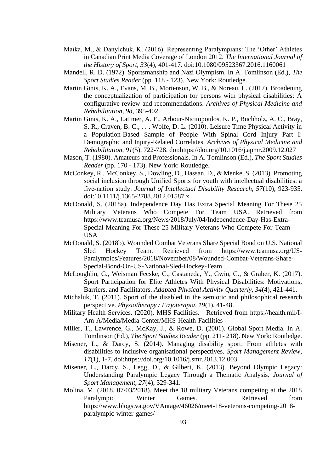- Maika, M., & Danylchuk, K. (2016). Representing Paralympians: The 'Other' Athletes in Canadian Print Media Coverage of London 2012. *The International Journal of the History of Sport, 33*(4), 401-417. doi:10.1080/09523367.2016.1160061
- Mandell, R. D. (1972). Sportsmanship and Nazi Olympism. In A. Tomlinson (Ed.), *The Sport Studies Reader* (pp. 118 - 123). New York: Routledge.
- Martin Ginis, K. A., Evans, M. B., Mortenson, W. B., & Noreau, L. (2017). Broadening the conceptualization of participation for persons with physical disabilities: A configurative review and recommendations. *Archives of Physical Medicine and Rehabilitation, 98*, 395-402.
- Martin Ginis, K. A., Latimer, A. E., Arbour-Nicitopoulos, K. P., Buchholz, A. C., Bray, S. R., Craven, B. C., . . . Wolfe, D. L. (2010). Leisure Time Physical Activity in a Population-Based Sample of People With Spinal Cord Injury Part I: Demographic and Injury-Related Correlates. *Archives of Physical Medicine and Rehabilitation, 91*(5), 722-728. doi[:https://doi.org/10.1016/j.apmr.2009.12.027](https://doi.org/10.1016/j.apmr.2009.12.027)
- Mason, T. (1980). Amateurs and Professionals. In A. Tomlinson (Ed.), *The Sport Studies Reader* (pp. 170 - 173). New York: Routledge.
- McConkey, R., McConkey, S., Dowling, D., Hassan, D., & Menke, S. (2013). Promoting social inclusion through Unified Sports for youth with intellectual disabilities: a five‐nation study. *Journal of Intellectual Disability Research, 57*(10), 923-935. doi:10.1111/j.1365-2788.2012.01587.x
- McDonald, S. (2018a). Independence Day Has Extra Special Meaning For These 25 Military Veterans Who Compete For Team USA. Retrieved from [https://www.teamusa.org/News/2018/July/04/Independence-Day-Has-Extra-](https://www.teamusa.org/News/2018/July/04/Independence-Day-Has-Extra-Special-Meaning-For-These-25-Military-Veterans-Who-Compete-For-Team-USA)[Special-Meaning-For-These-25-Military-Veterans-Who-Compete-For-Team-](https://www.teamusa.org/News/2018/July/04/Independence-Day-Has-Extra-Special-Meaning-For-These-25-Military-Veterans-Who-Compete-For-Team-USA)[USA](https://www.teamusa.org/News/2018/July/04/Independence-Day-Has-Extra-Special-Meaning-For-These-25-Military-Veterans-Who-Compete-For-Team-USA)
- McDonald, S. (2018b). Wounded Combat Veterans Share Special Bond on U.S. National Sled Hockey Team. Retrieved from [https://www.teamusa.org/US-](https://www.teamusa.org/US-Paralympics/Features/2018/November/08/Wounded-Combat-Veterans-Share-Special-Bond-On-US-National-Sled-Hockey-Team)[Paralympics/Features/2018/November/08/Wounded-Combat-Veterans-Share-](https://www.teamusa.org/US-Paralympics/Features/2018/November/08/Wounded-Combat-Veterans-Share-Special-Bond-On-US-National-Sled-Hockey-Team)[Special-Bond-On-US-National-Sled-Hockey-Team](https://www.teamusa.org/US-Paralympics/Features/2018/November/08/Wounded-Combat-Veterans-Share-Special-Bond-On-US-National-Sled-Hockey-Team)
- McLoughlin, G., Weisman Fecske, C., Castaneda, Y., Gwin, C., & Graber, K. (2017). Sport Participation for Elite Athletes With Physical Disabilities: Motivations, Barriers, and Facilitators. *Adapted Physical Activity Quarterly, 34*(4), 421-441.
- Michaluk, T. (2011). Sport of the disabled in the semiotic and philosophical research perspective. *Physiotherapy / Fizjoterapia, 19*(1), 41-48.
- Military Health Services. (2020). MHS Facilities. Retrieved from [https://health.mil/I-](https://health.mil/I-Am-A/Media/Media-Center/MHS-Health-Facilities)[Am-A/Media/Media-Center/MHS-Health-Facilities](https://health.mil/I-Am-A/Media/Media-Center/MHS-Health-Facilities)
- Miller, T., Lawrence, G., McKay, J., & Rowe, D. (2001). Global Sport Media. In A. Tomlinson (Ed.), *The Sport Studies Reader* (pp. 211- 218). New York: Routledge.
- Misener, L., & Darcy, S. (2014). Managing disability sport: From athletes with disabilities to inclusive organisational perspectives. *Sport Management Review, 17*(1), 1-7. doi[:https://doi.org/10.1016/j.smr.2013.12.003](https://doi.org/10.1016/j.smr.2013.12.003)
- Misener, L., Darcy, S., Legg, D., & Gilbert, K. (2013). Beyond Olympic Legacy: Understanding Paralympic Legacy Through a Thematic Analysis. *Journal of Sport Management, 27*(4), 329-341.
- Molina, M. (2018, 07/03/2018). Meet the 18 military Veterans competing at the 2018 Paralympic Winter Games. Retrieved from [https://www.blogs.va.gov/VAntage/46026/meet-18-veterans-competing-2018](https://www.blogs.va.gov/VAntage/46026/meet-18-veterans-competing-2018-paralympic-winter-games/) [paralympic-winter-games/](https://www.blogs.va.gov/VAntage/46026/meet-18-veterans-competing-2018-paralympic-winter-games/)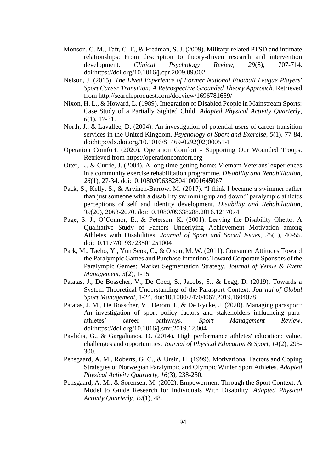- Monson, C. M., Taft, C. T., & Fredman, S. J. (2009). Military-related PTSD and intimate relationships: From description to theory-driven research and intervention development. *Clinical Psychology Review, 29*(8), 707-714. doi[:https://doi.org/10.1016/j.cpr.2009.09.002](https://doi.org/10.1016/j.cpr.2009.09.002)
- Nelson, J. (2015). *The Lived Experience of Former National Football League Players' Sport Career Transition: A Retrospective Grounded Theory Approach.* Retrieved from<http://search.proquest.com/docview/1696781659/>
- Nixon, H. L., & Howard, L. (1989). Integration of Disabled People in Mainstream Sports: Case Study of a Partially Sighted Child. *Adapted Physical Activity Quarterly, 6*(1), 17-31.
- North, J., & Lavallee, D. (2004). An investigation of potential users of career transition services in the United Kingdom. *Psychology of Sport and Exercise, 5*(1), 77-84. doi[:http://dx.doi.org/10.1016/S1469-0292\(02\)00051-1](http://dx.doi.org/10.1016/S1469-0292(02)00051-1)
- Operation Comfort. (2020). Operation Comfort Supporting Our Wounded Troops. Retrieved from [https://operationcomfort.org](https://operationcomfort.org/)
- Otter, L., & Currie, J. (2004). A long time getting home: Vietnam Veterans' experiences in a community exercise rehabilitation programme. *Disability and Rehabilitation, 26*(1), 27-34. doi:10.1080/09638280410001645067
- Pack, S., Kelly, S., & Arvinen-Barrow, M. (2017). "I think I became a swimmer rather than just someone with a disability swimming up and down:" paralympic athletes perceptions of self and identity development. *Disability and Rehabilitation, 39*(20), 2063-2070. doi:10.1080/09638288.2016.1217074
- Page, S. J., O'Connor, E., & Peterson, K. (2001). Leaving the Disability Ghetto: A Qualitative Study of Factors Underlying Achievement Motivation among Athletes with Disabilities. *Journal of Sport and Social Issues, 25*(1), 40-55. doi:10.1177/0193723501251004
- Park, M., Taeho, Y., Yun Seok, C., & Olson, M. W. (2011). Consumer Attitudes Toward the Paralympic Games and Purchase Intentions Toward Corporate Sponsors of the Paralympic Games: Market Segmentation Strategy. *Journal of Venue & Event Management, 3*(2), 1-15.
- Patatas, J., De Bosscher, V., De Cocq, S., Jacobs, S., & Legg, D. (2019). Towards a System Theoretical Understanding of the Parasport Context. *Journal of Global Sport Management*, 1-24. doi:10.1080/24704067.2019.1604078
- Patatas, J. M., De Bosscher, V., Derom, I., & De Rycke, J. (2020). Managing parasport: An investigation of sport policy factors and stakeholders influencing paraathletes' career pathways. *Sport Management Review*. doi[:https://doi.org/10.1016/j.smr.2019.12.004](https://doi.org/10.1016/j.smr.2019.12.004)
- Pavlidis, G., & Gargalianos, D. (2014). High performance athletes' education: value, challenges and opportunities. *Journal of Physical Education & Sport, 14*(2), 293- 300.
- Pensgaard, A. M., Roberts, G. C., & Ursin, H. (1999). Motivational Factors and Coping Strategies of Norwegian Paralympic and Olympic Winter Sport Athletes. *Adapted Physical Activity Quarterly, 16*(3), 238-250.
- Pensgaard, A. M., & Sorensen, M. (2002). Empowerment Through the Sport Context: A Model to Guide Research for Individuals With Disability. *Adapted Physical Activity Quarterly, 19*(1), 48.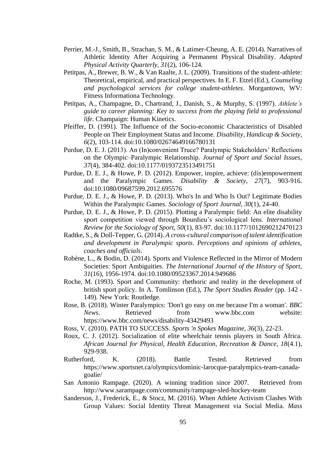- Perrier, M.-J., Smith, B., Strachan, S. M., & Latimer-Cheung, A. E. (2014). Narratives of Athletic Identity After Acquiring a Permanent Physical Disability. *Adapted Physical Activity Quarterly, 31*(2), 106-124.
- Petitpas, A., Brewer, B. W., & Van Raalte, J. L. (2009). Transitions of the student-athlete: Theoretical, empirical, and practical perspectives. In E. F. Etzel (Ed.), *Counseling and psychological services for college student-athletes*. Morgantown, WV: Fitness Informationa Technology.
- Petitpas, A., Champagne, D., Chartrand, J., Danish, S., & Murphy, S. (1997). *Athlete's guide to career planning: Key to success from the playing field to professional life*. Champaign: Human Kinetics.
- Pfeiffer, D. (1991). The Influence of the Socio-economic Characteristics of Disabled People on Their Employment Status and Income. *Disability, Handicap & Society, 6*(2), 103-114. doi:10.1080/02674649166780131
- Purdue, D. E. J. (2013). An (In)convenient Truce? Paralympic Stakeholders' Reflections on the Olympic–Paralympic Relationship. *Journal of Sport and Social Issues, 37*(4), 384-402. doi:10.1177/0193723513491751
- Purdue, D. E. J., & Howe, P. D. (2012). Empower, inspire, achieve: (dis)empowerment and the Paralympic Games. *Disability & Society, 27*(7), 903-916. doi:10.1080/09687599.2012.695576
- Purdue, D. E. J., & Howe, P. D. (2013). Who's In and Who Is Out? Legitimate Bodies Within the Paralympic Games. *Sociology of Sport Journal, 30*(1), 24-40.
- Purdue, D. E. J., & Howe, P. D. (2015). Plotting a Paralympic field: An elite disability sport competition viewed through Bourdieu's sociological lens. *International Review for the Sociology of Sport, 50*(1), 83-97. doi:10.1177/1012690212470123
- Radtke, S., & Doll-Tepper, G. (2014). *A cross-cultural comparison of talent identification and development in Paralympic sports. Perceptions and opinions of athletes, coaches and officials*.
- Robène, L., & Bodin, D. (2014). Sports and Violence Reflected in the Mirror of Modern Societies: Sport Ambiguities. *The International Journal of the History of Sport, 31*(16), 1956-1974. doi:10.1080/09523367.2014.949686
- Roche, M. (1993). Sport and Community: rhethoric and reality in the development of british sport policy. In A. Tomlinson (Ed.), *The Sport Studies Reader* (pp. 142 - 149). New York: Routledge.
- Rose, B. (2018). Winter Paralympics: 'Don't go easy on me because I'm a woman'. *BBC News*. Retrieved from <www.bbc.com> website: <https://www.bbc.com/news/disability-43429493>
- Ross, V. (2010). PATH TO SUCCESS. *Sports 'n Spokes Magazine, 36*(3), 22-23.
- Roux, C. J. (2012). Socialization of elite wheelchair tennis players in South Africa. *African Journal for Physical, Health Education, Recreation & Dance, 18*(4.1), 929-938.
- Rutherford, K. (2018). Battle Tested. Retrieved from [https://www.sportsnet.ca/olympics/dominic-larocque-paralympics-team-canada](https://www.sportsnet.ca/olympics/dominic-larocque-paralympics-team-canada-goalie/)[goalie/](https://www.sportsnet.ca/olympics/dominic-larocque-paralympics-team-canada-goalie/)
- San Antonio Rampage. (2020). A winning tradition since 2007. Retrieved from <http://www.sarampage.com/community/rampage-sled-hockey-team>
- Sanderson, J., Frederick, E., & Stocz, M. (2016). When Athlete Activism Clashes With Group Values: Social Identity Threat Management via Social Media. *Mass*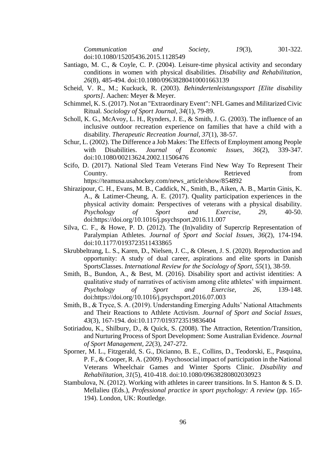*Communication and Society, 19*(3), 301-322. doi:10.1080/15205436.2015.1128549

- Santiago, M. C., & Coyle, C. P. (2004). Leisure-time physical activity and secondary conditions in women with physical disabilities. *Disability and Rehabilitation, 26*(8), 485-494. doi:10.1080/09638280410001663139
- Scheid, V. R., M.; Kuckuck, R. (2003). *Behindertenleistungssport [Elite disability sports]*. Aachen: Meyer & Meyer.
- Schimmel, K. S. (2017). Not an "Extraordinary Event": NFL Games and Militarized Civic Ritual. *Sociology of Sport Journal, 34*(1), 79-89.
- Scholl, K. G., McAvoy, L. H., Rynders, J. E., & Smith, J. G. (2003). The influence of an inclusive outdoor recreation experience on families that have a child with a disability. *Therapeutic Recreation Journal, 37*(1), 38-57.
- Schur, L. (2002). The Difference a Job Makes: The Effects of Employment among People with Disabilities. *Journal of Economic Issues, 36*(2), 339-347. doi:10.1080/00213624.2002.11506476
- Scifo, D. (2017). National Sled Team Veterans Find New Way To Represent Their Country. Country Country Country Country Country Country Country Country Country Country Country Country Country Country Country Country Country Country Country Country Country Country Country Country Country Country Count [https://teamusa.usahockey.com/news\\_article/show/854892](https://teamusa.usahockey.com/news_article/show/854892)
- Shirazipour, C. H., Evans, M. B., Caddick, N., Smith, B., Aiken, A. B., Martin Ginis, K. A., & Latimer-Cheung, A. E. (2017). Quality participation experiences in the physical activity domain: Perspectives of veterans with a physical disability. *Psychology of Sport and Exercise, 29*, 40-50. doi[:https://doi.org/10.1016/j.psychsport.2016.11.007](https://doi.org/10.1016/j.psychsport.2016.11.007)
- Silva, C. F., & Howe, P. D. (2012). The (In)validity of Supercrip Representation of Paralympian Athletes. *Journal of Sport and Social Issues, 36*(2), 174-194. doi:10.1177/0193723511433865
- Skrubbeltrang, L. S., Karen, D., Nielsen, J. C., & Olesen, J. S. (2020). Reproduction and opportunity: A study of dual career, aspirations and elite sports in Danish SportsClasses. *International Review for the Sociology of Sport, 55*(1), 38-59.
- Smith, B., Bundon, A., & Best, M. (2016). Disability sport and activist identities: A qualitative study of narratives of activism among elite athletes' with impairment. *Psychology of Sport and Exercise, 26*, 139-148. doi[:https://doi.org/10.1016/j.psychsport.2016.07.003](https://doi.org/10.1016/j.psychsport.2016.07.003)
- Smith, B., & Tryce, S. A. (2019). Understanding Emerging Adults' National Attachments and Their Reactions to Athlete Activism. *Journal of Sport and Social Issues, 43*(3), 167-194. doi:10.1177/0193723519836404
- Sotiriadou, K., Shilbury, D., & Quick, S. (2008). The Attraction, Retention/Transition, and Nurturing Process of Sport Development: Some Australian Evidence. *Journal of Sport Management, 22*(3), 247-272.
- Sporner, M. L., Fitzgerald, S. G., Dicianno, B. E., Collins, D., Teodorski, E., Pasquina, P. F., & Cooper, R. A. (2009). Psychosocial impact of participation in the National Veterans Wheelchair Games and Winter Sports Clinic. *Disability and Rehabilitation, 31*(5), 410-418. doi:10.1080/09638280802030923
- Stambulova, N. (2012). Working with athletes in career transitions. In S. Hanton & S. D. Mellalieu (Eds.), *Professional practice in sport psychology: A review* (pp. 165- 194). London, UK: Routledge.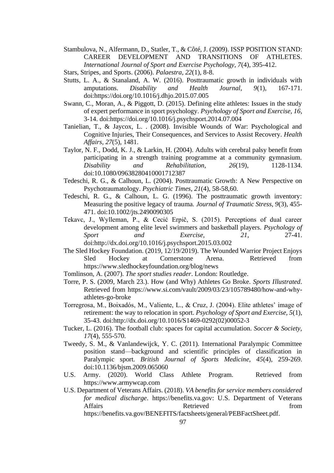- Stambulova, N., Alfermann, D., Statler, T., & Côté, J. (2009). ISSP POSITION STAND: CAREER DEVELOPMENT AND TRANSITIONS OF ATHLETES. *International Journal of Sport and Exercise Psychology, 7*(4), 395-412.
- Stars, Stripes, and Sports. (2006). *Palaestra, 22*(1), 8-8.
- Stutts, L. A., & Stanaland, A. W. (2016). Posttraumatic growth in individuals with amputations. *Disability and Health Journal, 9*(1), 167-171. doi[:https://doi.org/10.1016/j.dhjo.2015.07.005](https://doi.org/10.1016/j.dhjo.2015.07.005)
- Swann, C., Moran, A., & Piggott, D. (2015). Defining elite athletes: Issues in the study of expert performance in sport psychology. *Psychology of Sport and Exercise, 16*, 3-14. doi[:https://doi.org/10.1016/j.psychsport.2014.07.004](https://doi.org/10.1016/j.psychsport.2014.07.004)
- Tanielian, T., & Jaycox, L. . (2008). Invisible Wounds of War: Psychological and Cognitive Injuries, Their Consequences, and Services to Assist Recovery. *Health Affairs, 27*(5), 1481.
- Taylor, N. F., Dodd, K. J., & Larkin, H. (2004). Adults with cerebral palsy benefit from participating in a strength training programme at a community gymnasium. *Disability and Rehabilitation, 26*(19), 1128-1134. doi:10.1080/09638280410001712387
- Tedeschi, R. G., & Calhoun, L. (2004). Posttraumatic Growth: A New Perspective on Psychotraumatology. *Psychiatric Times, 21*(4), 58-58,60.
- Tedeschi, R. G., & Calhoun, L. G. (1996). The posttraumatic growth inventory: Measuring the positive legacy of trauma. *Journal of Traumatic Stress, 9*(3), 455- 471. doi:10.1002/jts.2490090305
- Tekavc, J., Wylleman, P., & Cecić Erpič, S. (2015). Perceptions of dual career development among elite level swimmers and basketball players. *Psychology of Sport and Exercise, 21*, 27-41. doi[:http://dx.doi.org/10.1016/j.psychsport.2015.03.002](http://dx.doi.org/10.1016/j.psychsport.2015.03.002)
- The Sled Hockey Foundation. (2019, 12/19/2019). The Wounded Warrior Project Enjoys Sled Hockey at Cornerstone Arena. Retrieved from <https://www.sledhockeyfoundation.org/blog/news>
- Tomlinson, A. (2007). *The sport studies reader*. London: Routledge.
- Torre, P. S. (2009, March 23.). How (and Why) Athletes Go Broke. *Sports Illustrated*. Retrieved from [https://www.si.com/vault/2009/03/23/105789480/how-and-why](https://www.si.com/vault/2009/03/23/105789480/how-and-why-athletes-go-broke)[athletes-go-broke](https://www.si.com/vault/2009/03/23/105789480/how-and-why-athletes-go-broke)
- Torregrosa, M., Boixadós, M., Valiente, L., & Cruz, J. (2004). Elite athletes' image of retirement: the way to relocation in sport. *Psychology of Sport and Exercise, 5*(1), 35-43. doi[:http://dx.doi.org/10.1016/S1469-0292\(02\)00052-3](http://dx.doi.org/10.1016/S1469-0292(02)00052-3)
- Tucker, L. (2016). The football club: spaces for capital accumulation. *Soccer & Society, 17*(4), 555-570.
- Tweedy, S. M., & Vanlandewijck, Y. C. (2011). International Paralympic Committee position stand—background and scientific principles of classification in Paralympic sport. *British Journal of Sports Medicine, 45*(4), 259-269. doi:10.1136/bjsm.2009.065060
- U.S. Army. (2020). World Class Athlete Program. Retrieved from [https://www.armywcap.com](https://www.armywcap.com/)
- U.S. Department of Veterans Affairs. (2018). *VA benefits for service members considered for medical discharge*. [https://benefits.va.gov:](https://benefits.va.gov/) U.S. Department of Veterans Affairs **Retrieved heating heating heating heating heating heating heating heating heating heating heating heating heating heating heating heating heating heating heating heating h** [https://benefits.va.gov/BENEFITS/factsheets/general/PEBFactSheet.pdf.](https://benefits.va.gov/BENEFITS/factsheets/general/PEBFactSheet.pdf)